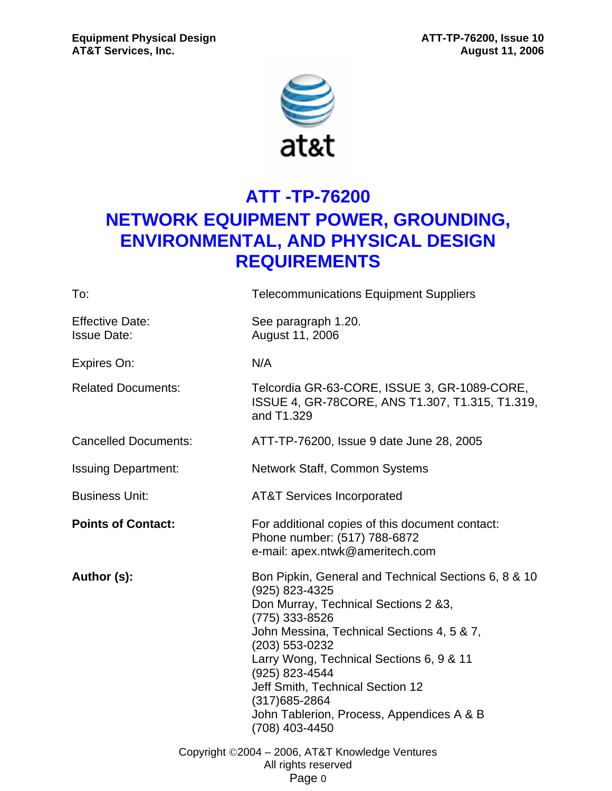

# **ATT -TP-76200 NETWORK EQUIPMENT POWER, GROUNDING, ENVIRONMENTAL, AND PHYSICAL DESIGN REQUIREMENTS**

| To:                                          | <b>Telecommunications Equipment Suppliers</b>                                                                                                                                                                                                                                                                                                                                       |
|----------------------------------------------|-------------------------------------------------------------------------------------------------------------------------------------------------------------------------------------------------------------------------------------------------------------------------------------------------------------------------------------------------------------------------------------|
| <b>Effective Date:</b><br><b>Issue Date:</b> | See paragraph 1.20.<br>August 11, 2006                                                                                                                                                                                                                                                                                                                                              |
| Expires On:                                  | N/A                                                                                                                                                                                                                                                                                                                                                                                 |
| <b>Related Documents:</b>                    | Telcordia GR-63-CORE, ISSUE 3, GR-1089-CORE,<br>ISSUE 4, GR-78CORE, ANS T1.307, T1.315, T1.319,<br>and T1.329                                                                                                                                                                                                                                                                       |
| <b>Cancelled Documents:</b>                  | ATT-TP-76200, Issue 9 date June 28, 2005                                                                                                                                                                                                                                                                                                                                            |
| <b>Issuing Department:</b>                   | Network Staff, Common Systems                                                                                                                                                                                                                                                                                                                                                       |
| <b>Business Unit:</b>                        | <b>AT&amp;T Services Incorporated</b>                                                                                                                                                                                                                                                                                                                                               |
| <b>Points of Contact:</b>                    | For additional copies of this document contact:<br>Phone number: (517) 788-6872<br>e-mail: apex.ntwk@ameritech.com                                                                                                                                                                                                                                                                  |
| Author (s):                                  | Bon Pipkin, General and Technical Sections 6, 8 & 10<br>(925) 823-4325<br>Don Murray, Technical Sections 2 &3,<br>(775) 333-8526<br>John Messina, Technical Sections 4, 5 & 7,<br>(203) 553-0232<br>Larry Wong, Technical Sections 6, 9 & 11<br>(925) 823-4544<br>Jeff Smith, Technical Section 12<br>(317) 685-2864<br>John Tablerion, Process, Appendices A & B<br>(708) 403-4450 |
|                                              | Copyright ©2004 - 2006, AT&T Knowledge Ventures<br>All rights reserved<br>Page 0                                                                                                                                                                                                                                                                                                    |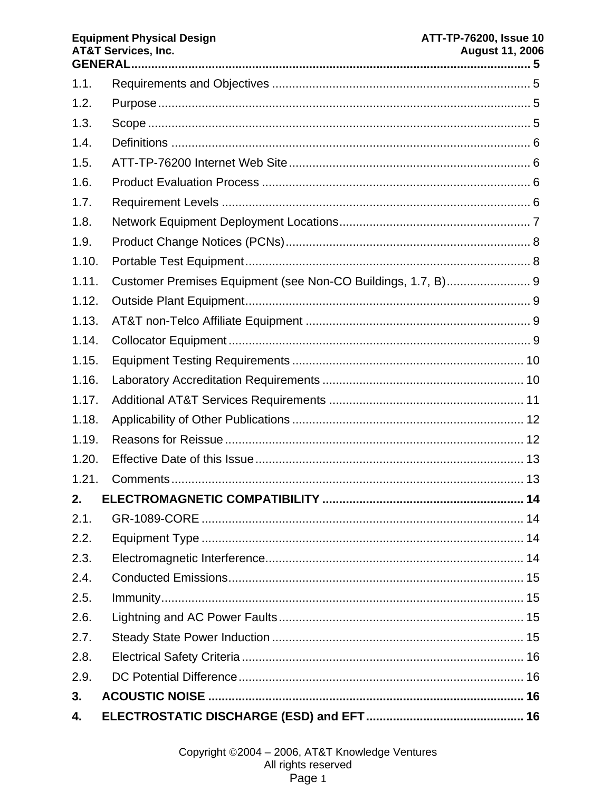#### **AT&T Services, Inc. August 11, 2006**  $1.1.$  $1.2.$  $1.3.$  $1.4$  $1.5.$  $1.6.$  $1.7.$ 1.8  $1.9.$  $110$  $1.11.$  $1.12.$  $1.13.$  $1.14.$  $1.15.$  $1.16.$  $1.17.$ 1 1 8  $1.19.$  $120$  $1.21.$  $2<sub>-</sub>$  $2.1.$ GR-1089-CORE ……………………………………………………………………………………… 14  $2.2<sub>1</sub>$  $2.3.$  $2.4.$  $2.5.$  $26$  $2.7.$  $2.8.$  $2.9.$  $3.$

ATT-TP-76200, Issue 10

**Equipment Physical Design** 

 $\overline{\mathbf{4}}$ .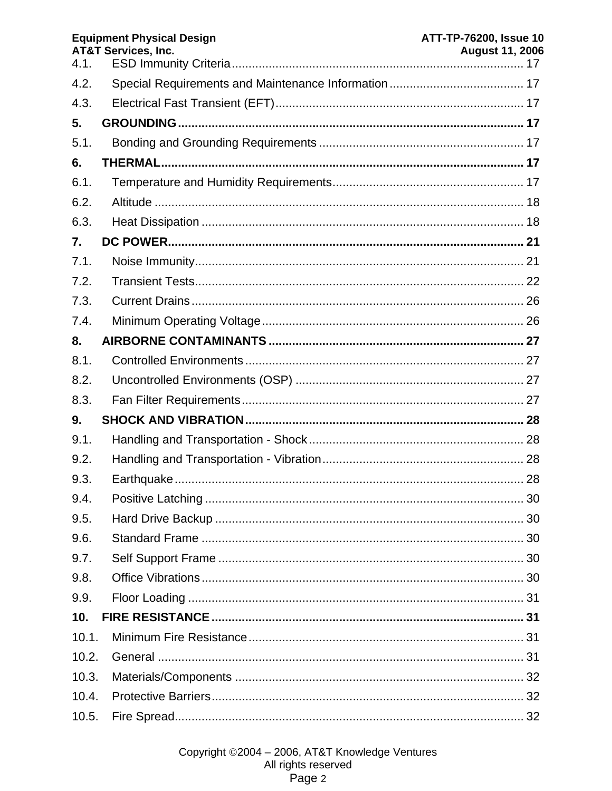| 4.1.            | <b>Equipment Physical Design</b><br><b>AT&amp;T Services, Inc.</b> | <b>ATT-TP-76200, Issue 10</b><br><b>August 11, 2006</b> |
|-----------------|--------------------------------------------------------------------|---------------------------------------------------------|
| 4.2.            |                                                                    |                                                         |
| 4.3.            |                                                                    |                                                         |
| 5.              |                                                                    |                                                         |
| 5.1.            |                                                                    |                                                         |
| 6.              |                                                                    |                                                         |
| 6.1.            |                                                                    |                                                         |
| 6.2.            |                                                                    |                                                         |
| 6.3.            |                                                                    |                                                         |
| 7.              |                                                                    |                                                         |
| 7.1.            |                                                                    |                                                         |
| 7.2.            |                                                                    |                                                         |
| 7.3.            |                                                                    |                                                         |
| 7.4.            |                                                                    |                                                         |
| 8.              |                                                                    |                                                         |
| 8.1.            |                                                                    |                                                         |
| 8.2.            |                                                                    |                                                         |
| 8.3.            |                                                                    |                                                         |
| 9.              |                                                                    |                                                         |
| 9.1.            |                                                                    |                                                         |
| 9.2.            |                                                                    |                                                         |
| 9.3.            |                                                                    |                                                         |
| 9.4.            |                                                                    |                                                         |
| 9.5.            |                                                                    |                                                         |
| 9.6.            |                                                                    |                                                         |
| 9.7.            |                                                                    |                                                         |
| 9.8.            |                                                                    |                                                         |
| 9.9.            |                                                                    |                                                         |
| 10 <sub>1</sub> |                                                                    |                                                         |
| 10.1.           |                                                                    |                                                         |
| 10.2.           |                                                                    |                                                         |
| 10.3.           |                                                                    |                                                         |
| 10.4.           |                                                                    |                                                         |
| 10.5.           |                                                                    |                                                         |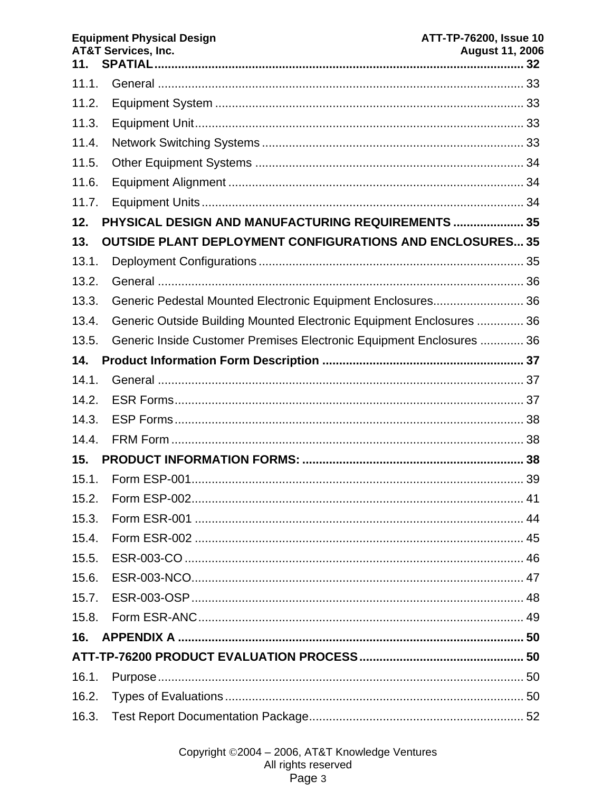| 11.   | <b>Equipment Physical Design</b><br><b>AT&amp;T Services, Inc.</b>   | <b>ATT-TP-76200, Issue 10</b><br><b>August 11, 2006</b> |
|-------|----------------------------------------------------------------------|---------------------------------------------------------|
| 11.1. |                                                                      |                                                         |
| 11.2. |                                                                      |                                                         |
| 11.3. |                                                                      |                                                         |
| 11.4. |                                                                      |                                                         |
| 11.5. |                                                                      |                                                         |
| 11.6. |                                                                      |                                                         |
| 11.7. |                                                                      |                                                         |
| 12.   | PHYSICAL DESIGN AND MANUFACTURING REQUIREMENTS  35                   |                                                         |
| 13.   | <b>OUTSIDE PLANT DEPLOYMENT CONFIGURATIONS AND ENCLOSURES 35</b>     |                                                         |
| 13.1. |                                                                      |                                                         |
| 13.2. |                                                                      |                                                         |
| 13.3. | Generic Pedestal Mounted Electronic Equipment Enclosures 36          |                                                         |
| 13.4. | Generic Outside Building Mounted Electronic Equipment Enclosures  36 |                                                         |
| 13.5. | Generic Inside Customer Premises Electronic Equipment Enclosures  36 |                                                         |
| 14.   |                                                                      |                                                         |
| 14.1. |                                                                      |                                                         |
| 14.2. |                                                                      |                                                         |
| 14.3. |                                                                      |                                                         |
| 14.4. |                                                                      |                                                         |
| 15.   |                                                                      |                                                         |
|       |                                                                      |                                                         |
| 15.2. |                                                                      |                                                         |
| 15.3. |                                                                      |                                                         |
| 15.4. |                                                                      |                                                         |
| 15.5. |                                                                      |                                                         |
| 15.6. |                                                                      |                                                         |
| 15.7. |                                                                      |                                                         |
| 15.8. |                                                                      |                                                         |
| 16.   |                                                                      |                                                         |
|       |                                                                      |                                                         |
| 16.1. |                                                                      |                                                         |
| 16.2. |                                                                      |                                                         |
| 16.3. |                                                                      |                                                         |
|       |                                                                      |                                                         |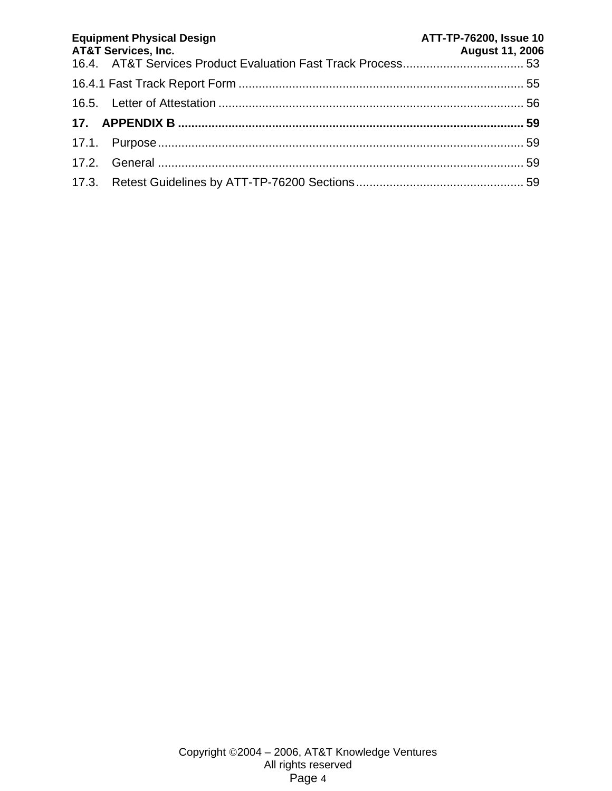| <b>Equipment Physical Design</b><br><b>AT&amp;T Services, Inc.</b> | ATT-TP-76200, Issue 10<br><b>August 11, 2006</b> |
|--------------------------------------------------------------------|--------------------------------------------------|
|                                                                    |                                                  |
|                                                                    |                                                  |
|                                                                    |                                                  |
|                                                                    |                                                  |
|                                                                    |                                                  |
|                                                                    |                                                  |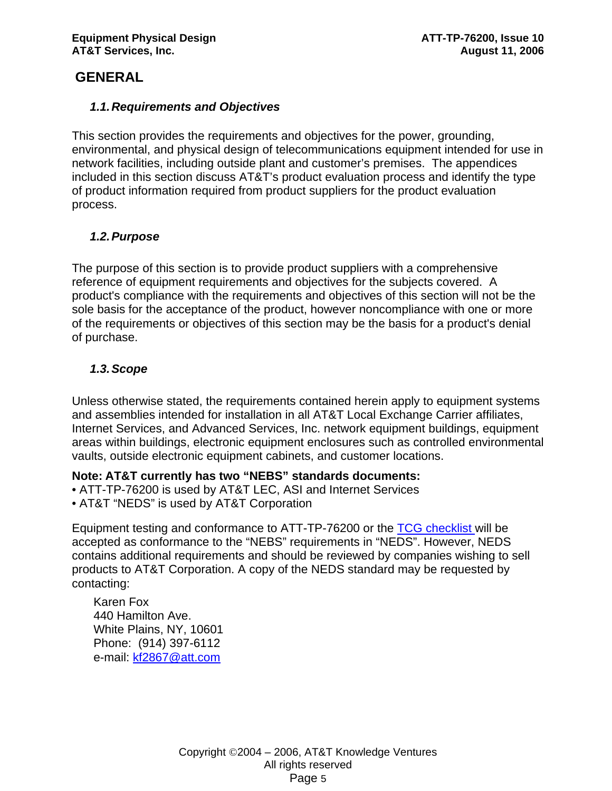# **GENERAL**

# *1.1. Requirements and Objectives*

This section provides the requirements and objectives for the power, grounding, environmental, and physical design of telecommunications equipment intended for use in network facilities, including outside plant and customer's premises. The appendices included in this section discuss AT&T's product evaluation process and identify the type of product information required from product suppliers for the product evaluation process.

# *1.2. Purpose*

The purpose of this section is to provide product suppliers with a comprehensive reference of equipment requirements and objectives for the subjects covered. A product's compliance with the requirements and objectives of this section will not be the sole basis for the acceptance of the product, however noncompliance with one or more of the requirements or objectives of this section may be the basis for a product's denial of purchase.

# *1.3. Scope*

Unless otherwise stated, the requirements contained herein apply to equipment systems and assemblies intended for installation in all AT&T Local Exchange Carrier affiliates, Internet Services, and Advanced Services, Inc. network equipment buildings, equipment areas within buildings, electronic equipment enclosures such as controlled environmental vaults, outside electronic equipment cabinets, and customer locations.

# **Note: AT&T currently has two "NEBS" standards documents:**

- ATT-TP-76200 is used by AT&T LEC, ASI and Internet Services
- AT&T "NEDS" is used by AT&T Corporation

Equipment testing and conformance to ATT-TP-76200 or the TCG checklist will be accepted as conformance to the "NEBS" requirements in "NEDS". However, NEDS contains additional requirements and should be reviewed by companies wishing to sell products to AT&T Corporation. A copy of the NEDS standard may be requested by contacting:

Karen Fox 440 Hamilton Ave. White Plains, NY, 10601 Phone: (914) 397-6112 e-mail: kf2867@att.com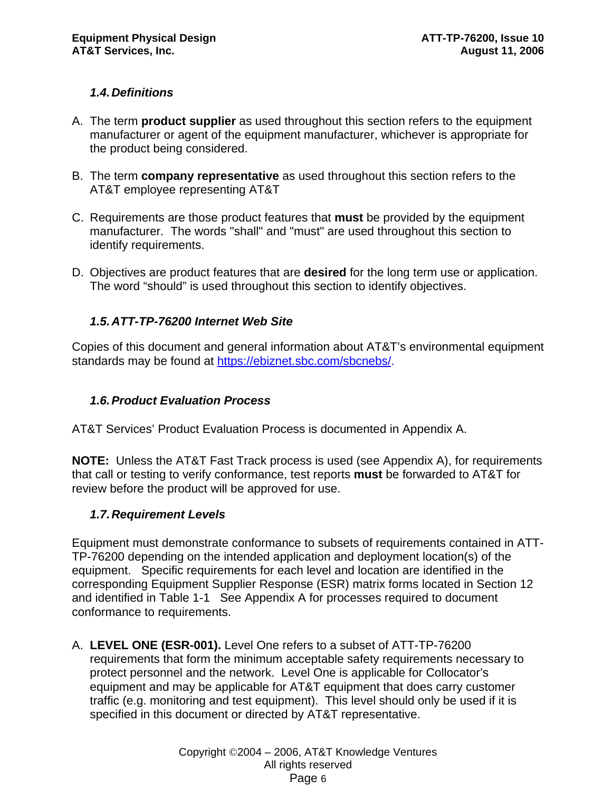# *1.4. Definitions*

- A. The term **product supplier** as used throughout this section refers to the equipment manufacturer or agent of the equipment manufacturer, whichever is appropriate for the product being considered.
- B. The term **company representative** as used throughout this section refers to the AT&T employee representing AT&T
- C. Requirements are those product features that **must** be provided by the equipment manufacturer. The words "shall" and "must" are used throughout this section to identify requirements.
- D. Objectives are product features that are **desired** for the long term use or application. The word "should" is used throughout this section to identify objectives.

# *1.5. ATT-TP-76200 Internet Web Site*

Copies of this document and general information about AT&T's environmental equipment standards may be found at https://ebiznet.sbc.com/sbcnebs/.

# *1.6. Product Evaluation Process*

AT&T Services' Product Evaluation Process is documented in Appendix A.

**NOTE:** Unless the AT&T Fast Track process is used (see Appendix A), for requirements that call or testing to verify conformance, test reports **must** be forwarded to AT&T for review before the product will be approved for use.

# *1.7. Requirement Levels*

Equipment must demonstrate conformance to subsets of requirements contained in ATT-TP-76200 depending on the intended application and deployment location(s) of the equipment. Specific requirements for each level and location are identified in the corresponding Equipment Supplier Response (ESR) matrix forms located in Section 12 and identified in Table 1-1 See Appendix A for processes required to document conformance to requirements.

A. **LEVEL ONE (ESR-001).** Level One refers to a subset of ATT-TP-76200 requirements that form the minimum acceptable safety requirements necessary to protect personnel and the network. Level One is applicable for Collocator's equipment and may be applicable for AT&T equipment that does carry customer traffic (e.g. monitoring and test equipment). This level should only be used if it is specified in this document or directed by AT&T representative.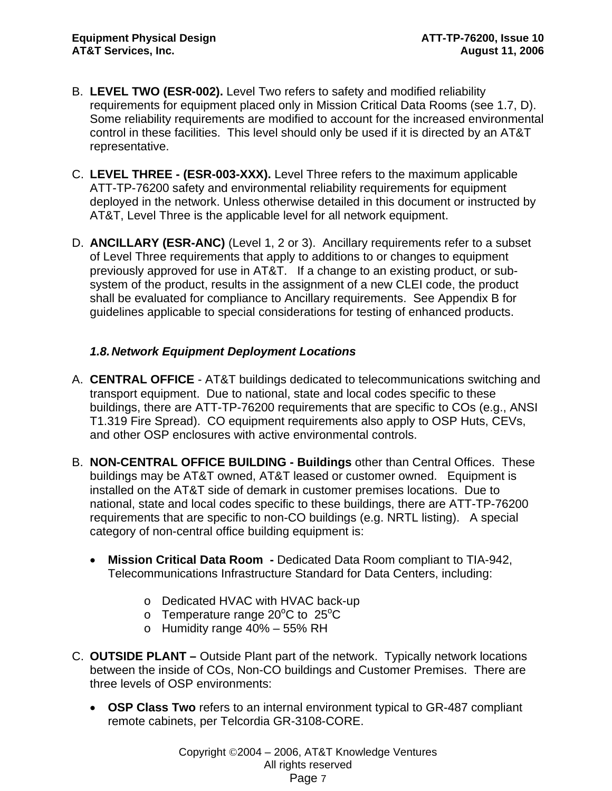- B. **LEVEL TWO (ESR-002).** Level Two refers to safety and modified reliability requirements for equipment placed only in Mission Critical Data Rooms (see 1.7, D). Some reliability requirements are modified to account for the increased environmental control in these facilities. This level should only be used if it is directed by an AT&T representative.
- C. **LEVEL THREE (ESR-003-XXX).** Level Three refers to the maximum applicable ATT-TP-76200 safety and environmental reliability requirements for equipment deployed in the network. Unless otherwise detailed in this document or instructed by AT&T, Level Three is the applicable level for all network equipment.
- D. **ANCILLARY (ESR-ANC)** (Level 1, 2 or 3). Ancillary requirements refer to a subset of Level Three requirements that apply to additions to or changes to equipment previously approved for use in AT&T. If a change to an existing product, or subsystem of the product, results in the assignment of a new CLEI code, the product shall be evaluated for compliance to Ancillary requirements. See Appendix B for guidelines applicable to special considerations for testing of enhanced products.

# *1.8. Network Equipment Deployment Locations*

- A. **CENTRAL OFFICE**  AT&T buildings dedicated to telecommunications switching and transport equipment. Due to national, state and local codes specific to these buildings, there are ATT-TP-76200 requirements that are specific to COs (e.g., ANSI T1.319 Fire Spread). CO equipment requirements also apply to OSP Huts, CEVs, and other OSP enclosures with active environmental controls.
- B. **NON-CENTRAL OFFICE BUILDING Buildings** other than Central Offices. These buildings may be AT&T owned, AT&T leased or customer owned. Equipment is installed on the AT&T side of demark in customer premises locations. Due to national, state and local codes specific to these buildings, there are ATT-TP-76200 requirements that are specific to non-CO buildings (e.g. NRTL listing). A special category of non-central office building equipment is:
	- **Mission Critical Data Room** Dedicated Data Room compliant to TIA-942, Telecommunications Infrastructure Standard for Data Centers, including:
		- o Dedicated HVAC with HVAC back-up
		- o Temperature range 20 $\mathrm{^oC}$  to 25 $\mathrm{^oC}$
		- o Humidity range 40% 55% RH
- C. **OUTSIDE PLANT** Outside Plant part of the network. Typically network locations between the inside of COs, Non-CO buildings and Customer Premises. There are three levels of OSP environments:
	- **OSP Class Two** refers to an internal environment typical to GR-487 compliant remote cabinets, per Telcordia GR-3108-CORE.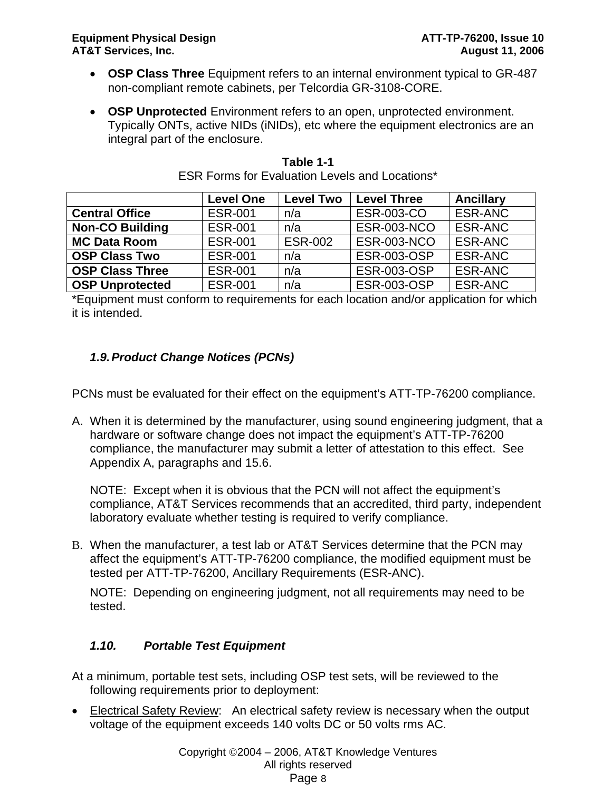- **OSP Class Three** Equipment refers to an internal environment typical to GR-487 non-compliant remote cabinets, per Telcordia GR-3108-CORE.
- **OSP Unprotected** Environment refers to an open, unprotected environment. Typically ONTs, active NIDs (iNIDs), etc where the equipment electronics are an integral part of the enclosure.

|                        | <b>Level One</b> | <b>Level Two</b> | <b>Level Three</b> | <b>Ancillary</b> |
|------------------------|------------------|------------------|--------------------|------------------|
| <b>Central Office</b>  | <b>ESR-001</b>   | n/a              | <b>ESR-003-CO</b>  | ESR-ANC          |
| <b>Non-CO Building</b> | <b>ESR-001</b>   | n/a              | <b>ESR-003-NCO</b> | ESR-ANC          |
| <b>MC Data Room</b>    | <b>ESR-001</b>   | <b>ESR-002</b>   | <b>ESR-003-NCO</b> | ESR-ANC          |
| <b>OSP Class Two</b>   | <b>ESR-001</b>   | n/a              | <b>ESR-003-OSP</b> | <b>ESR-ANC</b>   |
| <b>OSP Class Three</b> | <b>ESR-001</b>   | n/a              | <b>ESR-003-OSP</b> | ESR-ANC          |
| <b>OSP Unprotected</b> | <b>ESR-001</b>   | n/a              | <b>ESR-003-OSP</b> | ESR-ANC          |

| Table 1-1                                             |  |  |  |
|-------------------------------------------------------|--|--|--|
| <b>ESR Forms for Evaluation Levels and Locations*</b> |  |  |  |

\*Equipment must conform to requirements for each location and/or application for which it is intended.

# *1.9. Product Change Notices (PCNs)*

PCNs must be evaluated for their effect on the equipment's ATT-TP-76200 compliance.

A. When it is determined by the manufacturer, using sound engineering judgment, that a hardware or software change does not impact the equipment's ATT-TP-76200 compliance, the manufacturer may submit a letter of attestation to this effect. See Appendix A, paragraphs and 15.6.

NOTE: Except when it is obvious that the PCN will not affect the equipment's compliance, AT&T Services recommends that an accredited, third party, independent laboratory evaluate whether testing is required to verify compliance.

B. When the manufacturer, a test lab or AT&T Services determine that the PCN may affect the equipment's ATT-TP-76200 compliance, the modified equipment must be tested per ATT-TP-76200, Ancillary Requirements (ESR-ANC).

NOTE: Depending on engineering judgment, not all requirements may need to be tested.

# *1.10. Portable Test Equipment*

At a minimum, portable test sets, including OSP test sets, will be reviewed to the following requirements prior to deployment:

• Electrical Safety Review: An electrical safety review is necessary when the output voltage of the equipment exceeds 140 volts DC or 50 volts rms AC.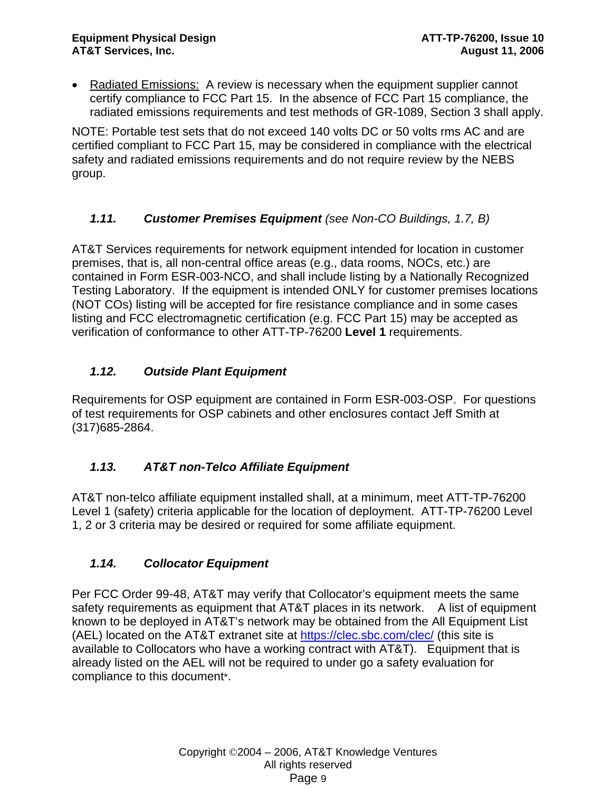• Radiated Emissions: A review is necessary when the equipment supplier cannot certify compliance to FCC Part 15. In the absence of FCC Part 15 compliance, the radiated emissions requirements and test methods of GR-1089, Section 3 shall apply.

NOTE: Portable test sets that do not exceed 140 volts DC or 50 volts rms AC and are certified compliant to FCC Part 15, may be considered in compliance with the electrical safety and radiated emissions requirements and do not require review by the NEBS group.

# *1.11. Customer Premises Equipment (see Non-CO Buildings, 1.7, B)*

AT&T Services requirements for network equipment intended for location in customer premises, that is, all non-central office areas (e.g., data rooms, NOCs, etc.) are contained in Form ESR-003-NCO, and shall include listing by a Nationally Recognized Testing Laboratory. If the equipment is intended ONLY for customer premises locations (NOT COs) listing will be accepted for fire resistance compliance and in some cases listing and FCC electromagnetic certification (e.g. FCC Part 15) may be accepted as verification of conformance to other ATT-TP-76200 **Level 1** requirements.

# *1.12. Outside Plant Equipment*

Requirements for OSP equipment are contained in Form ESR-003-OSP. For questions of test requirements for OSP cabinets and other enclosures contact Jeff Smith at (317)685-2864.

# *1.13. AT&T non-Telco Affiliate Equipment*

AT&T non-telco affiliate equipment installed shall, at a minimum, meet ATT-TP-76200 Level 1 (safety) criteria applicable for the location of deployment. ATT-TP-76200 Level 1, 2 or 3 criteria may be desired or required for some affiliate equipment.

# *1.14. Collocator Equipment*

Per FCC Order 99-48, AT&T may verify that Collocator's equipment meets the same safety requirements as equipment that AT&T places in its network. A list of equipment known to be deployed in AT&T's network may be obtained from the All Equipment List (AEL) located on the AT&T extranet site at https://clec.sbc.com/clec/ (this site is available to Collocators who have a working contract with AT&T). Equipment that is already listed on the AEL will not be required to under go a safety evaluation for compliance to this document\*.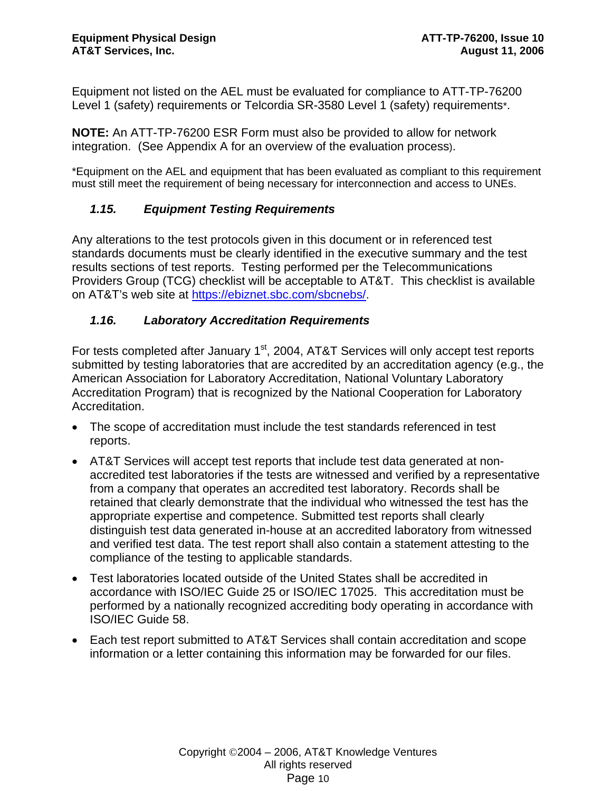Equipment not listed on the AEL must be evaluated for compliance to ATT-TP-76200 Level 1 (safety) requirements or Telcordia SR-3580 Level 1 (safety) requirements\*.

**NOTE:** An ATT-TP-76200 ESR Form must also be provided to allow for network integration. (See Appendix A for an overview of the evaluation process).

\*Equipment on the AEL and equipment that has been evaluated as compliant to this requirement must still meet the requirement of being necessary for interconnection and access to UNEs.

# *1.15. Equipment Testing Requirements*

Any alterations to the test protocols given in this document or in referenced test standards documents must be clearly identified in the executive summary and the test results sections of test reports. Testing performed per the Telecommunications Providers Group (TCG) checklist will be acceptable to AT&T. This checklist is available on AT&T's web site at https://ebiznet.sbc.com/sbcnebs/.

# *1.16. Laboratory Accreditation Requirements*

For tests completed after January  $1<sup>st</sup>$ , 2004, AT&T Services will only accept test reports submitted by testing laboratories that are accredited by an accreditation agency (e.g., the American Association for Laboratory Accreditation, National Voluntary Laboratory Accreditation Program) that is recognized by the National Cooperation for Laboratory Accreditation.

- The scope of accreditation must include the test standards referenced in test reports.
- AT&T Services will accept test reports that include test data generated at nonaccredited test laboratories if the tests are witnessed and verified by a representative from a company that operates an accredited test laboratory. Records shall be retained that clearly demonstrate that the individual who witnessed the test has the appropriate expertise and competence. Submitted test reports shall clearly distinguish test data generated in-house at an accredited laboratory from witnessed and verified test data. The test report shall also contain a statement attesting to the compliance of the testing to applicable standards.
- Test laboratories located outside of the United States shall be accredited in accordance with ISO/IEC Guide 25 or ISO/IEC 17025. This accreditation must be performed by a nationally recognized accrediting body operating in accordance with ISO/IEC Guide 58.
- Each test report submitted to AT&T Services shall contain accreditation and scope information or a letter containing this information may be forwarded for our files.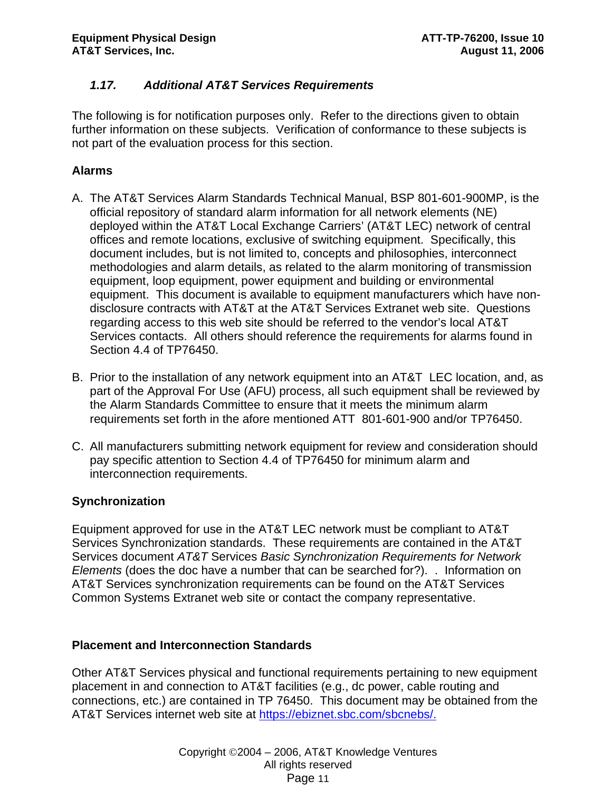# *1.17. Additional AT&T Services Requirements*

The following is for notification purposes only. Refer to the directions given to obtain further information on these subjects. Verification of conformance to these subjects is not part of the evaluation process for this section.

# **Alarms**

- A. The AT&T Services Alarm Standards Technical Manual, BSP 801-601-900MP, is the official repository of standard alarm information for all network elements (NE) deployed within the AT&T Local Exchange Carriers' (AT&T LEC) network of central offices and remote locations, exclusive of switching equipment. Specifically, this document includes, but is not limited to, concepts and philosophies, interconnect methodologies and alarm details, as related to the alarm monitoring of transmission equipment, loop equipment, power equipment and building or environmental equipment. This document is available to equipment manufacturers which have nondisclosure contracts with AT&T at the AT&T Services Extranet web site. Questions regarding access to this web site should be referred to the vendor's local AT&T Services contacts. All others should reference the requirements for alarms found in Section 4.4 of TP76450.
- B. Prior to the installation of any network equipment into an AT&T LEC location, and, as part of the Approval For Use (AFU) process, all such equipment shall be reviewed by the Alarm Standards Committee to ensure that it meets the minimum alarm requirements set forth in the afore mentioned ATT 801-601-900 and/or TP76450.
- C. All manufacturers submitting network equipment for review and consideration should pay specific attention to Section 4.4 of TP76450 for minimum alarm and interconnection requirements.

# **Synchronization**

Equipment approved for use in the AT&T LEC network must be compliant to AT&T Services Synchronization standards. These requirements are contained in the AT&T Services document *AT&T* Services *Basic Synchronization Requirements for Network Elements* (does the doc have a number that can be searched for?). . Information on AT&T Services synchronization requirements can be found on the AT&T Services Common Systems Extranet web site or contact the company representative.

# **Placement and Interconnection Standards**

Other AT&T Services physical and functional requirements pertaining to new equipment placement in and connection to AT&T facilities (e.g., dc power, cable routing and connections, etc.) are contained in TP 76450. This document may be obtained from the AT&T Services internet web site at https://ebiznet.sbc.com/sbcnebs/.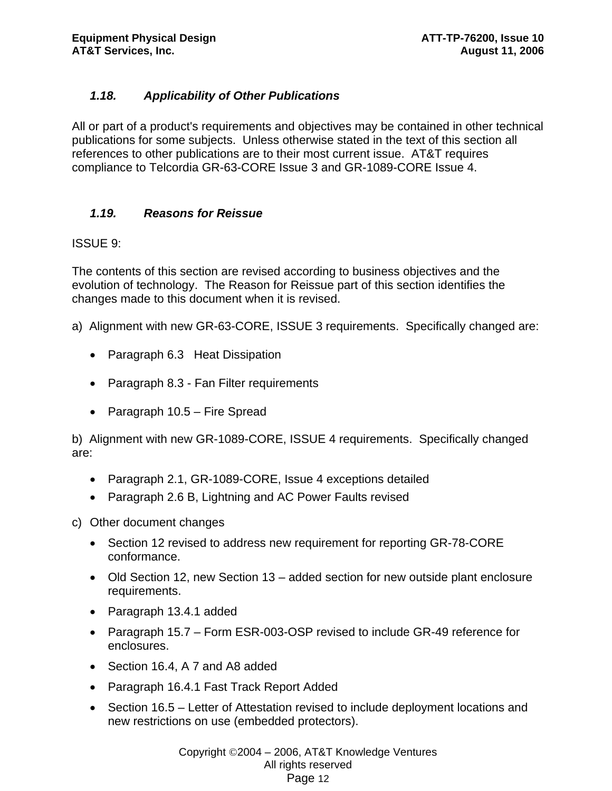# *1.18. Applicability of Other Publications*

All or part of a product's requirements and objectives may be contained in other technical publications for some subjects. Unless otherwise stated in the text of this section all references to other publications are to their most current issue. AT&T requires compliance to Telcordia GR-63-CORE Issue 3 and GR-1089-CORE Issue 4.

# *1.19. Reasons for Reissue*

# ISSUE 9:

The contents of this section are revised according to business objectives and the evolution of technology. The Reason for Reissue part of this section identifies the changes made to this document when it is revised.

- a) Alignment with new GR-63-CORE, ISSUE 3 requirements. Specifically changed are:
	- Paragraph 6.3 Heat Dissipation
	- Paragraph 8.3 Fan Filter requirements
	- Paragraph 10.5 Fire Spread

b) Alignment with new GR-1089-CORE, ISSUE 4 requirements. Specifically changed are:

- Paragraph 2.1, GR-1089-CORE, Issue 4 exceptions detailed
- Paragraph 2.6 B, Lightning and AC Power Faults revised

c) Other document changes

- Section 12 revised to address new requirement for reporting GR-78-CORE conformance.
- Old Section 12, new Section 13 added section for new outside plant enclosure requirements.
- Paragraph 13.4.1 added
- Paragraph 15.7 Form ESR-003-OSP revised to include GR-49 reference for enclosures.
- Section 16.4, A 7 and A8 added
- Paragraph 16.4.1 Fast Track Report Added
- Section 16.5 Letter of Attestation revised to include deployment locations and new restrictions on use (embedded protectors).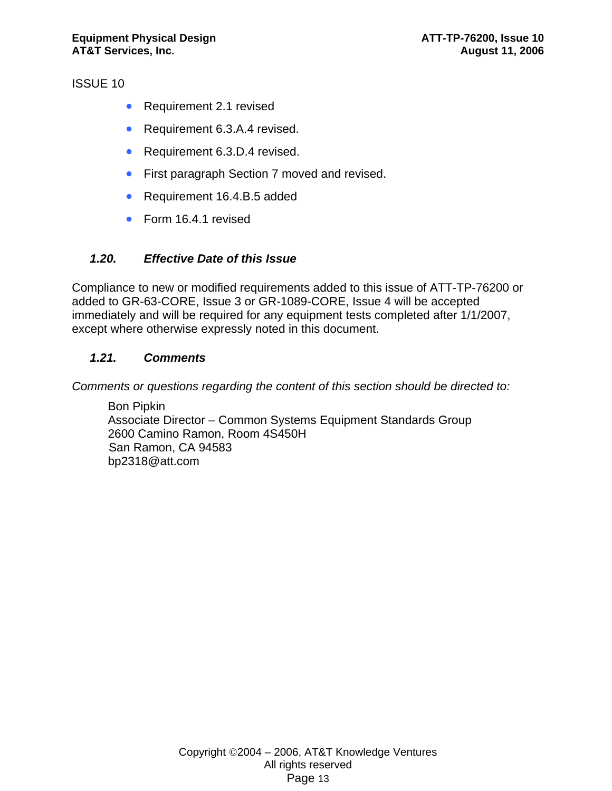ISSUE 10

- Requirement 2.1 revised
- Requirement 6.3.A.4 revised.
- Requirement 6.3.D.4 revised.
- First paragraph Section 7 moved and revised.
- Requirement 16.4.B.5 added
- Form 16.4.1 revised

# *1.20. Effective Date of this Issue*

Compliance to new or modified requirements added to this issue of ATT-TP-76200 or added to GR-63-CORE, Issue 3 or GR-1089-CORE, Issue 4 will be accepted immediately and will be required for any equipment tests completed after 1/1/2007, except where otherwise expressly noted in this document.

# *1.21. Comments*

*Comments or questions regarding the content of this section should be directed to:* 

Bon Pipkin Associate Director – Common Systems Equipment Standards Group 2600 Camino Ramon, Room 4S450H San Ramon, CA 94583 bp2318@att.com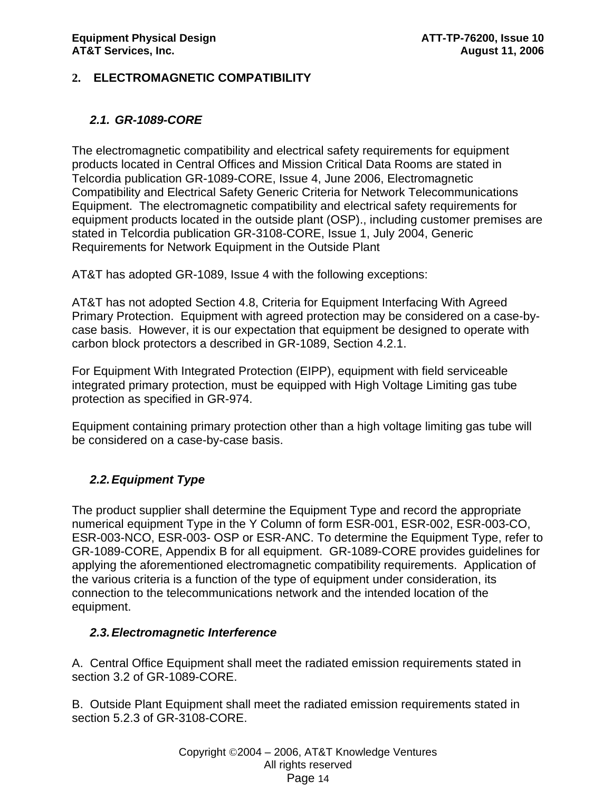# **2. ELECTROMAGNETIC COMPATIBILITY**

# *2.1. GR-1089-CORE*

The electromagnetic compatibility and electrical safety requirements for equipment products located in Central Offices and Mission Critical Data Rooms are stated in Telcordia publication GR-1089-CORE, Issue 4, June 2006, Electromagnetic Compatibility and Electrical Safety Generic Criteria for Network Telecommunications Equipment. The electromagnetic compatibility and electrical safety requirements for equipment products located in the outside plant (OSP)., including customer premises are stated in Telcordia publication GR-3108-CORE, Issue 1, July 2004, Generic Requirements for Network Equipment in the Outside Plant

AT&T has adopted GR-1089, Issue 4 with the following exceptions:

AT&T has not adopted Section 4.8, Criteria for Equipment Interfacing With Agreed Primary Protection. Equipment with agreed protection may be considered on a case-bycase basis. However, it is our expectation that equipment be designed to operate with carbon block protectors a described in GR-1089, Section 4.2.1.

For Equipment With Integrated Protection (EIPP), equipment with field serviceable integrated primary protection, must be equipped with High Voltage Limiting gas tube protection as specified in GR-974.

Equipment containing primary protection other than a high voltage limiting gas tube will be considered on a case-by-case basis.

# *2.2. Equipment Type*

The product supplier shall determine the Equipment Type and record the appropriate numerical equipment Type in the Y Column of form ESR-001, ESR-002, ESR-003-CO, ESR-003-NCO, ESR-003- OSP or ESR-ANC. To determine the Equipment Type, refer to GR-1089-CORE, Appendix B for all equipment. GR-1089-CORE provides guidelines for applying the aforementioned electromagnetic compatibility requirements. Application of the various criteria is a function of the type of equipment under consideration, its connection to the telecommunications network and the intended location of the equipment.

# *2.3. Electromagnetic Interference*

A. Central Office Equipment shall meet the radiated emission requirements stated in section 3.2 of GR-1089-CORE.

B. Outside Plant Equipment shall meet the radiated emission requirements stated in section 5.2.3 of GR-3108-CORE.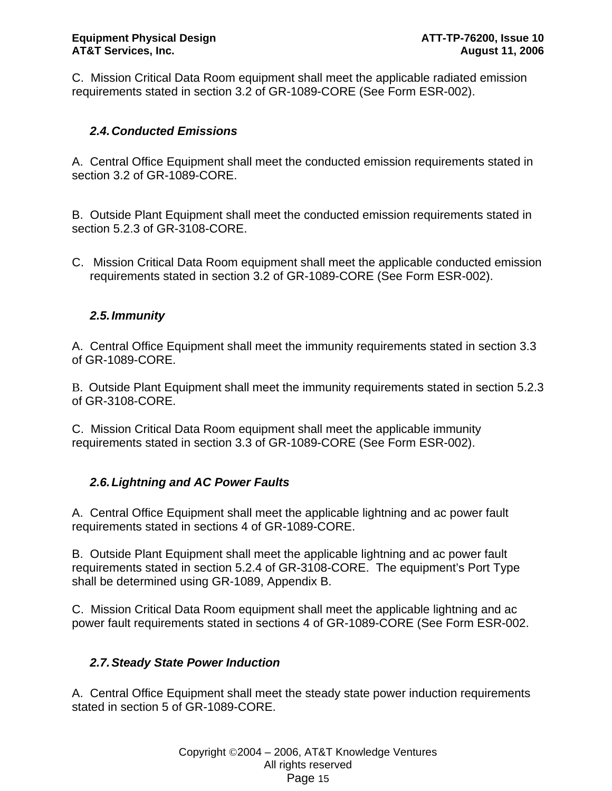C. Mission Critical Data Room equipment shall meet the applicable radiated emission requirements stated in section 3.2 of GR-1089-CORE (See Form ESR-002).

# *2.4. Conducted Emissions*

A. Central Office Equipment shall meet the conducted emission requirements stated in section 3.2 of GR-1089-CORE.

B. Outside Plant Equipment shall meet the conducted emission requirements stated in section 5.2.3 of GR-3108-CORE.

C. Mission Critical Data Room equipment shall meet the applicable conducted emission requirements stated in section 3.2 of GR-1089-CORE (See Form ESR-002).

# *2.5. Immunity*

A. Central Office Equipment shall meet the immunity requirements stated in section 3.3 of GR-1089-CORE.

B. Outside Plant Equipment shall meet the immunity requirements stated in section 5.2.3 of GR-3108-CORE.

C. Mission Critical Data Room equipment shall meet the applicable immunity requirements stated in section 3.3 of GR-1089-CORE (See Form ESR-002).

# *2.6. Lightning and AC Power Faults*

A. Central Office Equipment shall meet the applicable lightning and ac power fault requirements stated in sections 4 of GR-1089-CORE.

B. Outside Plant Equipment shall meet the applicable lightning and ac power fault requirements stated in section 5.2.4 of GR-3108-CORE. The equipment's Port Type shall be determined using GR-1089, Appendix B.

C. Mission Critical Data Room equipment shall meet the applicable lightning and ac power fault requirements stated in sections 4 of GR-1089-CORE (See Form ESR-002.

# *2.7. Steady State Power Induction*

A. Central Office Equipment shall meet the steady state power induction requirements stated in section 5 of GR-1089-CORE.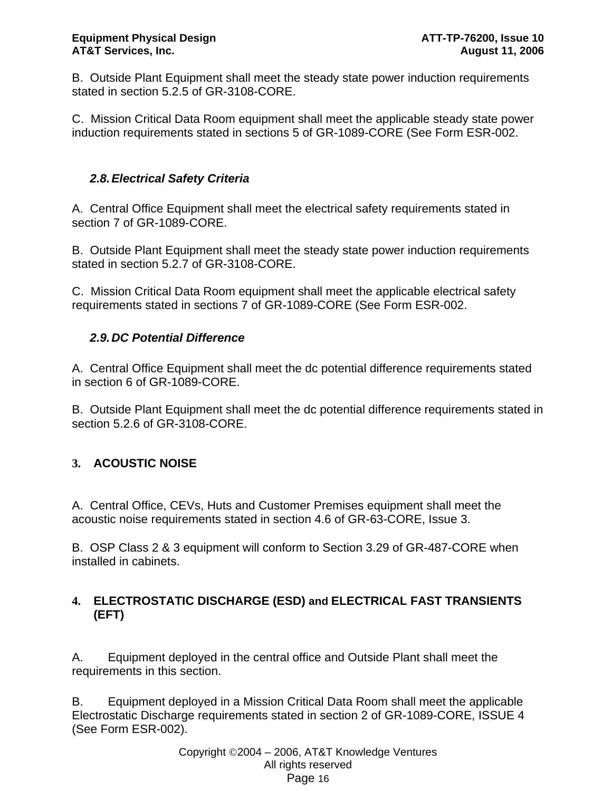B. Outside Plant Equipment shall meet the steady state power induction requirements stated in section 5.2.5 of GR-3108-CORE.

C. Mission Critical Data Room equipment shall meet the applicable steady state power induction requirements stated in sections 5 of GR-1089-CORE (See Form ESR-002.

# *2.8. Electrical Safety Criteria*

A. Central Office Equipment shall meet the electrical safety requirements stated in section 7 of GR-1089-CORE.

B. Outside Plant Equipment shall meet the steady state power induction requirements stated in section 5.2.7 of GR-3108-CORE.

C. Mission Critical Data Room equipment shall meet the applicable electrical safety requirements stated in sections 7 of GR-1089-CORE (See Form ESR-002.

# *2.9. DC Potential Difference*

A. Central Office Equipment shall meet the dc potential difference requirements stated in section 6 of GR-1089-CORE.

B. Outside Plant Equipment shall meet the dc potential difference requirements stated in section 5.2.6 of GR-3108-CORE.

# **3. ACOUSTIC NOISE**

A. Central Office, CEVs, Huts and Customer Premises equipment shall meet the acoustic noise requirements stated in section 4.6 of GR-63-CORE, Issue 3.

B. OSP Class 2 & 3 equipment will conform to Section 3.29 of GR-487-CORE when installed in cabinets.

# **4. ELECTROSTATIC DISCHARGE (ESD) and ELECTRICAL FAST TRANSIENTS (EFT)**

A. Equipment deployed in the central office and Outside Plant shall meet the requirements in this section.

B. Equipment deployed in a Mission Critical Data Room shall meet the applicable Electrostatic Discharge requirements stated in section 2 of GR-1089-CORE, ISSUE 4 (See Form ESR-002).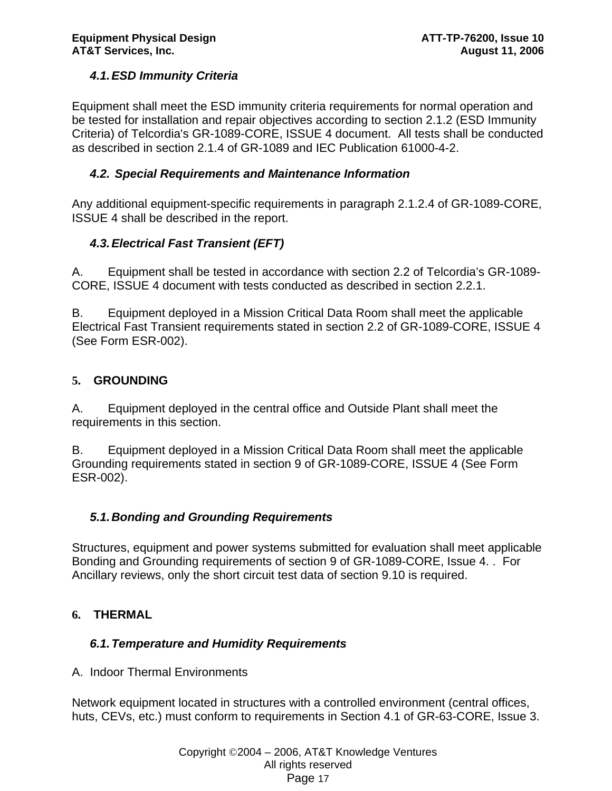# *4.1. ESD Immunity Criteria*

Equipment shall meet the ESD immunity criteria requirements for normal operation and be tested for installation and repair objectives according to section 2.1.2 (ESD Immunity Criteria) of Telcordia's GR-1089-CORE, ISSUE 4 document. All tests shall be conducted as described in section 2.1.4 of GR-1089 and IEC Publication 61000-4-2.

### *4.2. Special Requirements and Maintenance Information*

Any additional equipment-specific requirements in paragraph 2.1.2.4 of GR-1089-CORE, ISSUE 4 shall be described in the report.

# *4.3. Electrical Fast Transient (EFT)*

A. Equipment shall be tested in accordance with section 2.2 of Telcordia's GR-1089- CORE, ISSUE 4 document with tests conducted as described in section 2.2.1.

B. Equipment deployed in a Mission Critical Data Room shall meet the applicable Electrical Fast Transient requirements stated in section 2.2 of GR-1089-CORE, ISSUE 4 (See Form ESR-002).

# **5. GROUNDING**

A. Equipment deployed in the central office and Outside Plant shall meet the requirements in this section.

B. Equipment deployed in a Mission Critical Data Room shall meet the applicable Grounding requirements stated in section 9 of GR-1089-CORE, ISSUE 4 (See Form ESR-002).

# *5.1. Bonding and Grounding Requirements*

Structures, equipment and power systems submitted for evaluation shall meet applicable Bonding and Grounding requirements of section 9 of GR-1089-CORE, Issue 4. . For Ancillary reviews, only the short circuit test data of section 9.10 is required.

# **6. THERMAL**

# *6.1. Temperature and Humidity Requirements*

A. Indoor Thermal Environments

Network equipment located in structures with a controlled environment (central offices, huts, CEVs, etc.) must conform to requirements in Section 4.1 of GR-63-CORE, Issue 3.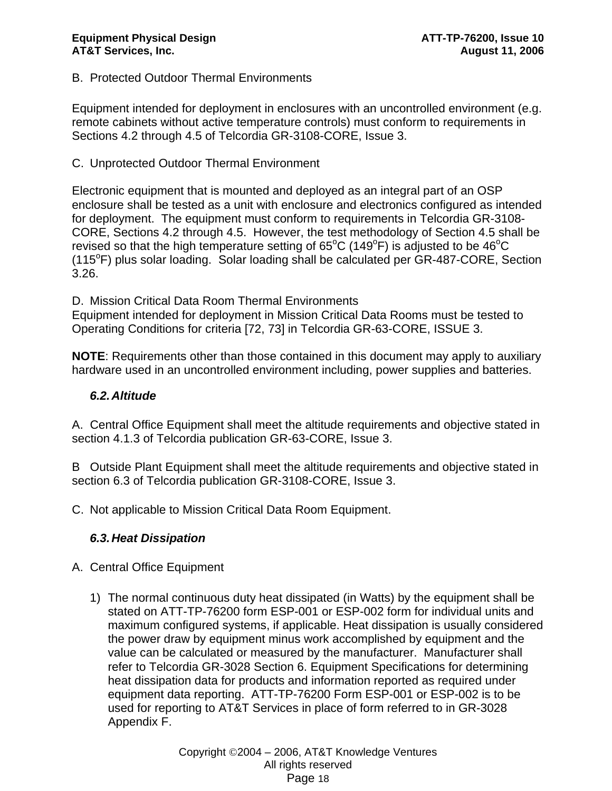### B. Protected Outdoor Thermal Environments

Equipment intended for deployment in enclosures with an uncontrolled environment (e.g. remote cabinets without active temperature controls) must conform to requirements in Sections 4.2 through 4.5 of Telcordia GR-3108-CORE, Issue 3.

### C. Unprotected Outdoor Thermal Environment

Electronic equipment that is mounted and deployed as an integral part of an OSP enclosure shall be tested as a unit with enclosure and electronics configured as intended for deployment. The equipment must conform to requirements in Telcordia GR-3108- CORE, Sections 4.2 through 4.5. However, the test methodology of Section 4.5 shall be revised so that the high temperature setting of  $65^{\circ}$ C (149 $^{\circ}$ F) is adjusted to be 46 $^{\circ}$ C (115°F) plus solar loading. Solar loading shall be calculated per GR-487-CORE, Section 3.26.

D. Mission Critical Data Room Thermal Environments

Equipment intended for deployment in Mission Critical Data Rooms must be tested to Operating Conditions for criteria [72, 73] in Telcordia GR-63-CORE, ISSUE 3.

**NOTE**: Requirements other than those contained in this document may apply to auxiliary hardware used in an uncontrolled environment including, power supplies and batteries.

#### *6.2. Altitude*

A. Central Office Equipment shall meet the altitude requirements and objective stated in section 4.1.3 of Telcordia publication GR-63-CORE, Issue 3.

B Outside Plant Equipment shall meet the altitude requirements and objective stated in section 6.3 of Telcordia publication GR-3108-CORE, Issue 3.

C. Not applicable to Mission Critical Data Room Equipment.

#### *6.3. Heat Dissipation*

- A. Central Office Equipment
	- 1) The normal continuous duty heat dissipated (in Watts) by the equipment shall be stated on ATT-TP-76200 form ESP-001 or ESP-002 form for individual units and maximum configured systems, if applicable. Heat dissipation is usually considered the power draw by equipment minus work accomplished by equipment and the value can be calculated or measured by the manufacturer. Manufacturer shall refer to Telcordia GR-3028 Section 6. Equipment Specifications for determining heat dissipation data for products and information reported as required under equipment data reporting. ATT-TP-76200 Form ESP-001 or ESP-002 is to be used for reporting to AT&T Services in place of form referred to in GR-3028 Appendix F.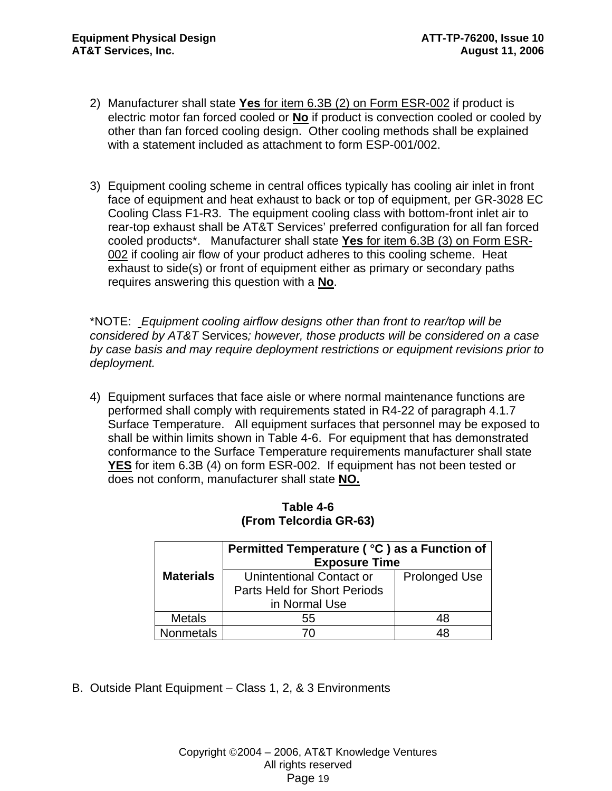- 2) Manufacturer shall state **Yes** for item 6.3B (2) on Form ESR-002 if product is electric motor fan forced cooled or **No** if product is convection cooled or cooled by other than fan forced cooling design. Other cooling methods shall be explained with a statement included as attachment to form ESP-001/002.
- 3) Equipment cooling scheme in central offices typically has cooling air inlet in front face of equipment and heat exhaust to back or top of equipment, per GR-3028 EC Cooling Class F1-R3. The equipment cooling class with bottom-front inlet air to rear-top exhaust shall be AT&T Services' preferred configuration for all fan forced cooled products\*. Manufacturer shall state **Yes** for item 6.3B (3) on Form ESR-002 if cooling air flow of your product adheres to this cooling scheme. Heat exhaust to side(s) or front of equipment either as primary or secondary paths requires answering this question with a **No**.

\*NOTE: *Equipment cooling airflow designs other than front to rear/top will be considered by AT&T* Services*; however, those products will be considered on a case by case basis and may require deployment restrictions or equipment revisions prior to deployment.*

4) Equipment surfaces that face aisle or where normal maintenance functions are performed shall comply with requirements stated in R4-22 of paragraph 4.1.7 Surface Temperature. All equipment surfaces that personnel may be exposed to shall be within limits shown in Table 4-6. For equipment that has demonstrated conformance to the Surface Temperature requirements manufacturer shall state **YES** for item 6.3B (4) on form ESR-002. If equipment has not been tested or does not conform, manufacturer shall state **NO.**

|                  | Permitted Temperature ( °C ) as a Function of<br><b>Exposure Time</b>     |                      |  |  |
|------------------|---------------------------------------------------------------------------|----------------------|--|--|
| <b>Materials</b> | Unintentional Contact or<br>Parts Held for Short Periods<br>in Normal Use | <b>Prolonged Use</b> |  |  |
| <b>Metals</b>    | 55                                                                        | 48                   |  |  |
| Nonmetals        |                                                                           | 48                   |  |  |

| Table 4-6              |
|------------------------|
| (From Telcordia GR-63) |

B. Outside Plant Equipment – Class 1, 2, & 3 Environments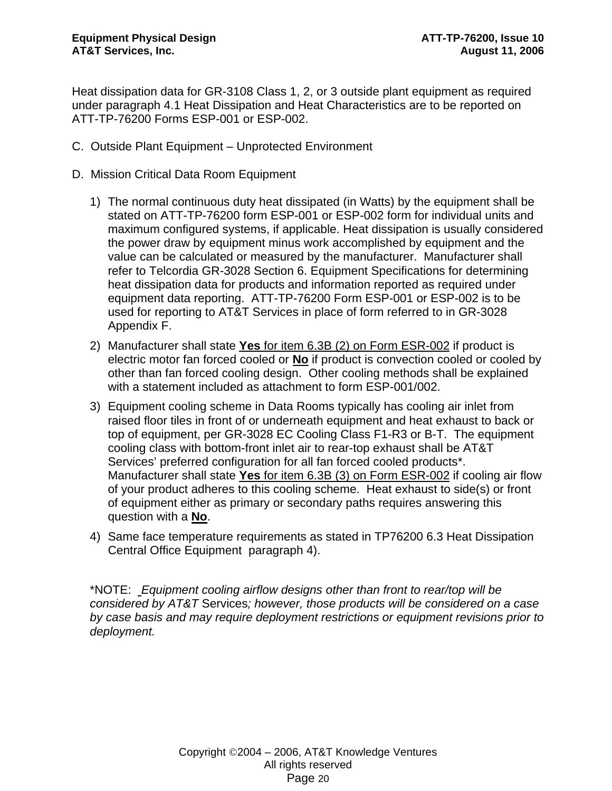Heat dissipation data for GR-3108 Class 1, 2, or 3 outside plant equipment as required under paragraph 4.1 Heat Dissipation and Heat Characteristics are to be reported on ATT-TP-76200 Forms ESP-001 or ESP-002.

- C. Outside Plant Equipment Unprotected Environment
- D. Mission Critical Data Room Equipment
	- 1) The normal continuous duty heat dissipated (in Watts) by the equipment shall be stated on ATT-TP-76200 form ESP-001 or ESP-002 form for individual units and maximum configured systems, if applicable. Heat dissipation is usually considered the power draw by equipment minus work accomplished by equipment and the value can be calculated or measured by the manufacturer. Manufacturer shall refer to Telcordia GR-3028 Section 6. Equipment Specifications for determining heat dissipation data for products and information reported as required under equipment data reporting. ATT-TP-76200 Form ESP-001 or ESP-002 is to be used for reporting to AT&T Services in place of form referred to in GR-3028 Appendix F.
	- 2) Manufacturer shall state **Yes** for item 6.3B (2) on Form ESR-002 if product is electric motor fan forced cooled or **No** if product is convection cooled or cooled by other than fan forced cooling design. Other cooling methods shall be explained with a statement included as attachment to form ESP-001/002.
	- 3) Equipment cooling scheme in Data Rooms typically has cooling air inlet from raised floor tiles in front of or underneath equipment and heat exhaust to back or top of equipment, per GR-3028 EC Cooling Class F1-R3 or B-T. The equipment cooling class with bottom-front inlet air to rear-top exhaust shall be AT&T Services' preferred configuration for all fan forced cooled products\*. Manufacturer shall state **Yes** for item 6.3B (3) on Form ESR-002 if cooling air flow of your product adheres to this cooling scheme. Heat exhaust to side(s) or front of equipment either as primary or secondary paths requires answering this question with a **No**.
	- 4) Same face temperature requirements as stated in TP76200 6.3 Heat Dissipation Central Office Equipment paragraph 4).

\*NOTE: *Equipment cooling airflow designs other than front to rear/top will be considered by AT&T* Services*; however, those products will be considered on a case by case basis and may require deployment restrictions or equipment revisions prior to deployment.*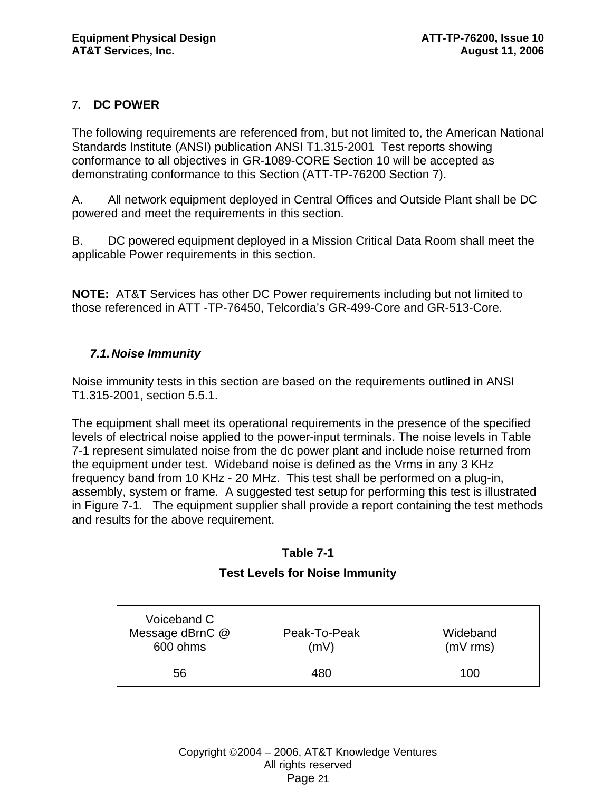# **7. DC POWER**

The following requirements are referenced from, but not limited to, the American National Standards Institute (ANSI) publication ANSI T1.315-2001 Test reports showing conformance to all objectives in GR-1089-CORE Section 10 will be accepted as demonstrating conformance to this Section (ATT-TP-76200 Section 7).

A. All network equipment deployed in Central Offices and Outside Plant shall be DC powered and meet the requirements in this section.

B. DC powered equipment deployed in a Mission Critical Data Room shall meet the applicable Power requirements in this section.

**NOTE:**AT&T Services has other DC Power requirements including but not limited to those referenced in ATT -TP-76450, Telcordia's GR-499-Core and GR-513-Core.

### *7.1. Noise Immunity*

Noise immunity tests in this section are based on the requirements outlined in ANSI T1.315-2001, section 5.5.1.

The equipment shall meet its operational requirements in the presence of the specified levels of electrical noise applied to the power-input terminals. The noise levels in Table 7-1 represent simulated noise from the dc power plant and include noise returned from the equipment under test. Wideband noise is defined as the Vrms in any 3 KHz frequency band from 10 KHz - 20 MHz. This test shall be performed on a plug-in, assembly, system or frame. A suggested test setup for performing this test is illustrated in Figure 7-1. The equipment supplier shall provide a report containing the test methods and results for the above requirement.

#### **Table 7-1**

#### **Test Levels for Noise Immunity**

| Voiceband C<br>Message dBrnC @<br>Peak-To-Peak<br>600 ohms<br>(mV) |     | Wideband<br>$(mV$ rms) |
|--------------------------------------------------------------------|-----|------------------------|
| 56                                                                 | 480 | 100                    |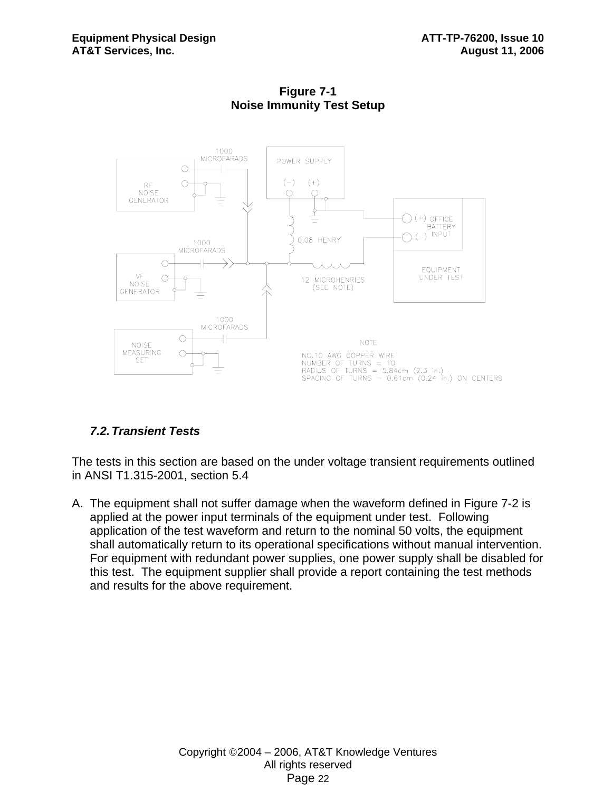

**Figure 7-1 Noise Immunity Test Setup** 

# *7.2. Transient Tests*

The tests in this section are based on the under voltage transient requirements outlined in ANSI T1.315-2001, section 5.4

A. The equipment shall not suffer damage when the waveform defined in Figure 7-2 is applied at the power input terminals of the equipment under test. Following application of the test waveform and return to the nominal 50 volts, the equipment shall automatically return to its operational specifications without manual intervention. For equipment with redundant power supplies, one power supply shall be disabled for this test. The equipment supplier shall provide a report containing the test methods and results for the above requirement.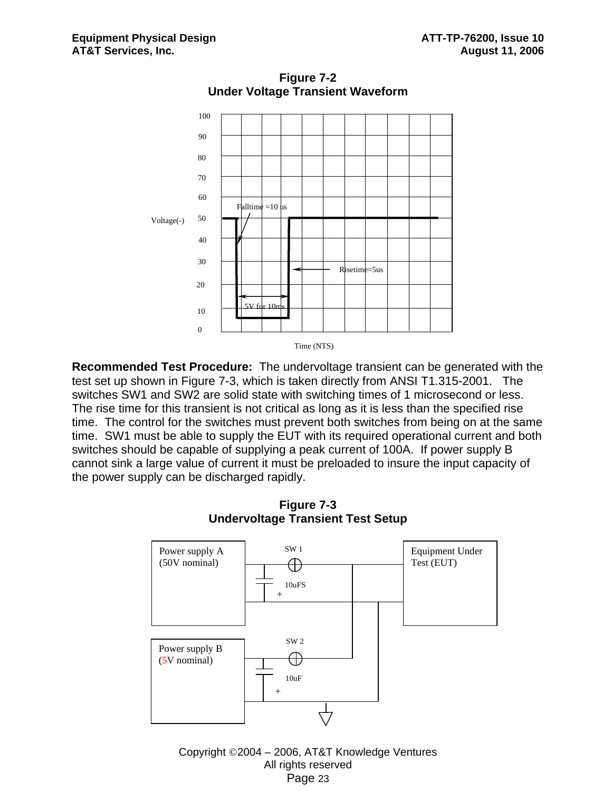

**Figure 7-2 Under Voltage Transient Waveform**

**Recommended Test Procedure:** The undervoltage transient can be generated with the test set up shown in Figure 7-3, which is taken directly from ANSI T1.315-2001. The switches SW1 and SW2 are solid state with switching times of 1 microsecond or less. The rise time for this transient is not critical as long as it is less than the specified rise time. The control for the switches must prevent both switches from being on at the same time. SW1 must be able to supply the EUT with its required operational current and both switches should be capable of supplying a peak current of 100A. If power supply B cannot sink a large value of current it must be preloaded to insure the input capacity of the power supply can be discharged rapidly.



**Figure 7-3 Undervoltage Transient Test Setup**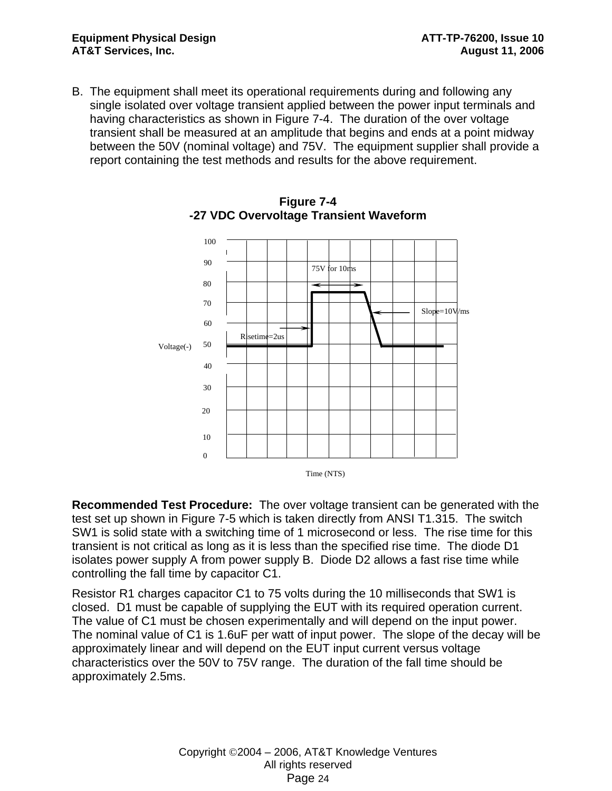B. The equipment shall meet its operational requirements during and following any single isolated over voltage transient applied between the power input terminals and having characteristics as shown in Figure 7-4. The duration of the over voltage transient shall be measured at an amplitude that begins and ends at a point midway between the 50V (nominal voltage) and 75V. The equipment supplier shall provide a report containing the test methods and results for the above requirement.





**Recommended Test Procedure:** The over voltage transient can be generated with the test set up shown in Figure 7-5 which is taken directly from ANSI T1.315. The switch SW1 is solid state with a switching time of 1 microsecond or less. The rise time for this transient is not critical as long as it is less than the specified rise time. The diode D1 isolates power supply A from power supply B. Diode D2 allows a fast rise time while controlling the fall time by capacitor C1.

Resistor R1 charges capacitor C1 to 75 volts during the 10 milliseconds that SW1 is closed. D1 must be capable of supplying the EUT with its required operation current. The value of C1 must be chosen experimentally and will depend on the input power. The nominal value of C1 is 1.6uF per watt of input power. The slope of the decay will be approximately linear and will depend on the EUT input current versus voltage characteristics over the 50V to 75V range. The duration of the fall time should be approximately 2.5ms.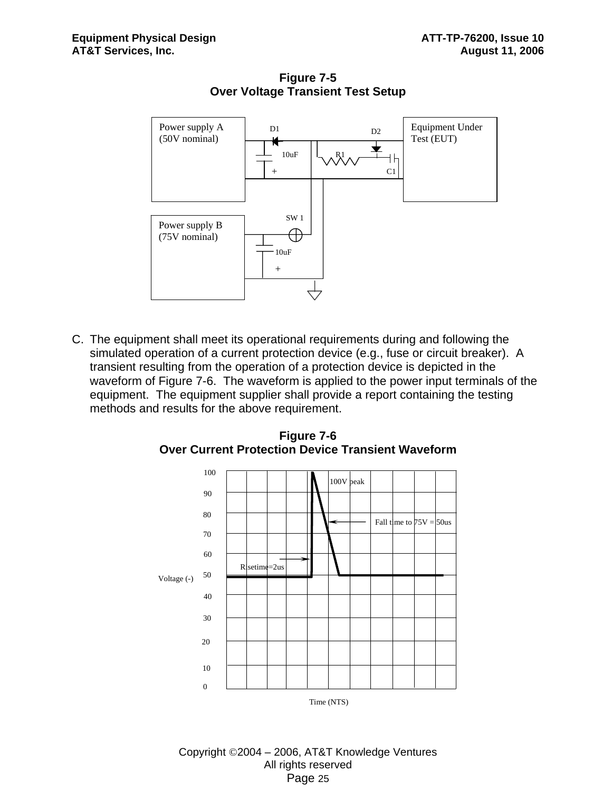

**Figure 7-5 Over Voltage Transient Test Setup** 

C. The equipment shall meet its operational requirements during and following the simulated operation of a current protection device (e.g., fuse or circuit breaker). A transient resulting from the operation of a protection device is depicted in the waveform of Figure 7-6. The waveform is applied to the power input terminals of the equipment. The equipment supplier shall provide a report containing the testing methods and results for the above requirement.



**Figure 7-6 Over Current Protection Device Transient Waveform**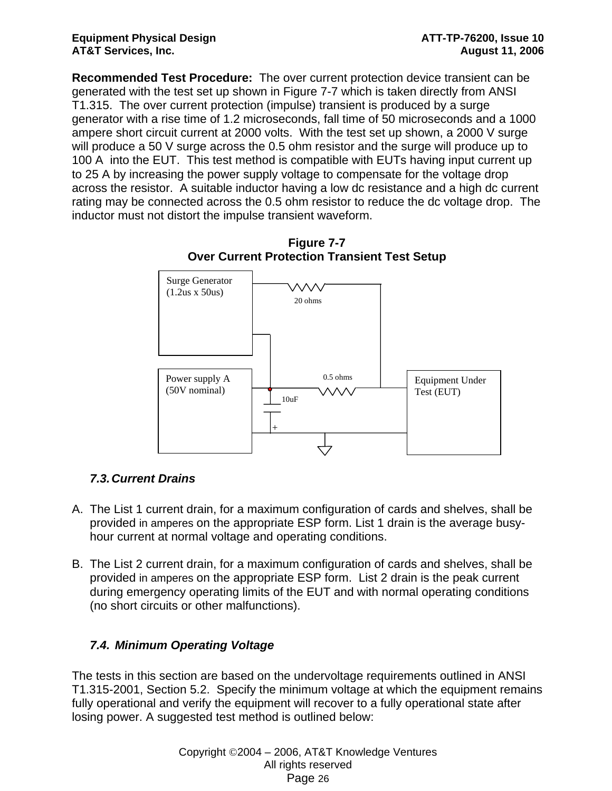**Recommended Test Procedure:** The over current protection device transient can be generated with the test set up shown in Figure 7-7 which is taken directly from ANSI T1.315. The over current protection (impulse) transient is produced by a surge generator with a rise time of 1.2 microseconds, fall time of 50 microseconds and a 1000 ampere short circuit current at 2000 volts. With the test set up shown, a 2000 V surge will produce a 50 V surge across the 0.5 ohm resistor and the surge will produce up to 100 A into the EUT. This test method is compatible with EUTs having input current up to 25 A by increasing the power supply voltage to compensate for the voltage drop across the resistor. A suitable inductor having a low dc resistance and a high dc current rating may be connected across the 0.5 ohm resistor to reduce the dc voltage drop. The inductor must not distort the impulse transient waveform.



**Figure 7-7 Over Current Protection Transient Test Setup** 

# *7.3. Current Drains*

- A. The List 1 current drain, for a maximum configuration of cards and shelves, shall be provided in amperes on the appropriate ESP form. List 1 drain is the average busyhour current at normal voltage and operating conditions.
- B. The List 2 current drain, for a maximum configuration of cards and shelves, shall be provided in amperes on the appropriate ESP form. List 2 drain is the peak current during emergency operating limits of the EUT and with normal operating conditions (no short circuits or other malfunctions).

# *7.4. Minimum Operating Voltage*

The tests in this section are based on the undervoltage requirements outlined in ANSI T1.315-2001, Section 5.2. Specify the minimum voltage at which the equipment remains fully operational and verify the equipment will recover to a fully operational state after losing power. A suggested test method is outlined below: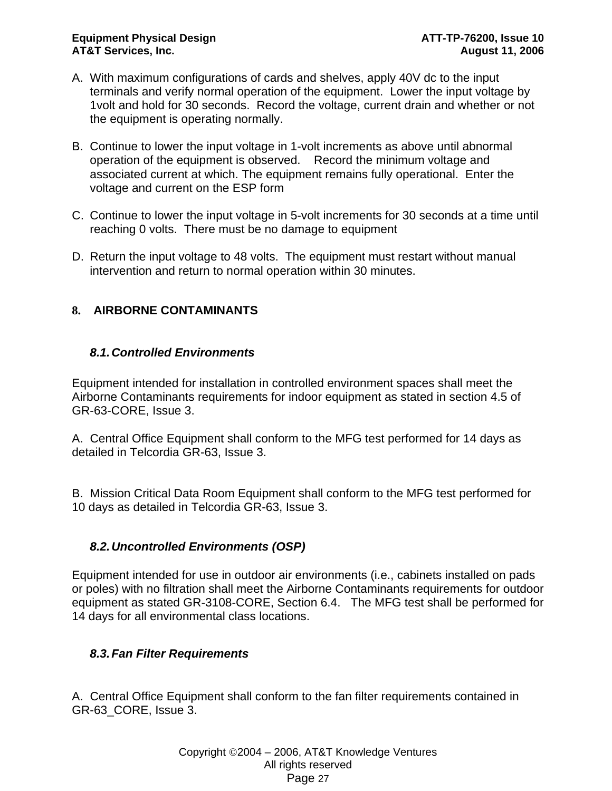- A. With maximum configurations of cards and shelves, apply 40V dc to the input terminals and verify normal operation of the equipment. Lower the input voltage by 1volt and hold for 30 seconds. Record the voltage, current drain and whether or not the equipment is operating normally.
- B. Continue to lower the input voltage in 1-volt increments as above until abnormal operation of the equipment is observed. Record the minimum voltage and associated current at which. The equipment remains fully operational. Enter the voltage and current on the ESP form
- C. Continue to lower the input voltage in 5-volt increments for 30 seconds at a time until reaching 0 volts. There must be no damage to equipment
- D. Return the input voltage to 48 volts. The equipment must restart without manual intervention and return to normal operation within 30 minutes.

# **8. AIRBORNE CONTAMINANTS**

# *8.1. Controlled Environments*

Equipment intended for installation in controlled environment spaces shall meet the Airborne Contaminants requirements for indoor equipment as stated in section 4.5 of GR-63-CORE, Issue 3.

A. Central Office Equipment shall conform to the MFG test performed for 14 days as detailed in Telcordia GR-63, Issue 3.

B. Mission Critical Data Room Equipment shall conform to the MFG test performed for 10 days as detailed in Telcordia GR-63, Issue 3.

# *8.2. Uncontrolled Environments (OSP)*

Equipment intended for use in outdoor air environments (i.e., cabinets installed on pads or poles) with no filtration shall meet the Airborne Contaminants requirements for outdoor equipment as stated GR-3108-CORE, Section 6.4. The MFG test shall be performed for 14 days for all environmental class locations.

# *8.3. Fan Filter Requirements*

A. Central Office Equipment shall conform to the fan filter requirements contained in GR-63\_CORE, Issue 3.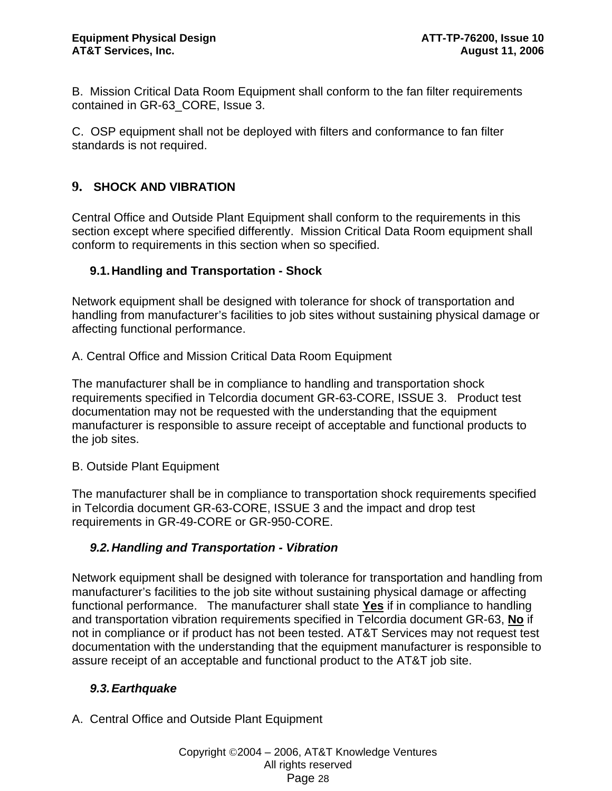B. Mission Critical Data Room Equipment shall conform to the fan filter requirements contained in GR-63\_CORE, Issue 3.

C. OSP equipment shall not be deployed with filters and conformance to fan filter standards is not required.

# **9. SHOCK AND VIBRATION**

Central Office and Outside Plant Equipment shall conform to the requirements in this section except where specified differently. Mission Critical Data Room equipment shall conform to requirements in this section when so specified.

### **9.1. Handling and Transportation - Shock**

Network equipment shall be designed with tolerance for shock of transportation and handling from manufacturer's facilities to job sites without sustaining physical damage or affecting functional performance.

A. Central Office and Mission Critical Data Room Equipment

The manufacturer shall be in compliance to handling and transportation shock requirements specified in Telcordia document GR-63-CORE, ISSUE 3. Product test documentation may not be requested with the understanding that the equipment manufacturer is responsible to assure receipt of acceptable and functional products to the job sites.

B. Outside Plant Equipment

The manufacturer shall be in compliance to transportation shock requirements specified in Telcordia document GR-63-CORE, ISSUE 3 and the impact and drop test requirements in GR-49-CORE or GR-950-CORE.

# *9.2. Handling and Transportation - Vibration*

Network equipment shall be designed with tolerance for transportation and handling from manufacturer's facilities to the job site without sustaining physical damage or affecting functional performance. The manufacturer shall state **Yes** if in compliance to handling and transportation vibration requirements specified in Telcordia document GR-63, **No** if not in compliance or if product has not been tested. AT&T Services may not request test documentation with the understanding that the equipment manufacturer is responsible to assure receipt of an acceptable and functional product to the AT&T job site.

# *9.3. Earthquake*

A. Central Office and Outside Plant Equipment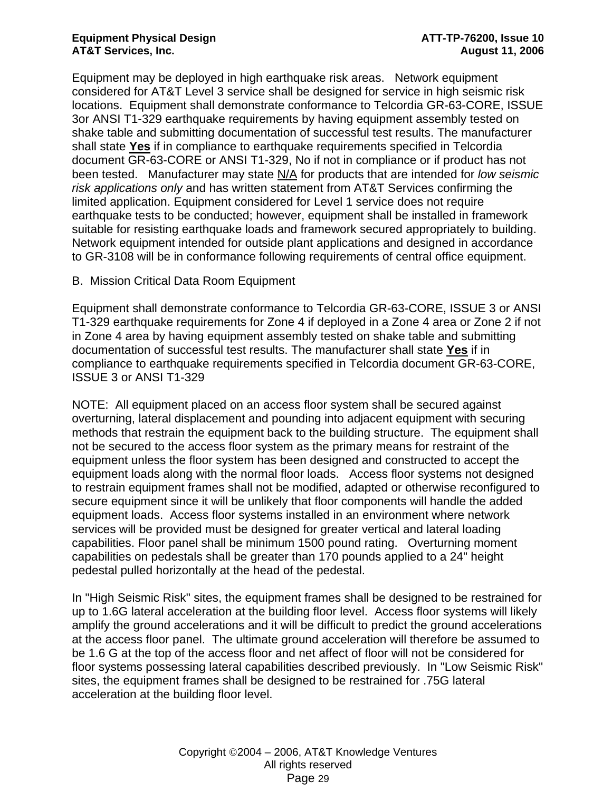Equipment may be deployed in high earthquake risk areas. Network equipment considered for AT&T Level 3 service shall be designed for service in high seismic risk locations. Equipment shall demonstrate conformance to Telcordia GR-63-CORE, ISSUE 3or ANSI T1-329 earthquake requirements by having equipment assembly tested on shake table and submitting documentation of successful test results. The manufacturer shall state **Yes** if in compliance to earthquake requirements specified in Telcordia document GR-63-CORE or ANSI T1-329, No if not in compliance or if product has not been tested. Manufacturer may state N/A for products that are intended for *low seismic risk applications only* and has written statement from AT&T Services confirming the limited application. Equipment considered for Level 1 service does not require earthquake tests to be conducted; however, equipment shall be installed in framework suitable for resisting earthquake loads and framework secured appropriately to building. Network equipment intended for outside plant applications and designed in accordance to GR-3108 will be in conformance following requirements of central office equipment.

B. Mission Critical Data Room Equipment

Equipment shall demonstrate conformance to Telcordia GR-63-CORE, ISSUE 3 or ANSI T1-329 earthquake requirements for Zone 4 if deployed in a Zone 4 area or Zone 2 if not in Zone 4 area by having equipment assembly tested on shake table and submitting documentation of successful test results. The manufacturer shall state **Yes** if in compliance to earthquake requirements specified in Telcordia document GR-63-CORE, ISSUE 3 or ANSI T1-329

NOTE: All equipment placed on an access floor system shall be secured against overturning, lateral displacement and pounding into adjacent equipment with securing methods that restrain the equipment back to the building structure. The equipment shall not be secured to the access floor system as the primary means for restraint of the equipment unless the floor system has been designed and constructed to accept the equipment loads along with the normal floor loads. Access floor systems not designed to restrain equipment frames shall not be modified, adapted or otherwise reconfigured to secure equipment since it will be unlikely that floor components will handle the added equipment loads. Access floor systems installed in an environment where network services will be provided must be designed for greater vertical and lateral loading capabilities. Floor panel shall be minimum 1500 pound rating. Overturning moment capabilities on pedestals shall be greater than 170 pounds applied to a 24" height pedestal pulled horizontally at the head of the pedestal.

In "High Seismic Risk" sites, the equipment frames shall be designed to be restrained for up to 1.6G lateral acceleration at the building floor level. Access floor systems will likely amplify the ground accelerations and it will be difficult to predict the ground accelerations at the access floor panel. The ultimate ground acceleration will therefore be assumed to be 1.6 G at the top of the access floor and net affect of floor will not be considered for floor systems possessing lateral capabilities described previously. In "Low Seismic Risk" sites, the equipment frames shall be designed to be restrained for .75G lateral acceleration at the building floor level.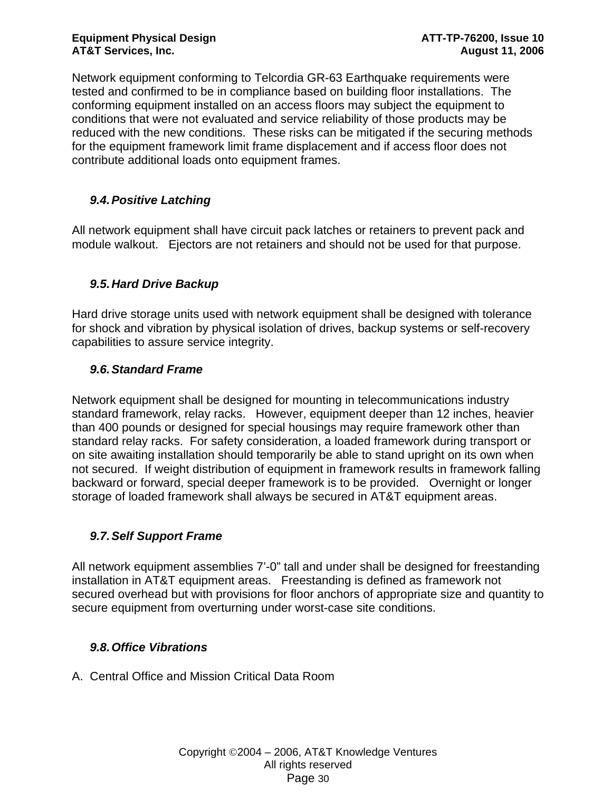Network equipment conforming to Telcordia GR-63 Earthquake requirements were tested and confirmed to be in compliance based on building floor installations. The conforming equipment installed on an access floors may subject the equipment to conditions that were not evaluated and service reliability of those products may be reduced with the new conditions. These risks can be mitigated if the securing methods for the equipment framework limit frame displacement and if access floor does not contribute additional loads onto equipment frames.

# *9.4. Positive Latching*

All network equipment shall have circuit pack latches or retainers to prevent pack and module walkout. Ejectors are not retainers and should not be used for that purpose.

# *9.5. Hard Drive Backup*

Hard drive storage units used with network equipment shall be designed with tolerance for shock and vibration by physical isolation of drives, backup systems or self-recovery capabilities to assure service integrity.

# *9.6. Standard Frame*

Network equipment shall be designed for mounting in telecommunications industry standard framework, relay racks. However, equipment deeper than 12 inches, heavier than 400 pounds or designed for special housings may require framework other than standard relay racks. For safety consideration, a loaded framework during transport or on site awaiting installation should temporarily be able to stand upright on its own when not secured. If weight distribution of equipment in framework results in framework falling backward or forward, special deeper framework is to be provided. Overnight or longer storage of loaded framework shall always be secured in AT&T equipment areas.

# *9.7. Self Support Frame*

All network equipment assemblies 7'-0" tall and under shall be designed for freestanding installation in AT&T equipment areas. Freestanding is defined as framework not secured overhead but with provisions for floor anchors of appropriate size and quantity to secure equipment from overturning under worst-case site conditions.

# *9.8. Office Vibrations*

A. Central Office and Mission Critical Data Room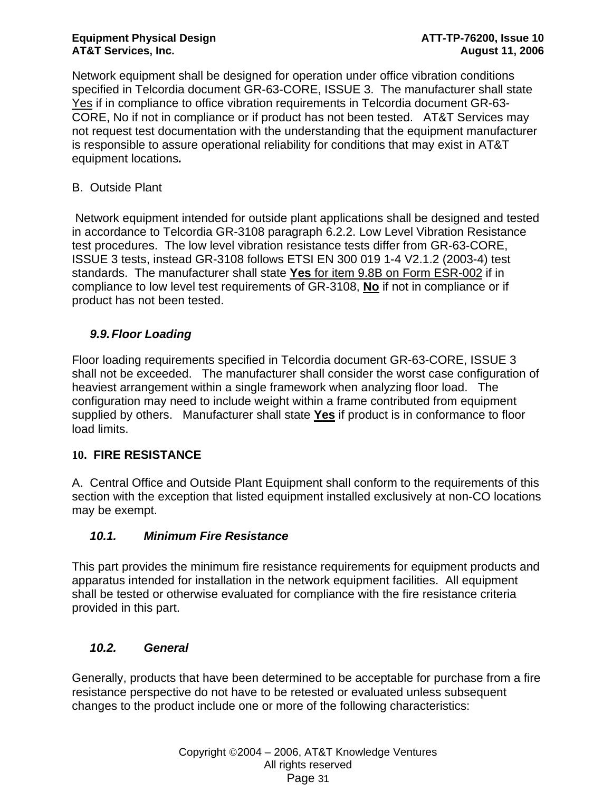Network equipment shall be designed for operation under office vibration conditions specified in Telcordia document GR-63-CORE, ISSUE 3. The manufacturer shall state Yes if in compliance to office vibration requirements in Telcordia document GR-63- CORE, No if not in compliance or if product has not been tested. AT&T Services may not request test documentation with the understanding that the equipment manufacturer is responsible to assure operational reliability for conditions that may exist in AT&T equipment locations*.* 

# B. Outside Plant

 Network equipment intended for outside plant applications shall be designed and tested in accordance to Telcordia GR-3108 paragraph 6.2.2. Low Level Vibration Resistance test procedures. The low level vibration resistance tests differ from GR-63-CORE, ISSUE 3 tests, instead GR-3108 follows ETSI EN 300 019 1-4 V2.1.2 (2003-4) test standards. The manufacturer shall state **Yes** for item 9.8B on Form ESR-002 if in compliance to low level test requirements of GR-3108, **No** if not in compliance or if product has not been tested.

# *9.9. Floor Loading*

Floor loading requirements specified in Telcordia document GR-63-CORE, ISSUE 3 shall not be exceeded. The manufacturer shall consider the worst case configuration of heaviest arrangement within a single framework when analyzing floor load. The configuration may need to include weight within a frame contributed from equipment supplied by others. Manufacturer shall state **Yes** if product is in conformance to floor load limits.

# **10. FIRE RESISTANCE**

A. Central Office and Outside Plant Equipment shall conform to the requirements of this section with the exception that listed equipment installed exclusively at non-CO locations may be exempt.

# *10.1. Minimum Fire Resistance*

This part provides the minimum fire resistance requirements for equipment products and apparatus intended for installation in the network equipment facilities. All equipment shall be tested or otherwise evaluated for compliance with the fire resistance criteria provided in this part.

# *10.2. General*

Generally, products that have been determined to be acceptable for purchase from a fire resistance perspective do not have to be retested or evaluated unless subsequent changes to the product include one or more of the following characteristics: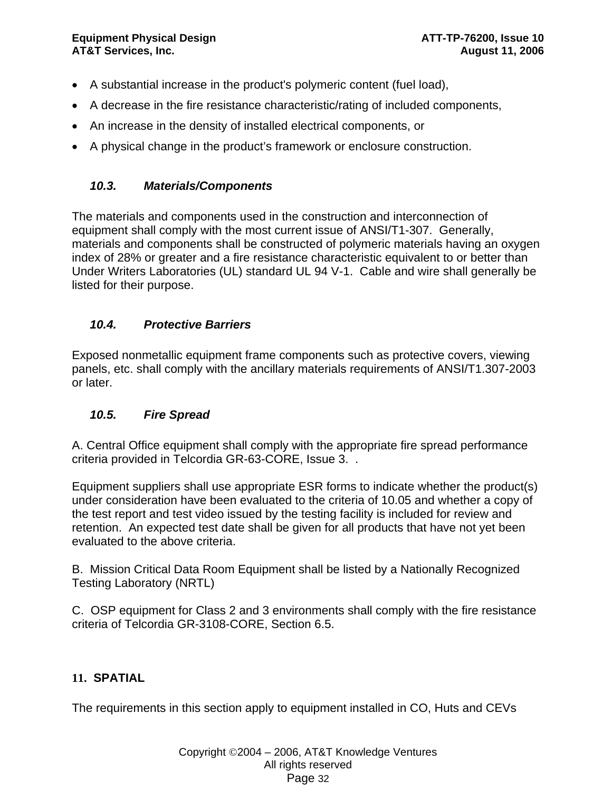- A substantial increase in the product's polymeric content (fuel load),
- A decrease in the fire resistance characteristic/rating of included components,
- An increase in the density of installed electrical components, or
- A physical change in the product's framework or enclosure construction.

# *10.3. Materials/Components*

The materials and components used in the construction and interconnection of equipment shall comply with the most current issue of ANSI/T1-307. Generally, materials and components shall be constructed of polymeric materials having an oxygen index of 28% or greater and a fire resistance characteristic equivalent to or better than Under Writers Laboratories (UL) standard UL 94 V-1. Cable and wire shall generally be listed for their purpose.

# *10.4. Protective Barriers*

Exposed nonmetallic equipment frame components such as protective covers, viewing panels, etc. shall comply with the ancillary materials requirements of ANSI/T1.307-2003 or later.

# *10.5. Fire Spread*

A. Central Office equipment shall comply with the appropriate fire spread performance criteria provided in Telcordia GR-63-CORE, Issue 3. .

Equipment suppliers shall use appropriate ESR forms to indicate whether the product(s) under consideration have been evaluated to the criteria of 10.05 and whether a copy of the test report and test video issued by the testing facility is included for review and retention. An expected test date shall be given for all products that have not yet been evaluated to the above criteria.

B. Mission Critical Data Room Equipment shall be listed by a Nationally Recognized Testing Laboratory (NRTL)

C. OSP equipment for Class 2 and 3 environments shall comply with the fire resistance criteria of Telcordia GR-3108-CORE, Section 6.5.

# **11. SPATIAL**

The requirements in this section apply to equipment installed in CO, Huts and CEVs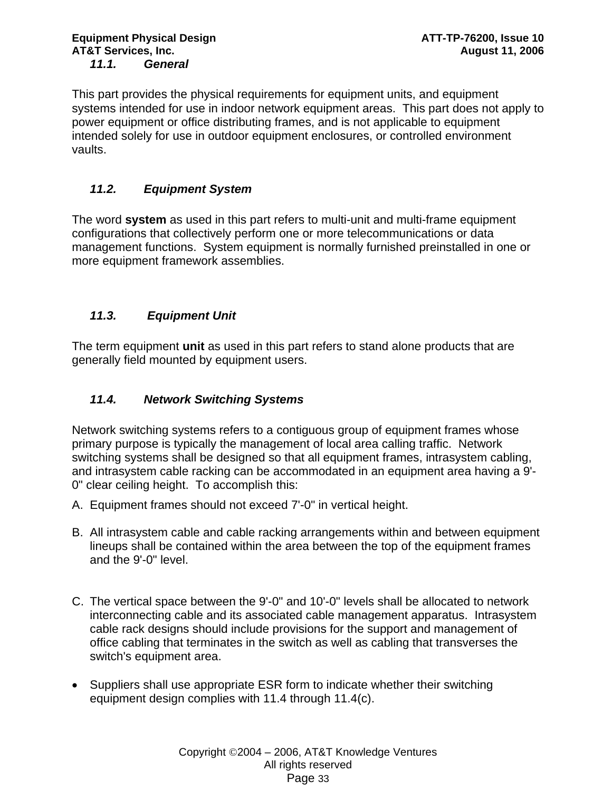This part provides the physical requirements for equipment units, and equipment systems intended for use in indoor network equipment areas. This part does not apply to power equipment or office distributing frames, and is not applicable to equipment intended solely for use in outdoor equipment enclosures, or controlled environment vaults.

# *11.2. Equipment System*

The word **system** as used in this part refers to multi-unit and multi-frame equipment configurations that collectively perform one or more telecommunications or data management functions. System equipment is normally furnished preinstalled in one or more equipment framework assemblies.

# *11.3. Equipment Unit*

The term equipment **unit** as used in this part refers to stand alone products that are generally field mounted by equipment users.

# *11.4. Network Switching Systems*

Network switching systems refers to a contiguous group of equipment frames whose primary purpose is typically the management of local area calling traffic. Network switching systems shall be designed so that all equipment frames, intrasystem cabling, and intrasystem cable racking can be accommodated in an equipment area having a 9'- 0" clear ceiling height. To accomplish this:

- A. Equipment frames should not exceed 7'-0" in vertical height.
- B. All intrasystem cable and cable racking arrangements within and between equipment lineups shall be contained within the area between the top of the equipment frames and the 9'-0" level.
- C. The vertical space between the 9'-0" and 10'-0" levels shall be allocated to network interconnecting cable and its associated cable management apparatus. Intrasystem cable rack designs should include provisions for the support and management of office cabling that terminates in the switch as well as cabling that transverses the switch's equipment area.
- Suppliers shall use appropriate ESR form to indicate whether their switching equipment design complies with 11.4 through 11.4(c).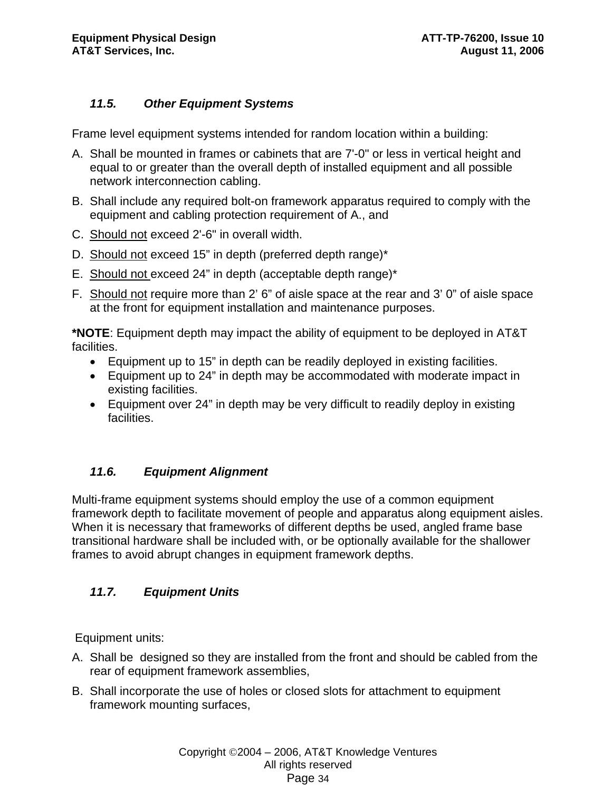# *11.5. Other Equipment Systems*

Frame level equipment systems intended for random location within a building:

- A. Shall be mounted in frames or cabinets that are 7'-0" or less in vertical height and equal to or greater than the overall depth of installed equipment and all possible network interconnection cabling.
- B. Shall include any required bolt-on framework apparatus required to comply with the equipment and cabling protection requirement of A., and
- C. Should not exceed 2'-6" in overall width.
- D. Should not exceed 15" in depth (preferred depth range)\*
- E. Should not exceed 24" in depth (acceptable depth range)\*
- F. Should not require more than 2' 6" of aisle space at the rear and 3' 0" of aisle space at the front for equipment installation and maintenance purposes.

**\*NOTE**: Equipment depth may impact the ability of equipment to be deployed in AT&T facilities.

- Equipment up to 15" in depth can be readily deployed in existing facilities.
- Equipment up to 24" in depth may be accommodated with moderate impact in existing facilities.
- Equipment over 24" in depth may be very difficult to readily deploy in existing facilities.

# *11.6. Equipment Alignment*

Multi-frame equipment systems should employ the use of a common equipment framework depth to facilitate movement of people and apparatus along equipment aisles. When it is necessary that frameworks of different depths be used, angled frame base transitional hardware shall be included with, or be optionally available for the shallower frames to avoid abrupt changes in equipment framework depths.

# *11.7. Equipment Units*

Equipment units:

- A. Shall be designed so they are installed from the front and should be cabled from the rear of equipment framework assemblies,
- B. Shall incorporate the use of holes or closed slots for attachment to equipment framework mounting surfaces,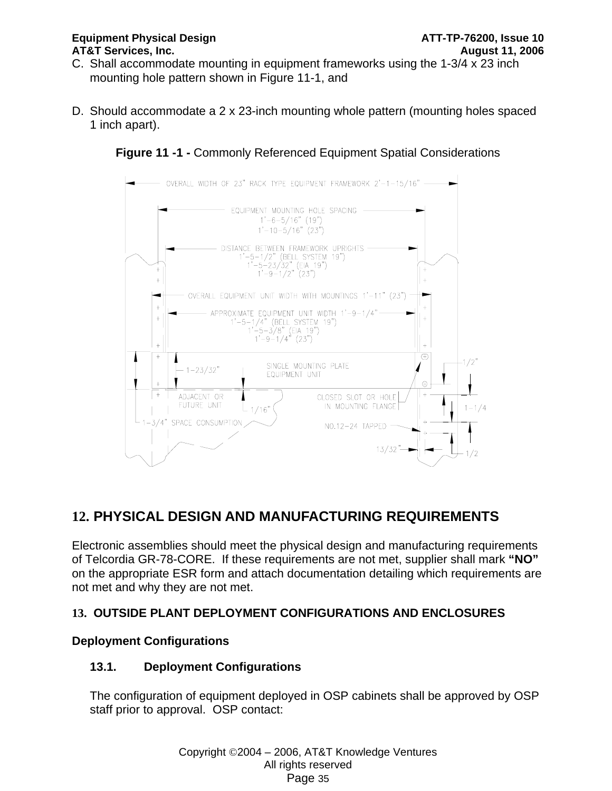#### **Equipment Physical Design ATT-TP-76200, Issue 10 AT&T Services, Inc. August 11, 2006**

- C. Shall accommodate mounting in equipment frameworks using the 1-3/4 x 23 inch mounting hole pattern shown in Figure 11-1, and
- D. Should accommodate a 2 x 23-inch mounting whole pattern (mounting holes spaced 1 inch apart).

**Figure 11 -1 -** Commonly Referenced Equipment Spatial Considerations



# **12. PHYSICAL DESIGN AND MANUFACTURING REQUIREMENTS**

Electronic assemblies should meet the physical design and manufacturing requirements of Telcordia GR-78-CORE. If these requirements are not met, supplier shall mark **"NO"** on the appropriate ESR form and attach documentation detailing which requirements are not met and why they are not met.

# **13. OUTSIDE PLANT DEPLOYMENT CONFIGURATIONS AND ENCLOSURES**

# **Deployment Configurations**

# **13.1. Deployment Configurations**

The configuration of equipment deployed in OSP cabinets shall be approved by OSP staff prior to approval. OSP contact: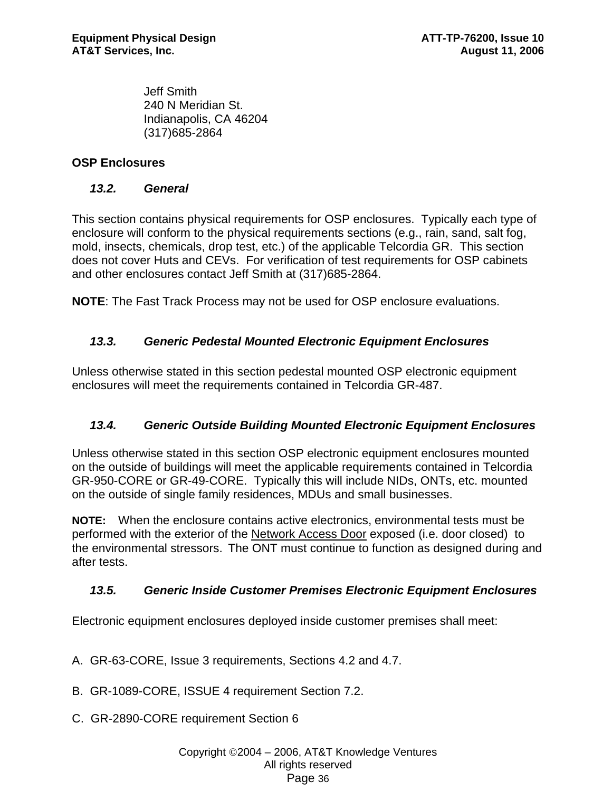Jeff Smith 240 N Meridian St. Indianapolis, CA 46204 (317)685-2864

# **OSP Enclosures**

### *13.2. General*

This section contains physical requirements for OSP enclosures. Typically each type of enclosure will conform to the physical requirements sections (e.g., rain, sand, salt fog, mold, insects, chemicals, drop test, etc.) of the applicable Telcordia GR. This section does not cover Huts and CEVs. For verification of test requirements for OSP cabinets and other enclosures contact Jeff Smith at (317)685-2864.

**NOTE**: The Fast Track Process may not be used for OSP enclosure evaluations.

# *13.3. Generic Pedestal Mounted Electronic Equipment Enclosures*

Unless otherwise stated in this section pedestal mounted OSP electronic equipment enclosures will meet the requirements contained in Telcordia GR-487.

# *13.4. Generic Outside Building Mounted Electronic Equipment Enclosures*

Unless otherwise stated in this section OSP electronic equipment enclosures mounted on the outside of buildings will meet the applicable requirements contained in Telcordia GR-950-CORE or GR-49-CORE. Typically this will include NIDs, ONTs, etc. mounted on the outside of single family residences, MDUs and small businesses.

**NOTE:** When the enclosure contains active electronics, environmental tests must be performed with the exterior of the Network Access Door exposed (i.e. door closed) to the environmental stressors.The ONT must continue to function as designed during and after tests.

# *13.5. Generic Inside Customer Premises Electronic Equipment Enclosures*

Electronic equipment enclosures deployed inside customer premises shall meet:

- A. GR-63-CORE, Issue 3 requirements, Sections 4.2 and 4.7.
- B. GR-1089-CORE, ISSUE 4 requirement Section 7.2.
- C. GR-2890-CORE requirement Section 6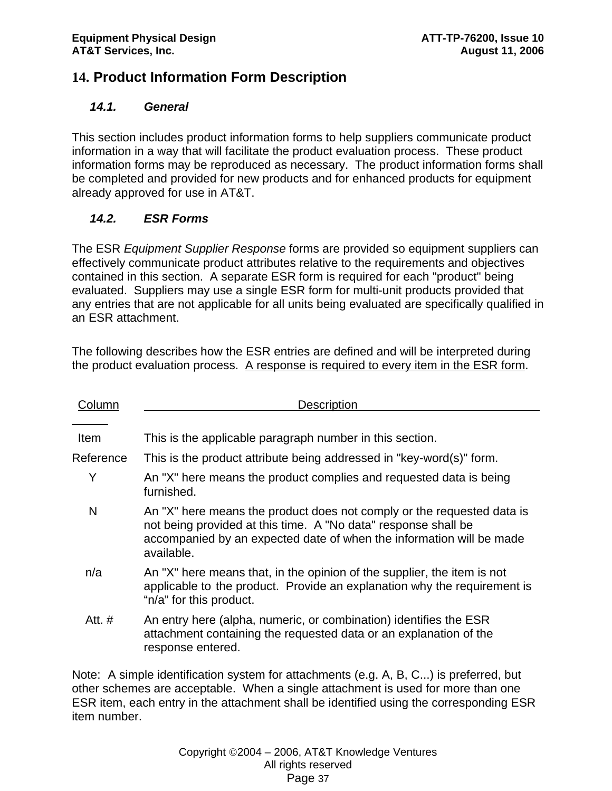# **14. Product Information Form Description**

### *14.1. General*

This section includes product information forms to help suppliers communicate product information in a way that will facilitate the product evaluation process. These product information forms may be reproduced as necessary. The product information forms shall be completed and provided for new products and for enhanced products for equipment already approved for use in AT&T.

# *14.2. ESR Forms*

The ESR *Equipment Supplier Response* forms are provided so equipment suppliers can effectively communicate product attributes relative to the requirements and objectives contained in this section. A separate ESR form is required for each "product" being evaluated. Suppliers may use a single ESR form for multi-unit products provided that any entries that are not applicable for all units being evaluated are specifically qualified in an ESR attachment.

The following describes how the ESR entries are defined and will be interpreted during the product evaluation process. A response is required to every item in the ESR form.

| Column      | <b>Description</b>                                                                                                                                                                                                                |
|-------------|-----------------------------------------------------------------------------------------------------------------------------------------------------------------------------------------------------------------------------------|
|             |                                                                                                                                                                                                                                   |
| <b>Item</b> | This is the applicable paragraph number in this section.                                                                                                                                                                          |
| Reference   | This is the product attribute being addressed in "key-word(s)" form.                                                                                                                                                              |
| Y           | An "X" here means the product complies and requested data is being<br>furnished.                                                                                                                                                  |
| N           | An "X" here means the product does not comply or the requested data is<br>not being provided at this time. A "No data" response shall be<br>accompanied by an expected date of when the information will be made<br>available.    |
| n/a         | An "X" here means that, in the opinion of the supplier, the item is not<br>applicable to the product. Provide an explanation why the requirement is<br>"n/a" for this product.                                                    |
| Att. #      | An entry here (alpha, numeric, or combination) identifies the ESR<br>attachment containing the requested data or an explanation of the<br>response entered.                                                                       |
|             | $\mathbf{A}$ , and the contract of the contract of the contract of the contract of the contract of the contract of the contract of the contract of the contract of the contract of the contract of the contract of the contract o |

Note: A simple identification system for attachments (e.g. A, B, C...) is preferred, but other schemes are acceptable. When a single attachment is used for more than one ESR item, each entry in the attachment shall be identified using the corresponding ESR item number.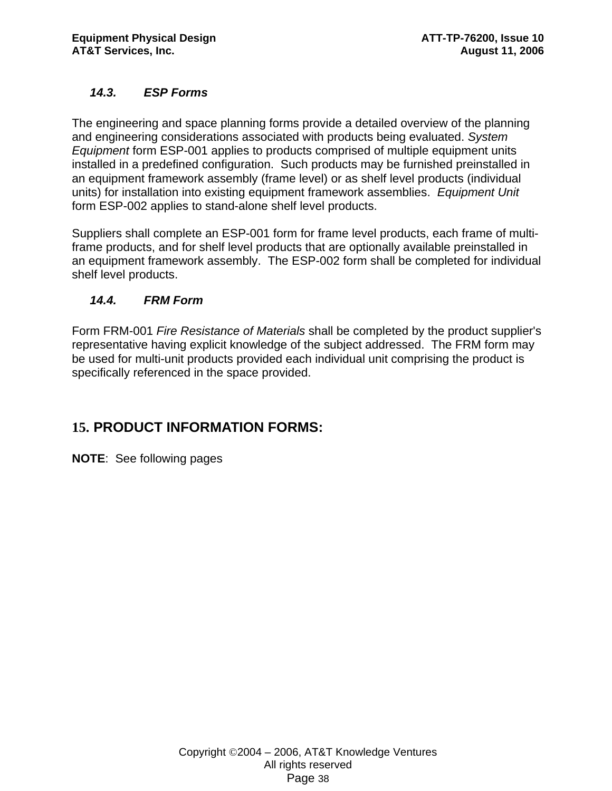# *14.3. ESP Forms*

The engineering and space planning forms provide a detailed overview of the planning and engineering considerations associated with products being evaluated. *System Equipment* form ESP-001 applies to products comprised of multiple equipment units installed in a predefined configuration. Such products may be furnished preinstalled in an equipment framework assembly (frame level) or as shelf level products (individual units) for installation into existing equipment framework assemblies. *Equipment Unit* form ESP-002 applies to stand-alone shelf level products.

Suppliers shall complete an ESP-001 form for frame level products, each frame of multiframe products, and for shelf level products that are optionally available preinstalled in an equipment framework assembly. The ESP-002 form shall be completed for individual shelf level products.

# *14.4. FRM Form*

Form FRM-001 *Fire Resistance of Materials* shall be completed by the product supplier's representative having explicit knowledge of the subject addressed. The FRM form may be used for multi-unit products provided each individual unit comprising the product is specifically referenced in the space provided.

# **15. PRODUCT INFORMATION FORMS:**

**NOTE**: See following pages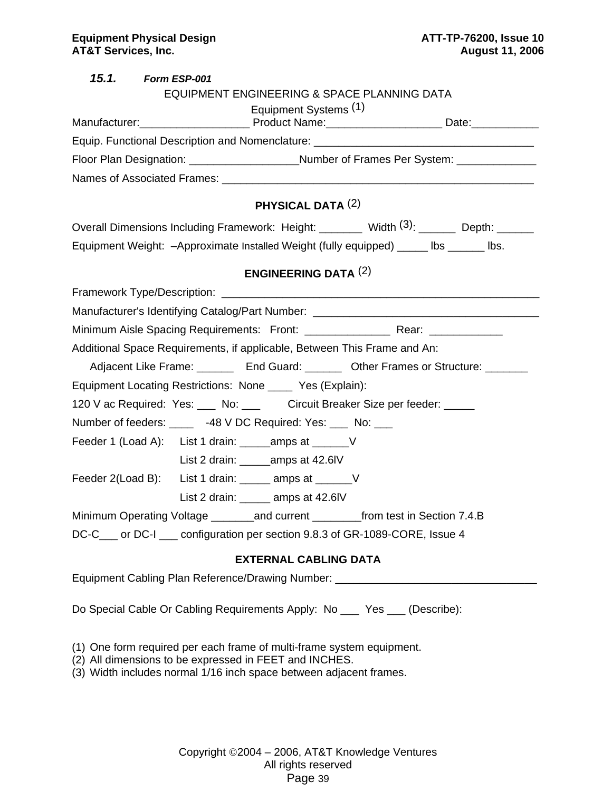| 15.1. Form ESP-001                                                                        |  |
|-------------------------------------------------------------------------------------------|--|
| EQUIPMENT ENGINEERING & SPACE PLANNING DATA                                               |  |
| Equipment Systems (1)                                                                     |  |
| Equip. Functional Description and Nomenclature: ________________________________          |  |
| Floor Plan Designation: ______________________Number of Frames Per System: _____________  |  |
|                                                                                           |  |
|                                                                                           |  |
| PHYSICAL DATA $(2)$                                                                       |  |
| Overall Dimensions Including Framework: Height: Width (3): ______ Depth: ______           |  |
| Equipment Weight: - Approximate Installed Weight (fully equipped) ______ lbs _______ lbs. |  |
| <b>ENGINEERING DATA <math>(2)</math></b>                                                  |  |
|                                                                                           |  |
| Manufacturer's Identifying Catalog/Part Number: ________________________________          |  |
|                                                                                           |  |
| Additional Space Requirements, if applicable, Between This Frame and An:                  |  |
| Adjacent Like Frame: ________ End Guard: _______ Other Frames or Structure: _______       |  |
| Equipment Locating Restrictions: None _____ Yes (Explain):                                |  |
| 120 V ac Required: Yes: ___ No: ___ Circuit Breaker Size per feeder: ____                 |  |
| Number of feeders: ______ -48 V DC Required: Yes: ___ No: ___                             |  |
| Feeder 1 (Load A): List 1 drain: _______ amps at ________ V                               |  |
| List 2 drain: ________ amps at 42.6IV                                                     |  |
| Feeder 2(Load B): List 1 drain: _____ amps at _______ V                                   |  |
| List 2 drain: ______ amps at 42.6IV                                                       |  |
| Minimum Operating Voltage _________and current ___________from test in Section 7.4.B      |  |
| DC-C <sub>___</sub> or DC-I ___ configuration per section 9.8.3 of GR-1089-CORE, Issue 4  |  |
| <b>EXTERNAL CABLING DATA</b>                                                              |  |
| Equipment Cabling Plan Reference/Drawing Number: _______________________________          |  |
| Do Special Cable Or Cabling Requirements Apply: No __ Yes __ (Describe):                  |  |

(1) One form required per each frame of multi-frame system equipment.

- (2) All dimensions to be expressed in FEET and INCHES.
- (3) Width includes normal 1/16 inch space between adjacent frames.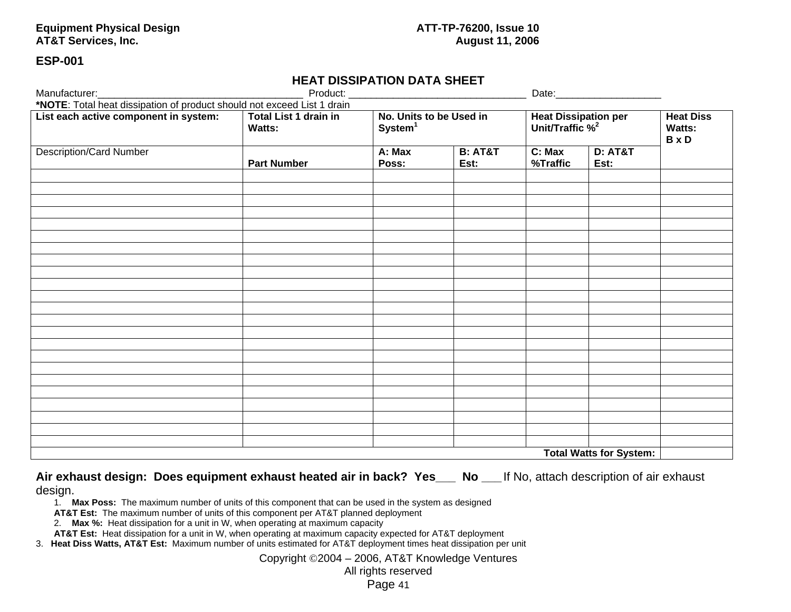#### Equipment Physical Design **ATT-TP-76200, Issue 10**<br>ATT-TP-76200, Issue 10<br>August 11, 2006 **AT&T Services, Inc.**

#### **ESP-001**

# **HEAT DISSIPATION DATA SHEET**

| Manufacturer:__                                                         |                                        |                                                |                            |                                                     |                            |                                            |
|-------------------------------------------------------------------------|----------------------------------------|------------------------------------------------|----------------------------|-----------------------------------------------------|----------------------------|--------------------------------------------|
| *NOTE: Total heat dissipation of product should not exceed List 1 drain |                                        |                                                |                            |                                                     |                            |                                            |
| List each active component in system:                                   | Total List 1 drain in<br><b>Watts:</b> | No. Units to be Used in<br>System <sup>1</sup> |                            | Heat Dissipation per<br>Unit/Traffic % <sup>2</sup> |                            | <b>Heat Diss</b><br>Watts:<br><b>B</b> x D |
| <b>Description/Card Number</b>                                          | <b>Part Number</b>                     | A: Max<br>Poss:                                | <b>B: AT&amp;T</b><br>Est: | C: Max<br>%Traffic                                  | <b>D: AT&amp;T</b><br>Est: |                                            |
|                                                                         |                                        |                                                |                            |                                                     |                            |                                            |
|                                                                         |                                        |                                                |                            |                                                     |                            |                                            |
|                                                                         |                                        |                                                |                            |                                                     |                            |                                            |
|                                                                         |                                        |                                                |                            |                                                     |                            |                                            |
|                                                                         |                                        |                                                |                            |                                                     |                            |                                            |
|                                                                         |                                        |                                                |                            |                                                     |                            |                                            |
|                                                                         |                                        |                                                |                            |                                                     |                            |                                            |
|                                                                         |                                        |                                                |                            |                                                     |                            |                                            |
|                                                                         |                                        |                                                |                            |                                                     |                            |                                            |
|                                                                         |                                        |                                                |                            |                                                     |                            |                                            |
|                                                                         |                                        |                                                |                            |                                                     |                            |                                            |
|                                                                         |                                        |                                                |                            |                                                     |                            |                                            |
|                                                                         |                                        |                                                |                            |                                                     |                            |                                            |
|                                                                         |                                        |                                                |                            |                                                     |                            |                                            |
|                                                                         |                                        |                                                |                            |                                                     |                            |                                            |
|                                                                         |                                        |                                                |                            |                                                     |                            |                                            |
|                                                                         |                                        |                                                |                            |                                                     |                            |                                            |
|                                                                         |                                        |                                                |                            |                                                     |                            |                                            |
|                                                                         |                                        |                                                |                            |                                                     |                            |                                            |
|                                                                         |                                        |                                                |                            |                                                     |                            |                                            |
| <b>Total Watts for System:</b>                                          |                                        |                                                |                            |                                                     |                            |                                            |

**Air exhaust design: Does equipment exhaust heated air in back? Yes\_\_\_ No \_\_\_** If No, attach description of air exhaust design.

1. **Max Poss:** The maximum number of units of this component that can be used in the system as designed

**AT&T Est:** The maximum number of units of this component per AT&T planned deployment

2. **Max %:** Heat dissipation for a unit in W, when operating at maximum capacity

**AT&T Est:** Heat dissipation for a unit in W, when operating at maximum capacity expected for AT&T deployment

3. **Heat Diss Watts, AT&T Est:** Maximum number of units estimated for AT&T deployment times heat dissipation per unit

Copyright ©2004 – 2006, AT&T Knowledge Ventures

#### All rights reserved

Page 41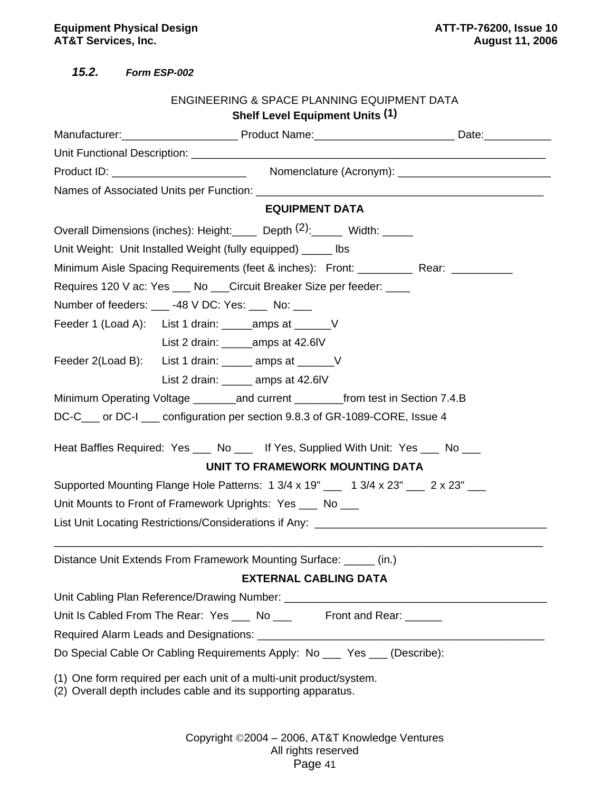*15.2. Form ESP-002* 

|                                                                                          | <b>Shelf Level Equipment Units (1)</b> |  |
|------------------------------------------------------------------------------------------|----------------------------------------|--|
|                                                                                          |                                        |  |
|                                                                                          |                                        |  |
|                                                                                          |                                        |  |
|                                                                                          |                                        |  |
|                                                                                          | <b>EQUIPMENT DATA</b>                  |  |
| Overall Dimensions (inches): Height: Depth (2): Width: ____                              |                                        |  |
| Unit Weight: Unit Installed Weight (fully equipped) _____ lbs                            |                                        |  |
| Minimum Aisle Spacing Requirements (feet & inches): Front: ____________ Rear: __________ |                                        |  |
| Requires 120 V ac: Yes ___ No ___ Circuit Breaker Size per feeder: ____                  |                                        |  |
| Number of feeders: 48 V DC: Yes: No:                                                     |                                        |  |
| Feeder 1 (Load A): List 1 drain: _______ amps at ________ V                              |                                        |  |
|                                                                                          |                                        |  |
| Feeder 2(Load B): List 1 drain: ______ amps at _______ V                                 |                                        |  |
| List 2 drain: _____ amps at 42.6IV                                                       |                                        |  |
| Minimum Operating Voltage _______and current ______from test in Section 7.4.B            |                                        |  |
| DC-C <sub>___</sub> or DC-I ___ configuration per section 9.8.3 of GR-1089-CORE, Issue 4 |                                        |  |
|                                                                                          |                                        |  |
| Heat Baffles Required: Yes ____ No ____ If Yes, Supplied With Unit: Yes ___ No ___       | UNIT TO FRAMEWORK MOUNTING DATA        |  |
| Supported Mounting Flange Hole Patterns: 1 3/4 x 19" ___ 1 3/4 x 23" ___ 2 x 23" ___     |                                        |  |
| Unit Mounts to Front of Framework Uprights: Yes ___ No ___                               |                                        |  |
| List Unit Locating Restrictions/Considerations if Any: _________________________         |                                        |  |
|                                                                                          |                                        |  |
| Distance Unit Extends From Framework Mounting Surface: _____ (in.)                       |                                        |  |
|                                                                                          | <b>EXTERNAL CABLING DATA</b>           |  |
|                                                                                          |                                        |  |
| Unit Is Cabled From The Rear: Yes ___ No ___ Front and Rear: _____                       |                                        |  |
|                                                                                          |                                        |  |
| Do Special Cable Or Cabling Requirements Apply: No __ Yes __ (Describe):                 |                                        |  |
| (1) One form required per each unit of a multi-unit product/system.                      |                                        |  |
|                                                                                          |                                        |  |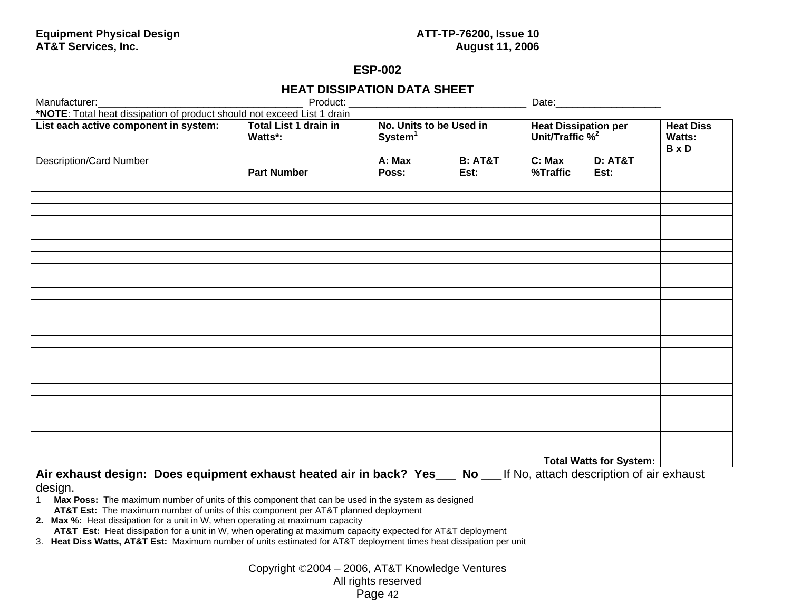# **ESP-002**

# **HEAT DISSIPATION DATA SHEET**

| Manufacturer:                                                           |                                         |                                                |                            |                                                     |                                                   |  |  |  |
|-------------------------------------------------------------------------|-----------------------------------------|------------------------------------------------|----------------------------|-----------------------------------------------------|---------------------------------------------------|--|--|--|
| *NOTE: Total heat dissipation of product should not exceed List 1 drain |                                         |                                                |                            |                                                     |                                                   |  |  |  |
| List each active component in system:                                   | <b>Total List 1 drain in</b><br>Watts*: | No. Units to be Used in<br>System <sup>1</sup> |                            | Heat Dissipation per<br>Unit/Traffic % <sup>2</sup> | <b>Heat Diss</b><br><b>Watts:</b><br><b>B</b> x D |  |  |  |
| <b>Description/Card Number</b>                                          | <b>Part Number</b>                      | A: Max<br>Poss:                                | <b>B: AT&amp;T</b><br>Est: | C: Max<br>%Traffic                                  | <b>D: AT&amp;T</b><br>Est:                        |  |  |  |
|                                                                         |                                         |                                                |                            |                                                     |                                                   |  |  |  |
|                                                                         |                                         |                                                |                            |                                                     |                                                   |  |  |  |
|                                                                         |                                         |                                                |                            |                                                     |                                                   |  |  |  |
|                                                                         |                                         |                                                |                            |                                                     |                                                   |  |  |  |
|                                                                         |                                         |                                                |                            |                                                     |                                                   |  |  |  |
|                                                                         |                                         |                                                |                            |                                                     |                                                   |  |  |  |
|                                                                         |                                         |                                                |                            |                                                     |                                                   |  |  |  |
|                                                                         |                                         |                                                |                            |                                                     |                                                   |  |  |  |
|                                                                         |                                         |                                                |                            |                                                     |                                                   |  |  |  |
|                                                                         |                                         |                                                |                            |                                                     |                                                   |  |  |  |
|                                                                         |                                         |                                                |                            |                                                     |                                                   |  |  |  |
|                                                                         |                                         |                                                |                            |                                                     |                                                   |  |  |  |
|                                                                         |                                         |                                                |                            |                                                     |                                                   |  |  |  |
|                                                                         |                                         |                                                |                            |                                                     |                                                   |  |  |  |
|                                                                         |                                         |                                                |                            |                                                     |                                                   |  |  |  |
|                                                                         |                                         |                                                |                            |                                                     |                                                   |  |  |  |
|                                                                         |                                         |                                                |                            |                                                     |                                                   |  |  |  |
|                                                                         |                                         |                                                |                            |                                                     |                                                   |  |  |  |
|                                                                         |                                         |                                                |                            |                                                     | <b>Total Watts for System:</b>                    |  |  |  |
| Air oxhaust dosian: Doos caujument exhaust heated air in hask? Ves      |                                         |                                                | <b>N<sub>n</sub></b>       | If No. attach decerintion of air oxhough            |                                                   |  |  |  |

**Air exhaust design: Does equipment exhaust heated air in back? Yes\_\_\_ No \_\_\_** If No, attach description of air exhaust

design.

1 **Max Poss:** The maximum number of units of this component that can be used in the system as designed **AT&T Est:** The maximum number of units of this component per AT&T planned deployment

**2. Max %:** Heat dissipation for a unit in W, when operating at maximum capacity

**AT&T Est:** Heat dissipation for a unit in W, when operating at maximum capacity expected for AT&T deployment

3. **Heat Diss Watts, AT&T Est:** Maximum number of units estimated for AT&T deployment times heat dissipation per unit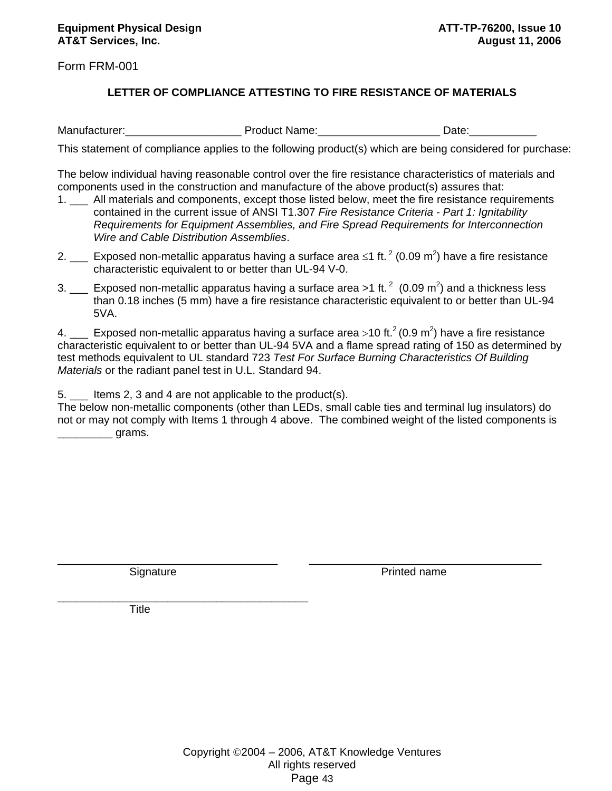Form FRM-001

#### **LETTER OF COMPLIANCE ATTESTING TO FIRE RESISTANCE OF MATERIALS**

Manufacturer:\_\_\_\_\_\_\_\_\_\_\_\_\_\_\_\_\_\_\_ Product Name:\_\_\_\_\_\_\_\_\_\_\_\_\_\_\_\_\_\_\_\_ Date:\_\_\_\_\_\_\_\_\_\_\_

This statement of compliance applies to the following product(s) which are being considered for purchase:

The below individual having reasonable control over the fire resistance characteristics of materials and components used in the construction and manufacture of the above product(s) assures that:

- 1. \_\_\_ All materials and components, except those listed below, meet the fire resistance requirements contained in the current issue of ANSI T1.307 *Fire Resistance Criteria - Part 1: Ignitability Requirements for Equipment Assemblies, and Fire Spread Requirements for Interconnection Wire and Cable Distribution Assemblies*.
- 2.  $\_\_$  Exposed non-metallic apparatus having a surface area ≤1 ft.  $2$  (0.09 m<sup>2</sup>) have a fire resistance characteristic equivalent to or better than UL-94 V-0.
- 3.  $\mu$  Exposed non-metallic apparatus having a surface area >1 ft.  $^2$  (0.09 m<sup>2</sup>) and a thickness less than 0.18 inches (5 mm) have a fire resistance characteristic equivalent to or better than UL-94 5VA.

4.  $\mu$  Exposed non-metallic apparatus having a surface area >10 ft.<sup>2</sup> (0.9 m<sup>2</sup>) have a fire resistance characteristic equivalent to or better than UL-94 5VA and a flame spread rating of 150 as determined by test methods equivalent to UL standard 723 *Test For Surface Burning Characteristics Of Building Materials* or the radiant panel test in U.L. Standard 94.

5. \_\_\_ Items 2, 3 and 4 are not applicable to the product(s).

The below non-metallic components (other than LEDs, small cable ties and terminal lug insulators) do not or may not comply with Items 1 through 4 above. The combined weight of the listed components is \_\_\_\_\_\_\_\_\_ grams.

\_\_\_\_\_\_\_\_\_\_\_\_\_\_\_\_\_\_\_\_\_\_\_\_\_\_\_\_\_\_\_\_\_\_\_\_ \_\_\_\_\_\_\_\_\_\_\_\_\_\_\_\_\_\_\_\_\_\_\_\_\_\_\_\_\_\_\_\_\_\_\_\_\_\_

\_\_\_\_\_\_\_\_\_\_\_\_\_\_\_\_\_\_\_\_\_\_\_\_\_\_\_\_\_\_\_\_\_\_\_\_\_\_\_\_\_

Signature **Printed name** 

Title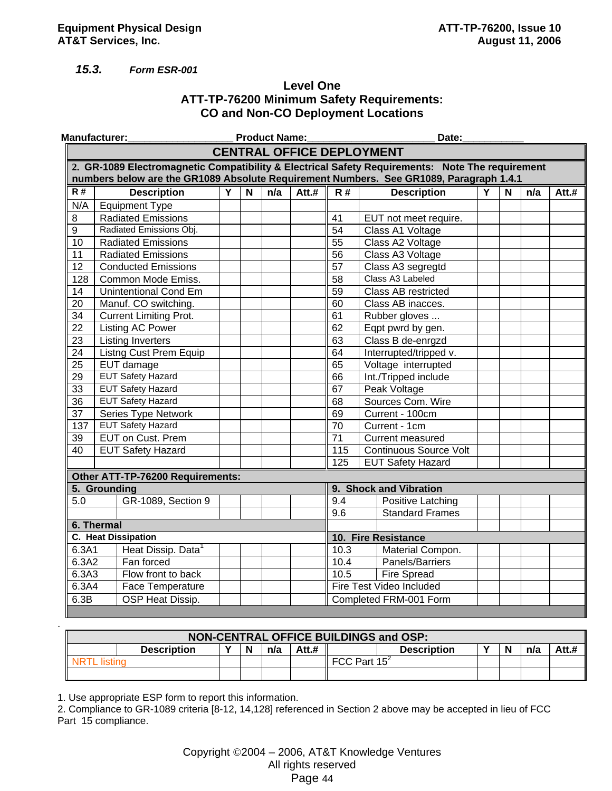#### *15.3. Form ESR-001*

### **Level One ATT-TP-76200 Minimum Safety Requirements: CO and Non-CO Deployment Locations**

|                 | <b>Manufacturer:</b>                                                                            |   |   | <b>Product Name:</b> |         |                    | Date:                            |   |   |     |         |
|-----------------|-------------------------------------------------------------------------------------------------|---|---|----------------------|---------|--------------------|----------------------------------|---|---|-----|---------|
|                 |                                                                                                 |   |   |                      |         |                    | <b>CENTRAL OFFICE DEPLOYMENT</b> |   |   |     |         |
|                 | 2. GR-1089 Electromagnetic Compatibility & Electrical Safety Requirements: Note The requirement |   |   |                      |         |                    |                                  |   |   |     |         |
|                 | numbers below are the GR1089 Absolute Requirement Numbers. See GR1089, Paragraph 1.4.1          |   |   |                      |         |                    |                                  |   |   |     |         |
| R#              | <b>Description</b>                                                                              | Y | N | n/a                  | $Att.+$ | $\overline{R#}$    | <b>Description</b>               | Y | N | n/a | $Att.+$ |
| N/A             | <b>Equipment Type</b>                                                                           |   |   |                      |         |                    |                                  |   |   |     |         |
| 8               | <b>Radiated Emissions</b>                                                                       |   |   |                      |         | 41                 | EUT not meet require.            |   |   |     |         |
| 9               | Radiated Emissions Obj.                                                                         |   |   |                      |         | 54                 | Class A1 Voltage                 |   |   |     |         |
| 10              | <b>Radiated Emissions</b>                                                                       |   |   |                      |         | $\overline{55}$    | Class A2 Voltage                 |   |   |     |         |
| 11              | <b>Radiated Emissions</b>                                                                       |   |   |                      |         | $\overline{56}$    | Class A3 Voltage                 |   |   |     |         |
| 12              | <b>Conducted Emissions</b>                                                                      |   |   |                      |         | $\overline{57}$    | Class A3 segregtd                |   |   |     |         |
| 128             | Common Mode Emiss.                                                                              |   |   |                      |         | 58                 | Class A3 Labeled                 |   |   |     |         |
| 14              | <b>Unintentional Cond Em</b>                                                                    |   |   |                      |         | 59                 | <b>Class AB restricted</b>       |   |   |     |         |
| 20              | Manuf. CO switching.                                                                            |   |   |                      |         | 60                 | Class AB inacces.                |   |   |     |         |
| $\overline{34}$ | <b>Current Limiting Prot.</b>                                                                   |   |   |                      |         | 61                 | Rubber gloves                    |   |   |     |         |
| $\overline{22}$ | <b>Listing AC Power</b>                                                                         |   |   |                      |         | 62                 | Eqpt pwrd by gen.                |   |   |     |         |
| $\overline{23}$ | <b>Listing Inverters</b>                                                                        |   |   |                      |         | 63                 | Class B de-enrgzd                |   |   |     |         |
| 24              | Listng Cust Prem Equip                                                                          |   |   |                      |         | 64                 | Interrupted/tripped v.           |   |   |     |         |
| $\overline{25}$ | EUT damage                                                                                      |   |   |                      |         | 65                 | Voltage interrupted              |   |   |     |         |
| 29              | <b>EUT Safety Hazard</b>                                                                        |   |   |                      |         | 66                 | Int./Tripped include             |   |   |     |         |
| 33              | <b>EUT Safety Hazard</b>                                                                        |   |   |                      |         | 67                 | Peak Voltage                     |   |   |     |         |
| $\overline{36}$ | <b>EUT Safety Hazard</b>                                                                        |   |   |                      |         | 68                 | Sources Com. Wire                |   |   |     |         |
| $\overline{37}$ | Series Type Network                                                                             |   |   |                      |         | 69                 | Current - 100cm                  |   |   |     |         |
| 137             | <b>EUT Safety Hazard</b>                                                                        |   |   |                      |         | 70                 | Current - 1cm                    |   |   |     |         |
| 39              | <b>EUT on Cust. Prem</b>                                                                        |   |   |                      |         | 71                 | <b>Current measured</b>          |   |   |     |         |
| 40              | <b>EUT Safety Hazard</b>                                                                        |   |   |                      |         | 115                | <b>Continuous Source Volt</b>    |   |   |     |         |
|                 |                                                                                                 |   |   |                      |         | 125                | <b>EUT Safety Hazard</b>         |   |   |     |         |
|                 | Other ATT-TP-76200 Requirements:                                                                |   |   |                      |         |                    |                                  |   |   |     |         |
|                 | 5. Grounding                                                                                    |   |   |                      |         |                    | 9. Shock and Vibration           |   |   |     |         |
| 5.0             | GR-1089, Section 9                                                                              |   |   |                      |         | 9.4                | Positive Latching                |   |   |     |         |
|                 |                                                                                                 |   |   |                      |         | $\overline{9.6}$   | <b>Standard Frames</b>           |   |   |     |         |
|                 | 6. Thermal                                                                                      |   |   |                      |         |                    |                                  |   |   |     |         |
|                 | C. Heat Dissipation                                                                             |   |   |                      |         |                    | 10. Fire Resistance              |   |   |     |         |
| 6.3A1           | Heat Dissip. Data <sup>1</sup>                                                                  |   |   |                      |         | 10.3               | Material Compon.                 |   |   |     |         |
| 6.3A2           | Fan forced                                                                                      |   |   |                      |         | $\overline{10}$ .4 | Panels/Barriers                  |   |   |     |         |
| 6.3A3           | Flow front to back                                                                              |   |   |                      |         | 10.5               | <b>Fire Spread</b>               |   |   |     |         |
| 6.3A4           | Face Temperature                                                                                |   |   |                      |         |                    | Fire Test Video Included         |   |   |     |         |
| 6.3B            | OSP Heat Dissip.                                                                                |   |   |                      |         |                    | Completed FRM-001 Form           |   |   |     |         |

| NON-CENTRAL OFFICE BUILDINGS and OSP: |              |          |     |       |                 |                    |  |  |     |  |  |
|---------------------------------------|--------------|----------|-----|-------|-----------------|--------------------|--|--|-----|--|--|
| <b>Description</b>                    | $\mathbf{v}$ | <b>N</b> | n/a | Att.# |                 | <b>Description</b> |  |  | n/a |  |  |
|                                       |              |          |     |       | FCC Part $15^2$ |                    |  |  |     |  |  |
|                                       |              |          |     |       |                 |                    |  |  |     |  |  |

1. Use appropriate ESP form to report this information.

2. Compliance to GR-1089 criteria [8-12, 14,128] referenced in Section 2 above may be accepted in lieu of FCC Part 15 compliance.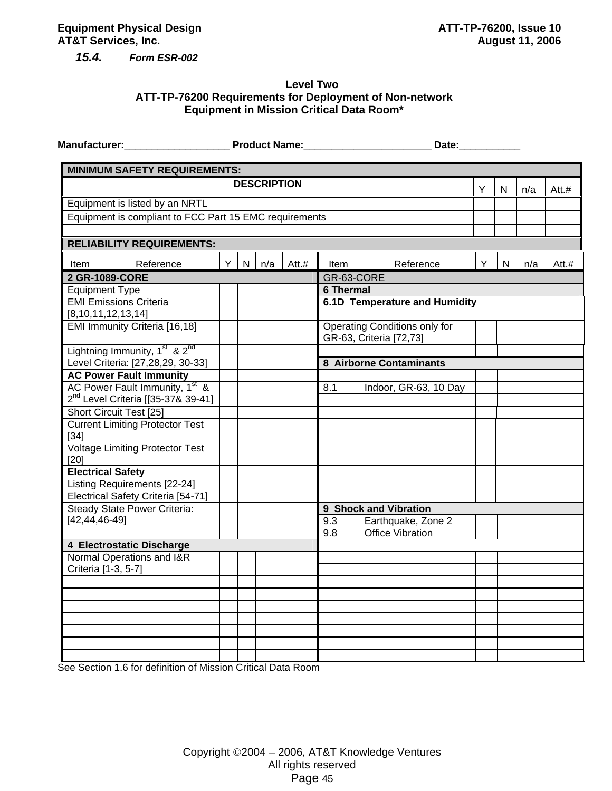*15.4. Form ESR-002* 

#### **Level Two ATT-TP-76200 Requirements for Deployment of Non-network Equipment in Mission Critical Data Room\***

|                                                                                              |    |   |                    |       |                  | Date: and the state of the state of the state of the state of the state of the state of the state of the state |   |              |     |       |
|----------------------------------------------------------------------------------------------|----|---|--------------------|-------|------------------|----------------------------------------------------------------------------------------------------------------|---|--------------|-----|-------|
| <b>MINIMUM SAFETY REQUIREMENTS:</b>                                                          |    |   |                    |       |                  |                                                                                                                |   |              |     |       |
|                                                                                              |    |   | <b>DESCRIPTION</b> |       |                  |                                                                                                                | Υ | N            | n/a | Att.# |
| Equipment is listed by an NRTL                                                               |    |   |                    |       |                  |                                                                                                                |   |              |     |       |
| Equipment is compliant to FCC Part 15 EMC requirements                                       |    |   |                    |       |                  |                                                                                                                |   |              |     |       |
|                                                                                              |    |   |                    |       |                  |                                                                                                                |   |              |     |       |
| <b>RELIABILITY REQUIREMENTS:</b>                                                             |    |   |                    |       |                  |                                                                                                                |   |              |     |       |
| Reference<br>Item                                                                            | Y. | N | n/a                | Att.# | Item             | Reference                                                                                                      | Y | $\mathsf{N}$ | n/a | Att.# |
| 2 GR-1089-CORE                                                                               |    |   |                    |       | GR-63-CORE       |                                                                                                                |   |              |     |       |
| <b>Equipment Type</b>                                                                        |    |   |                    |       | <b>6 Thermal</b> |                                                                                                                |   |              |     |       |
| <b>EMI Emissions Criteria</b><br>[8, 10, 11, 12, 13, 14]                                     |    |   |                    |       |                  | 6.1D Temperature and Humidity                                                                                  |   |              |     |       |
| EMI Immunity Criteria [16,18]                                                                |    |   |                    |       |                  | <b>Operating Conditions only for</b><br>GR-63, Criteria [72,73]                                                |   |              |     |       |
| Lightning Immunity, 1 <sup>st</sup> & 2 <sup>nd</sup>                                        |    |   |                    |       |                  |                                                                                                                |   |              |     |       |
| Level Criteria: [27,28,29, 30-33]                                                            |    |   |                    |       |                  | 8 Airborne Contaminants                                                                                        |   |              |     |       |
| <b>AC Power Fault Immunity</b>                                                               |    |   |                    |       |                  |                                                                                                                |   |              |     |       |
| AC Power Fault Immunity, 1 <sup>st</sup> &<br>2 <sup>nd</sup> Level Criteria [[35-37& 39-41] |    |   |                    |       | 8.1              | Indoor, GR-63, 10 Day                                                                                          |   |              |     |       |
| Short Circuit Test [25]                                                                      |    |   |                    |       |                  |                                                                                                                |   |              |     |       |
| <b>Current Limiting Protector Test</b><br>$[34]$                                             |    |   |                    |       |                  |                                                                                                                |   |              |     |       |
| <b>Voltage Limiting Protector Test</b><br>[20]                                               |    |   |                    |       |                  |                                                                                                                |   |              |     |       |
| <b>Electrical Safety</b>                                                                     |    |   |                    |       |                  |                                                                                                                |   |              |     |       |
| Listing Requirements [22-24]                                                                 |    |   |                    |       |                  |                                                                                                                |   |              |     |       |
| Electrical Safety Criteria [54-71]                                                           |    |   |                    |       |                  |                                                                                                                |   |              |     |       |
| Steady State Power Criteria:                                                                 |    |   |                    |       |                  | 9 Shock and Vibration                                                                                          |   |              |     |       |
| $[42, 44, 46 - 49]$                                                                          |    |   |                    |       | 9.3              | Earthquake, Zone 2                                                                                             |   |              |     |       |
|                                                                                              |    |   |                    |       | 9.8              | <b>Office Vibration</b>                                                                                        |   |              |     |       |
| 4 Electrostatic Discharge                                                                    |    |   |                    |       |                  |                                                                                                                |   |              |     |       |
| Normal Operations and I&R                                                                    |    |   |                    |       |                  |                                                                                                                |   |              |     |       |
| Criteria [1-3, 5-7]                                                                          |    |   |                    |       |                  |                                                                                                                |   |              |     |       |
|                                                                                              |    |   |                    |       |                  |                                                                                                                |   |              |     |       |
|                                                                                              |    |   |                    |       |                  |                                                                                                                |   |              |     |       |
|                                                                                              |    |   |                    |       |                  |                                                                                                                |   |              |     |       |
|                                                                                              |    |   |                    |       |                  |                                                                                                                |   |              |     |       |
|                                                                                              |    |   |                    |       |                  |                                                                                                                |   |              |     |       |
|                                                                                              |    |   |                    |       |                  |                                                                                                                |   |              |     |       |

See Section 1.6 for definition of Mission Critical Data Room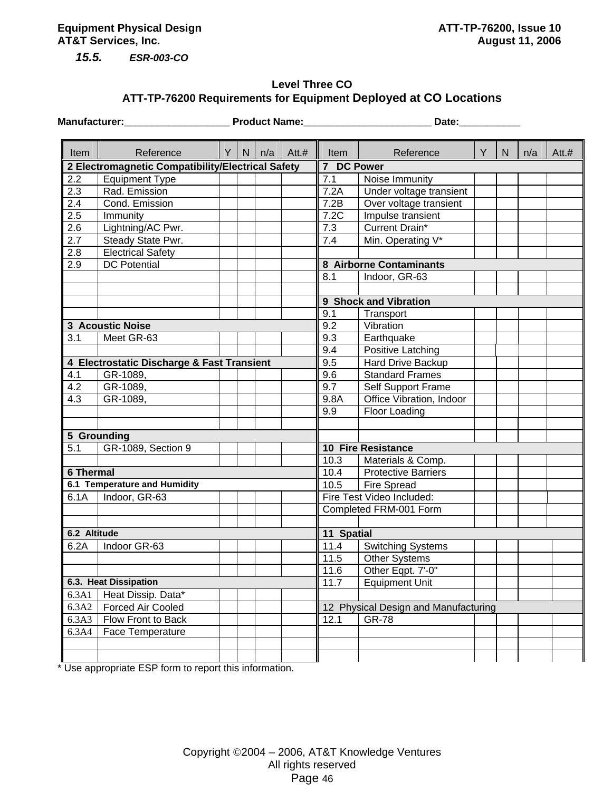*15.5. ESR-003-CO* 

### **Level Three CO ATT-TP-76200 Requirements for Equipment Deployed at CO Locations**

|                  | <b>Manufacturer:</b>                              |   |   |     | <b>Product Name:</b> | Date:      |                                      |   |              |     |       |  |  |  |  |
|------------------|---------------------------------------------------|---|---|-----|----------------------|------------|--------------------------------------|---|--------------|-----|-------|--|--|--|--|
| Item             | Reference                                         | Y | N | n/a | Att.#                | Item       | Reference                            | Y | $\mathsf{N}$ | n/a | Att.# |  |  |  |  |
|                  | 2 Electromagnetic Compatibility/Electrical Safety |   |   |     |                      | 7 DC Power |                                      |   |              |     |       |  |  |  |  |
| 2.2              | Equipment Type                                    |   |   |     |                      | 7.1        | Noise Immunity                       |   |              |     |       |  |  |  |  |
| 2.3              | Rad. Emission                                     |   |   |     |                      | 7.2A       | Under voltage transient              |   |              |     |       |  |  |  |  |
| 2.4              | Cond. Emission                                    |   |   |     |                      | 7.2B       | Over voltage transient               |   |              |     |       |  |  |  |  |
| 2.5              | Immunity                                          |   |   |     |                      | 7.2C       | Impulse transient                    |   |              |     |       |  |  |  |  |
| 2.6              | Lightning/AC Pwr.                                 |   |   |     |                      | 7.3        | Current Drain*                       |   |              |     |       |  |  |  |  |
| 2.7              | Steady State Pwr.                                 |   |   |     |                      | 7.4        | Min. Operating V*                    |   |              |     |       |  |  |  |  |
| 2.8              | <b>Electrical Safety</b>                          |   |   |     |                      |            |                                      |   |              |     |       |  |  |  |  |
| 2.9              | <b>DC</b> Potential                               |   |   |     |                      |            | 8 Airborne Contaminants              |   |              |     |       |  |  |  |  |
|                  |                                                   |   |   |     |                      | 8.1        | Indoor, GR-63                        |   |              |     |       |  |  |  |  |
|                  |                                                   |   |   |     |                      |            |                                      |   |              |     |       |  |  |  |  |
|                  |                                                   |   |   |     |                      |            | 9 Shock and Vibration                |   |              |     |       |  |  |  |  |
|                  |                                                   |   |   |     |                      | 9.1        | Transport                            |   |              |     |       |  |  |  |  |
|                  | 3 Acoustic Noise                                  |   |   |     |                      | 9.2        | Vibration                            |   |              |     |       |  |  |  |  |
| 3.1              | Meet GR-63                                        |   |   |     |                      | 9.3        | Earthquake                           |   |              |     |       |  |  |  |  |
|                  |                                                   |   |   |     |                      | 9.4        | Positive Latching                    |   |              |     |       |  |  |  |  |
|                  | 4 Electrostatic Discharge & Fast Transient        |   |   |     |                      | 9.5        | Hard Drive Backup                    |   |              |     |       |  |  |  |  |
| 4.1              | GR-1089,                                          |   |   |     |                      | 9.6        | <b>Standard Frames</b>               |   |              |     |       |  |  |  |  |
| 4.2              | GR-1089,                                          |   |   |     |                      | 9.7        | Self Support Frame                   |   |              |     |       |  |  |  |  |
| 4.3              | GR-1089,                                          |   |   |     |                      | 9.8A       | Office Vibration, Indoor             |   |              |     |       |  |  |  |  |
|                  |                                                   |   |   |     |                      | 9.9        | Floor Loading                        |   |              |     |       |  |  |  |  |
|                  |                                                   |   |   |     |                      |            |                                      |   |              |     |       |  |  |  |  |
|                  | 5 Grounding                                       |   |   |     |                      |            |                                      |   |              |     |       |  |  |  |  |
| 5.1              | GR-1089, Section 9                                |   |   |     |                      |            | <b>10 Fire Resistance</b>            |   |              |     |       |  |  |  |  |
|                  |                                                   |   |   |     |                      | 10.3       | Materials & Comp.                    |   |              |     |       |  |  |  |  |
| <b>6 Thermal</b> |                                                   |   |   |     |                      | 10.4       | <b>Protective Barriers</b>           |   |              |     |       |  |  |  |  |
|                  | 6.1 Temperature and Humidity                      |   |   |     |                      | 10.5       | <b>Fire Spread</b>                   |   |              |     |       |  |  |  |  |
| 6.1A             | Indoor, GR-63                                     |   |   |     |                      |            | Fire Test Video Included:            |   |              |     |       |  |  |  |  |
|                  |                                                   |   |   |     |                      |            | Completed FRM-001 Form               |   |              |     |       |  |  |  |  |
|                  |                                                   |   |   |     |                      |            |                                      |   |              |     |       |  |  |  |  |
| 6.2 Altitude     |                                                   |   |   |     |                      | 11 Spatial |                                      |   |              |     |       |  |  |  |  |
| 6.2A             | Indoor GR-63                                      |   |   |     |                      | 11.4       | <b>Switching Systems</b>             |   |              |     |       |  |  |  |  |
|                  |                                                   |   |   |     |                      | 11.5       | <b>Other Systems</b>                 |   |              |     |       |  |  |  |  |
|                  |                                                   |   |   |     |                      | 11.6       | Other Eqpt. 7'-0"                    |   |              |     |       |  |  |  |  |
|                  | 6.3. Heat Dissipation                             |   |   |     |                      | 11.7       | <b>Equipment Unit</b>                |   |              |     |       |  |  |  |  |
| 6.3A1            | Heat Dissip. Data*                                |   |   |     |                      |            |                                      |   |              |     |       |  |  |  |  |
| 6.3A2            | Forced Air Cooled                                 |   |   |     |                      |            | 12 Physical Design and Manufacturing |   |              |     |       |  |  |  |  |
| 6.3A3            | Flow Front to Back                                |   |   |     |                      | 12.1       | <b>GR-78</b>                         |   |              |     |       |  |  |  |  |
| 6.3A4            | Face Temperature                                  |   |   |     |                      |            |                                      |   |              |     |       |  |  |  |  |
|                  |                                                   |   |   |     |                      |            |                                      |   |              |     |       |  |  |  |  |
|                  |                                                   |   |   |     |                      |            |                                      |   |              |     |       |  |  |  |  |

\* Use appropriate ESP form to report this information.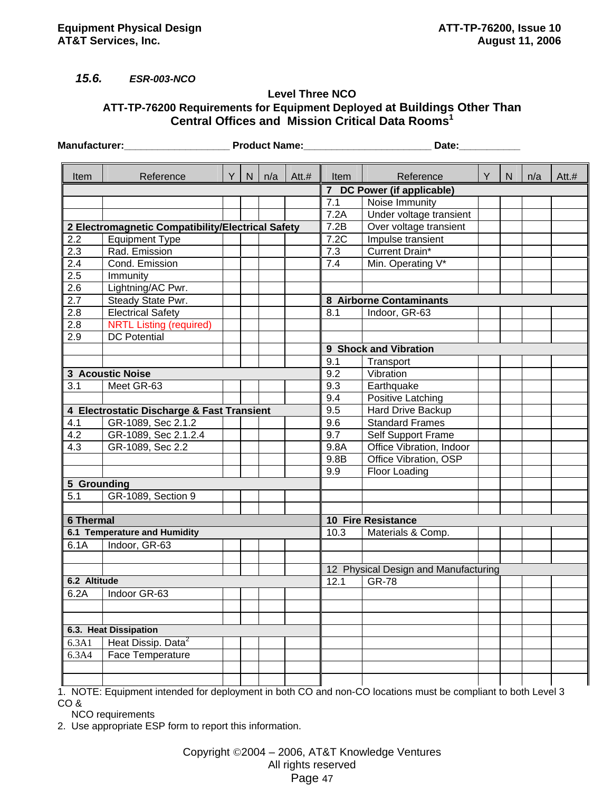### *15.6. ESR-003-NCO*

#### **Level Three NCO ATT-TP-76200 Requirements for Equipment Deployed at Buildings Other Than Central Offices and Mission Critical Data Rooms1**

|                  | <b>Manufacturer:</b><br><b>Example 2 Product Name:</b> |          |   |     | Date: |                   |                                      |   |   |     |         |  |
|------------------|--------------------------------------------------------|----------|---|-----|-------|-------------------|--------------------------------------|---|---|-----|---------|--|
| Item             | Reference                                              | $Y \mid$ | N | n/a | Att.# | Item              | Reference                            | Y | N | n/a | $Att.+$ |  |
|                  |                                                        |          |   |     |       |                   | 7 DC Power (if applicable)           |   |   |     |         |  |
|                  |                                                        |          |   |     |       | 7.1               | Noise Immunity                       |   |   |     |         |  |
|                  |                                                        |          |   |     |       | 7.2A              | Under voltage transient              |   |   |     |         |  |
|                  | 2 Electromagnetic Compatibility/Electrical Safety      |          |   |     |       | $\overline{7}.2B$ | Over voltage transient               |   |   |     |         |  |
| 2.2              | <b>Equipment Type</b>                                  |          |   |     |       | 7.2C              | Impulse transient                    |   |   |     |         |  |
| 2.3              | Rad. Emission                                          |          |   |     |       | 7.3               | Current Drain*                       |   |   |     |         |  |
| 2.4              | Cond. Emission                                         |          |   |     |       | 7.4               | Min. Operating V*                    |   |   |     |         |  |
| 2.5              | Immunity                                               |          |   |     |       |                   |                                      |   |   |     |         |  |
| 2.6              | Lightning/AC Pwr.                                      |          |   |     |       |                   |                                      |   |   |     |         |  |
| 2.7              | Steady State Pwr.                                      |          |   |     |       |                   | 8 Airborne Contaminants              |   |   |     |         |  |
| 2.8              | <b>Electrical Safety</b>                               |          |   |     |       | 8.1               | Indoor, GR-63                        |   |   |     |         |  |
| 2.8              | <b>NRTL Listing (required)</b>                         |          |   |     |       |                   |                                      |   |   |     |         |  |
| 2.9              | <b>DC Potential</b>                                    |          |   |     |       |                   |                                      |   |   |     |         |  |
|                  |                                                        |          |   |     |       |                   | 9 Shock and Vibration                |   |   |     |         |  |
|                  |                                                        |          |   |     |       | 9.1               | Transport                            |   |   |     |         |  |
|                  | <b>3 Acoustic Noise</b>                                |          |   |     |       | 9.2               | Vibration                            |   |   |     |         |  |
| 3.1              | Meet GR-63                                             |          |   |     |       | 9.3               | Earthquake                           |   |   |     |         |  |
|                  |                                                        |          |   |     |       | 9.4               | Positive Latching                    |   |   |     |         |  |
|                  | 4 Electrostatic Discharge & Fast Transient             |          |   |     |       | 9.5               | Hard Drive Backup                    |   |   |     |         |  |
| 4.1              | GR-1089, Sec 2.1.2                                     |          |   |     |       | 9.6               | <b>Standard Frames</b>               |   |   |     |         |  |
| 4.2              | GR-1089, Sec 2.1.2.4                                   |          |   |     |       | 9.7               | Self Support Frame                   |   |   |     |         |  |
| 4.3              | GR-1089, Sec 2.2                                       |          |   |     |       | 9.8A              | Office Vibration, Indoor             |   |   |     |         |  |
|                  |                                                        |          |   |     |       | 9.8B              | Office Vibration, OSP                |   |   |     |         |  |
|                  |                                                        |          |   |     |       | 9.9               | Floor Loading                        |   |   |     |         |  |
| 5 Grounding      |                                                        |          |   |     |       |                   |                                      |   |   |     |         |  |
| 5.1              | GR-1089, Section 9                                     |          |   |     |       |                   |                                      |   |   |     |         |  |
|                  |                                                        |          |   |     |       |                   |                                      |   |   |     |         |  |
| <b>6 Thermal</b> |                                                        |          |   |     |       |                   | <b>10 Fire Resistance</b>            |   |   |     |         |  |
|                  | 6.1 Temperature and Humidity                           |          |   |     |       | 10.3              | Materials & Comp.                    |   |   |     |         |  |
| 6.1A             | Indoor, GR-63                                          |          |   |     |       |                   |                                      |   |   |     |         |  |
|                  |                                                        |          |   |     |       |                   |                                      |   |   |     |         |  |
|                  |                                                        |          |   |     |       |                   | 12 Physical Design and Manufacturing |   |   |     |         |  |
| 6.2 Altitude     |                                                        |          |   |     |       | 12.1              | <b>GR-78</b>                         |   |   |     |         |  |
| 6.2A             | Indoor GR-63                                           |          |   |     |       |                   |                                      |   |   |     |         |  |
|                  |                                                        |          |   |     |       |                   |                                      |   |   |     |         |  |
|                  |                                                        |          |   |     |       |                   |                                      |   |   |     |         |  |
|                  | 6.3. Heat Dissipation                                  |          |   |     |       |                   |                                      |   |   |     |         |  |
| 6.3A1            | Heat Dissip. Data <sup>2</sup>                         |          |   |     |       |                   |                                      |   |   |     |         |  |
| 6.3A4            | Face Temperature                                       |          |   |     |       |                   |                                      |   |   |     |         |  |
|                  |                                                        |          |   |     |       |                   |                                      |   |   |     |         |  |
|                  |                                                        |          |   |     |       |                   |                                      |   |   |     |         |  |

1. NOTE: Equipment intended for deployment in both CO and non-CO locations must be compliant to both Level 3 CO &

NCO requirements

2. Use appropriate ESP form to report this information.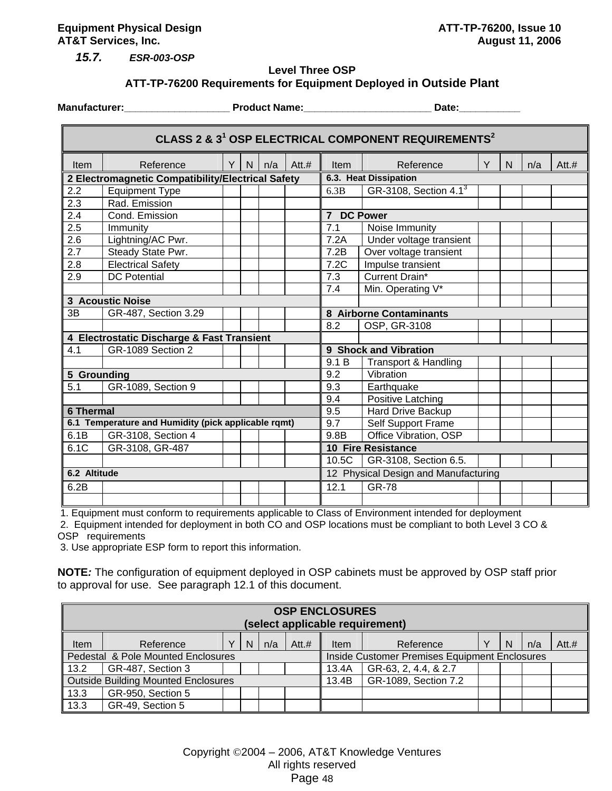**Equipment Physical Design ATT-TP-76200, Issue 10 AT&T Services, Inc.** August 11, 2006

*15.7. ESR-003-OSP* 

#### **Level Three OSP ATT-TP-76200 Requirements for Equipment Deployed in Outside Plant**

 $\blacksquare$ 

**Manufacturer:** The Controllering Product Name: The Controllering State: The Date: Controllering Product Name: Controllering Date: Controllering Product Name: Controllering Date: Controllering Product Name: Controllering D

|                  | CLASS 2 & 3 <sup>1</sup> OSP ELECTRICAL COMPONENT REQUIREMENTS <sup>2</sup> |   |   |     |         |                                      |                           |   |   |     |         |  |  |
|------------------|-----------------------------------------------------------------------------|---|---|-----|---------|--------------------------------------|---------------------------|---|---|-----|---------|--|--|
| <b>Item</b>      | Reference                                                                   | Y | N | n/a | $Att.+$ | <b>Item</b>                          | Reference                 | Y | N | n/a | $Att.+$ |  |  |
|                  | 2 Electromagnetic Compatibility/Electrical Safety                           |   |   |     |         | 6.3. Heat Dissipation                |                           |   |   |     |         |  |  |
| 2.2              | <b>Equipment Type</b>                                                       |   |   |     |         | 6.3B                                 | GR-3108, Section 4.13     |   |   |     |         |  |  |
| 2.3              | Rad. Emission                                                               |   |   |     |         |                                      |                           |   |   |     |         |  |  |
| 2.4              | Cond. Emission                                                              |   |   |     |         | 7 DC Power                           |                           |   |   |     |         |  |  |
| 2.5              | Immunity                                                                    |   |   |     |         | 7.1                                  | Noise Immunity            |   |   |     |         |  |  |
| 2.6              | Lightning/AC Pwr.                                                           |   |   |     |         | 7.2A                                 | Under voltage transient   |   |   |     |         |  |  |
| 2.7              | Steady State Pwr.                                                           |   |   |     |         | 7.2B                                 | Over voltage transient    |   |   |     |         |  |  |
| 2.8              | <b>Electrical Safety</b>                                                    |   |   |     |         | 7.2C                                 | Impulse transient         |   |   |     |         |  |  |
| 2.9              | <b>DC</b> Potential                                                         |   |   |     |         | 7.3                                  | Current Drain*            |   |   |     |         |  |  |
|                  |                                                                             |   |   |     |         | 7.4                                  | Min. Operating V*         |   |   |     |         |  |  |
|                  | <b>3 Acoustic Noise</b>                                                     |   |   |     |         |                                      |                           |   |   |     |         |  |  |
| 3B               | GR-487, Section 3.29                                                        |   |   |     |         |                                      | 8 Airborne Contaminants   |   |   |     |         |  |  |
|                  |                                                                             |   |   |     |         | 8.2                                  | OSP, GR-3108              |   |   |     |         |  |  |
|                  | 4 Electrostatic Discharge & Fast Transient                                  |   |   |     |         |                                      |                           |   |   |     |         |  |  |
| 4.1              | GR-1089 Section 2                                                           |   |   |     |         |                                      | 9 Shock and Vibration     |   |   |     |         |  |  |
|                  |                                                                             |   |   |     |         | 9.1 B                                | Transport & Handling      |   |   |     |         |  |  |
| 5 Grounding      |                                                                             |   |   |     |         | 9.2                                  | Vibration                 |   |   |     |         |  |  |
| 5.1              | GR-1089, Section 9                                                          |   |   |     |         | 9.3                                  | Earthquake                |   |   |     |         |  |  |
|                  |                                                                             |   |   |     |         | 9.4                                  | Positive Latching         |   |   |     |         |  |  |
| <b>6 Thermal</b> |                                                                             |   |   |     |         | 9.5                                  | Hard Drive Backup         |   |   |     |         |  |  |
|                  | 6.1 Temperature and Humidity (pick applicable rqmt)                         |   |   |     |         | 9.7                                  | Self Support Frame        |   |   |     |         |  |  |
| 6.1B             | GR-3108, Section 4                                                          |   |   |     |         | 9.8B                                 | Office Vibration, OSP     |   |   |     |         |  |  |
| 6.1C             | GR-3108, GR-487                                                             |   |   |     |         |                                      | <b>10 Fire Resistance</b> |   |   |     |         |  |  |
|                  |                                                                             |   |   |     |         | 10.5C                                | GR-3108, Section 6.5.     |   |   |     |         |  |  |
| 6.2 Altitude     |                                                                             |   |   |     |         | 12 Physical Design and Manufacturing |                           |   |   |     |         |  |  |
| 6.2B             |                                                                             |   |   |     |         | 12.1                                 | <b>GR-78</b>              |   |   |     |         |  |  |
|                  |                                                                             |   |   |     |         |                                      |                           |   |   |     |         |  |  |

1. Equipment must conform to requirements applicable to Class of Environment intended for deployment

 2. Equipment intended for deployment in both CO and OSP locations must be compliant to both Level 3 CO & OSP requirements

3. Use appropriate ESP form to report this information.

**NOTE***:* The configuration of equipment deployed in OSP cabinets must be approved by OSP staff prior to approval for use. See paragraph 12.1 of this document.

|      | <b>OSP ENCLOSURES</b><br>(select applicable requirement) |  |   |     |         |                                               |                      |  |   |     |         |  |
|------|----------------------------------------------------------|--|---|-----|---------|-----------------------------------------------|----------------------|--|---|-----|---------|--|
| Item | Reference                                                |  | N | n/a | $Att.+$ | <b>Item</b>                                   | Reference            |  | N | n/a | $Att.+$ |  |
|      | Pedestal & Pole Mounted Enclosures                       |  |   |     |         | Inside Customer Premises Equipment Enclosures |                      |  |   |     |         |  |
| 13.2 | GR-487, Section 3                                        |  |   |     |         | 13.4A                                         | GR-63, 2, 4.4, & 2.7 |  |   |     |         |  |
|      | Outside Building Mounted Enclosures                      |  |   |     |         | 13.4B                                         | GR-1089, Section 7.2 |  |   |     |         |  |
| 13.3 | GR-950, Section 5                                        |  |   |     |         |                                               |                      |  |   |     |         |  |
| 13.3 | GR-49, Section 5                                         |  |   |     |         |                                               |                      |  |   |     |         |  |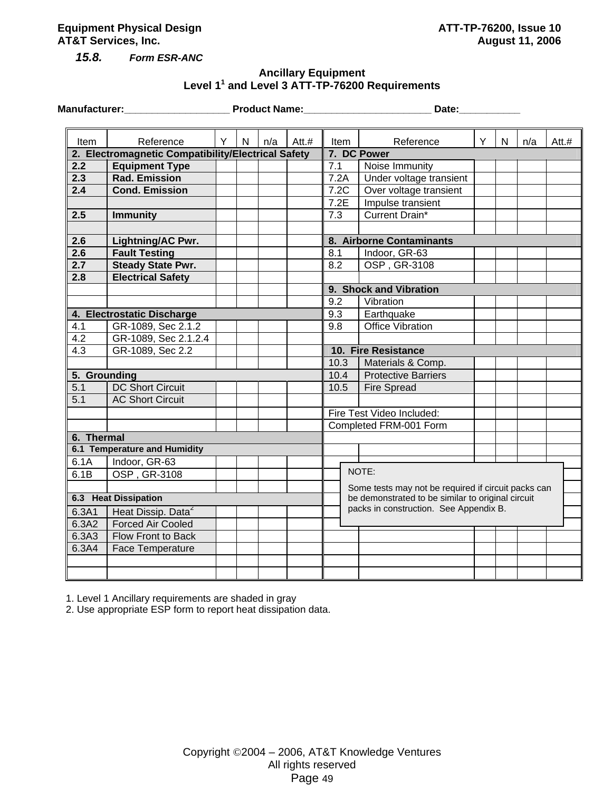#### **Equipment Physical Design ATT-TP-76200, Issue 10 AT&T Services, Inc.** August 11, 2006

*15.8. Form ESR-ANC* 

### **Ancillary Equipment Level 1<sup>1</sup> and Level 3 ATT-TP-76200 Requirements**

**Manufacturer:\_\_\_\_\_\_\_\_\_\_\_\_\_\_\_\_\_\_\_ Product Name:\_\_\_\_\_\_\_\_\_\_\_\_\_\_\_\_\_\_\_\_\_\_\_ Date:\_\_\_\_\_\_\_\_\_\_\_** 

| Item             | Reference                                          | Y | N | n/a | Att. $#$ | <b>Item</b>         | Reference                                           | Y | N | n/a | $Att.+$ |
|------------------|----------------------------------------------------|---|---|-----|----------|---------------------|-----------------------------------------------------|---|---|-----|---------|
|                  | 2. Electromagnetic Compatibility/Electrical Safety |   |   |     |          |                     | 7. DC Power                                         |   |   |     |         |
| 2.2              | <b>Equipment Type</b>                              |   |   |     |          | 7.1                 | Noise Immunity                                      |   |   |     |         |
| 2.3              | <b>Rad. Emission</b>                               |   |   |     |          | 7.2A                | Under voltage transient                             |   |   |     |         |
| 2.4              | <b>Cond. Emission</b>                              |   |   |     |          | 7.2C                | Over voltage transient                              |   |   |     |         |
|                  |                                                    |   |   |     |          | 7.2E                | Impulse transient                                   |   |   |     |         |
| 2.5              | <b>Immunity</b>                                    |   |   |     |          | 7.3                 | <b>Current Drain*</b>                               |   |   |     |         |
|                  |                                                    |   |   |     |          |                     |                                                     |   |   |     |         |
| 2.6              | Lightning/AC Pwr.                                  |   |   |     |          |                     | 8. Airborne Contaminants                            |   |   |     |         |
| 2.6              | <b>Fault Testing</b>                               |   |   |     |          | 8.1                 | Indoor, GR-63                                       |   |   |     |         |
| $\overline{2.7}$ | <b>Steady State Pwr.</b>                           |   |   |     |          | 8.2                 | OSP, GR-3108                                        |   |   |     |         |
| 2.8              | <b>Electrical Safety</b>                           |   |   |     |          |                     |                                                     |   |   |     |         |
|                  |                                                    |   |   |     |          |                     | 9. Shock and Vibration                              |   |   |     |         |
|                  |                                                    |   |   |     |          | 9.2                 | Vibration                                           |   |   |     |         |
|                  | 4. Electrostatic Discharge                         |   |   |     |          | 9.3                 | Earthquake                                          |   |   |     |         |
| 4.1              | GR-1089, Sec 2.1.2                                 |   |   |     |          | 9.8                 | Office Vibration                                    |   |   |     |         |
| 4.2              | GR-1089, Sec 2.1.2.4                               |   |   |     |          |                     |                                                     |   |   |     |         |
| 4.3              | GR-1089, Sec 2.2                                   |   |   |     |          | 10. Fire Resistance |                                                     |   |   |     |         |
|                  |                                                    |   |   |     |          | 10.3                | Materials & Comp.                                   |   |   |     |         |
| 5. Grounding     |                                                    |   |   |     |          | 10.4                | <b>Protective Barriers</b>                          |   |   |     |         |
| 5.1              | <b>DC Short Circuit</b>                            |   |   |     |          | 10.5                | <b>Fire Spread</b>                                  |   |   |     |         |
| 5.1              | <b>AC Short Circuit</b>                            |   |   |     |          |                     |                                                     |   |   |     |         |
|                  |                                                    |   |   |     |          |                     | Fire Test Video Included:                           |   |   |     |         |
|                  |                                                    |   |   |     |          |                     | Completed FRM-001 Form                              |   |   |     |         |
| 6. Thermal       |                                                    |   |   |     |          |                     |                                                     |   |   |     |         |
|                  | <b>6.1 Temperature and Humidity</b>                |   |   |     |          |                     |                                                     |   |   |     |         |
| 6.1A             | Indoor, GR-63                                      |   |   |     |          |                     |                                                     |   |   |     |         |
| 6.1B             | OSP, GR-3108                                       |   |   |     |          |                     | NOTE:                                               |   |   |     |         |
|                  |                                                    |   |   |     |          |                     | Some tests may not be required if circuit packs can |   |   |     |         |
|                  | 6.3 Heat Dissipation                               |   |   |     |          |                     | be demonstrated to be similar to original circuit   |   |   |     |         |
| 6.3A1            | Heat Dissip. Data <sup>2</sup>                     |   |   |     |          |                     | packs in construction. See Appendix B.              |   |   |     |         |
| 6.3A2            | <b>Forced Air Cooled</b>                           |   |   |     |          |                     |                                                     |   |   |     |         |
| 6.3A3            | Flow Front to Back                                 |   |   |     |          |                     |                                                     |   |   |     |         |
| 6.3A4            | <b>Face Temperature</b>                            |   |   |     |          |                     |                                                     |   |   |     |         |
|                  |                                                    |   |   |     |          |                     |                                                     |   |   |     |         |
|                  |                                                    |   |   |     |          |                     |                                                     |   |   |     |         |

1. Level 1 Ancillary requirements are shaded in gray

2. Use appropriate ESP form to report heat dissipation data.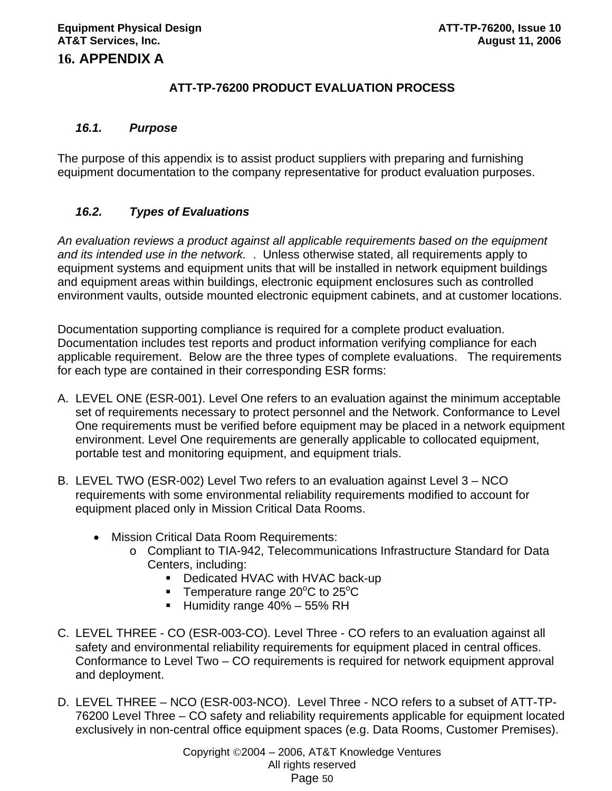# **16. APPENDIX A**

# **ATT-TP-76200 PRODUCT EVALUATION PROCESS**

### *16.1. Purpose*

The purpose of this appendix is to assist product suppliers with preparing and furnishing equipment documentation to the company representative for product evaluation purposes.

# *16.2. Types of Evaluations*

*An evaluation reviews a product against all applicable requirements based on the equipment and its intended use in the network.* . Unless otherwise stated, all requirements apply to equipment systems and equipment units that will be installed in network equipment buildings and equipment areas within buildings, electronic equipment enclosures such as controlled environment vaults, outside mounted electronic equipment cabinets, and at customer locations.

Documentation supporting compliance is required for a complete product evaluation. Documentation includes test reports and product information verifying compliance for each applicable requirement. Below are the three types of complete evaluations. The requirements for each type are contained in their corresponding ESR forms:

- A. LEVEL ONE (ESR-001). Level One refers to an evaluation against the minimum acceptable set of requirements necessary to protect personnel and the Network. Conformance to Level One requirements must be verified before equipment may be placed in a network equipment environment. Level One requirements are generally applicable to collocated equipment, portable test and monitoring equipment, and equipment trials.
- B. LEVEL TWO (ESR-002) Level Two refers to an evaluation against Level 3 NCO requirements with some environmental reliability requirements modified to account for equipment placed only in Mission Critical Data Rooms.
	- Mission Critical Data Room Requirements:
		- o Compliant to TIA-942, Telecommunications Infrastructure Standard for Data Centers, including:
			- Dedicated HVAC with HVAC back-up
			- **Temperature range 20°C to 25°C**
			- Humidity range  $40\% 55\%$  RH
- C. LEVEL THREE CO (ESR-003-CO). Level Three CO refers to an evaluation against all safety and environmental reliability requirements for equipment placed in central offices. Conformance to Level Two – CO requirements is required for network equipment approval and deployment.
- D. LEVEL THREE NCO (ESR-003-NCO).Level Three NCO refers to a subset of ATT-TP-76200 Level Three – CO safety and reliability requirements applicable for equipment located exclusively in non-central office equipment spaces (e.g. Data Rooms, Customer Premises).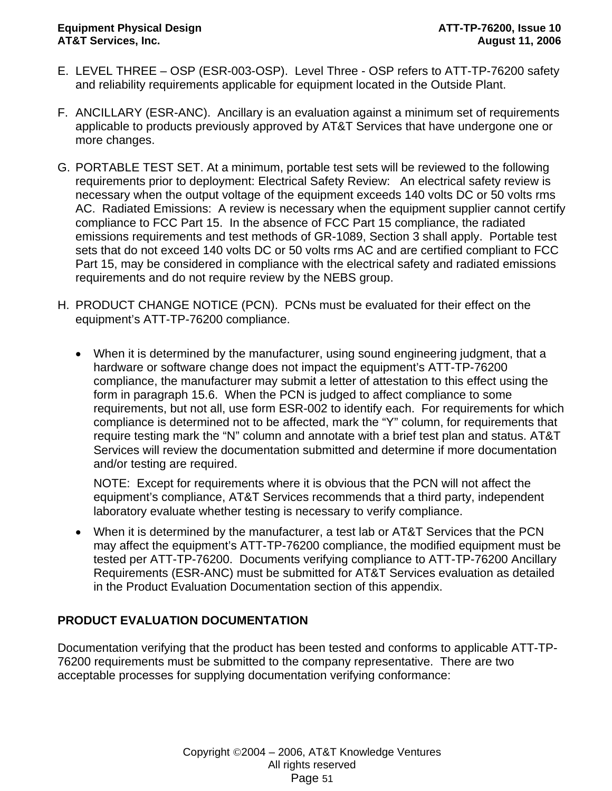- E. LEVEL THREE OSP (ESR-003-OSP).Level Three OSP refers to ATT-TP-76200 safety and reliability requirements applicable for equipment located in the Outside Plant.
- F. ANCILLARY (ESR-ANC). Ancillary is an evaluation against a minimum set of requirements applicable to products previously approved by AT&T Services that have undergone one or more changes.
- G. PORTABLE TEST SET. At a minimum, portable test sets will be reviewed to the following requirements prior to deployment: Electrical Safety Review: An electrical safety review is necessary when the output voltage of the equipment exceeds 140 volts DC or 50 volts rms AC. Radiated Emissions: A review is necessary when the equipment supplier cannot certify compliance to FCC Part 15. In the absence of FCC Part 15 compliance, the radiated emissions requirements and test methods of GR-1089, Section 3 shall apply. Portable test sets that do not exceed 140 volts DC or 50 volts rms AC and are certified compliant to FCC Part 15, may be considered in compliance with the electrical safety and radiated emissions requirements and do not require review by the NEBS group.
- H. PRODUCT CHANGE NOTICE (PCN). PCNs must be evaluated for their effect on the equipment's ATT-TP-76200 compliance.
	- When it is determined by the manufacturer, using sound engineering judgment, that a hardware or software change does not impact the equipment's ATT-TP-76200 compliance, the manufacturer may submit a letter of attestation to this effect using the form in paragraph 15.6. When the PCN is judged to affect compliance to some requirements, but not all, use form ESR-002 to identify each. For requirements for which compliance is determined not to be affected, mark the "Y" column, for requirements that require testing mark the "N" column and annotate with a brief test plan and status. AT&T Services will review the documentation submitted and determine if more documentation and/or testing are required.

NOTE: Except for requirements where it is obvious that the PCN will not affect the equipment's compliance, AT&T Services recommends that a third party, independent laboratory evaluate whether testing is necessary to verify compliance.

• When it is determined by the manufacturer, a test lab or AT&T Services that the PCN may affect the equipment's ATT-TP-76200 compliance, the modified equipment must be tested per ATT-TP-76200. Documents verifying compliance to ATT-TP-76200 Ancillary Requirements (ESR-ANC) must be submitted for AT&T Services evaluation as detailed in the Product Evaluation Documentation section of this appendix.

# **PRODUCT EVALUATION DOCUMENTATION**

Documentation verifying that the product has been tested and conforms to applicable ATT-TP-76200 requirements must be submitted to the company representative. There are two acceptable processes for supplying documentation verifying conformance: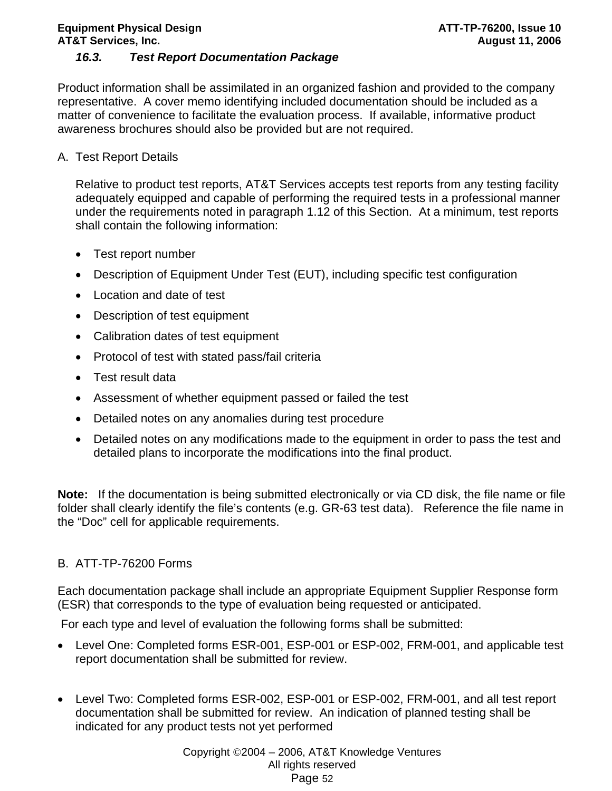# **Equipment Physical Design ATT-TP-76200, Issue 10 and ATT-TP-76200, Issue 10 AT&T Services, Inc. August 11, 2006**

# *16.3. Test Report Documentation Package*

Product information shall be assimilated in an organized fashion and provided to the company representative. A cover memo identifying included documentation should be included as a matter of convenience to facilitate the evaluation process. If available, informative product awareness brochures should also be provided but are not required.

A. Test Report Details

Relative to product test reports, AT&T Services accepts test reports from any testing facility adequately equipped and capable of performing the required tests in a professional manner under the requirements noted in paragraph 1.12 of this Section. At a minimum, test reports shall contain the following information:

- Test report number
- Description of Equipment Under Test (EUT), including specific test configuration
- Location and date of test
- Description of test equipment
- Calibration dates of test equipment
- Protocol of test with stated pass/fail criteria
- Test result data
- Assessment of whether equipment passed or failed the test
- Detailed notes on any anomalies during test procedure
- Detailed notes on any modifications made to the equipment in order to pass the test and detailed plans to incorporate the modifications into the final product.

**Note:** If the documentation is being submitted electronically or via CD disk, the file name or file folder shall clearly identify the file's contents (e.g. GR-63 test data). Reference the file name in the "Doc" cell for applicable requirements.

# B. ATT-TP-76200 Forms

Each documentation package shall include an appropriate Equipment Supplier Response form (ESR) that corresponds to the type of evaluation being requested or anticipated.

For each type and level of evaluation the following forms shall be submitted:

- Level One: Completed forms ESR-001, ESP-001 or ESP-002, FRM-001, and applicable test report documentation shall be submitted for review.
- Level Two: Completed forms ESR-002, ESP-001 or ESP-002, FRM-001, and all test report documentation shall be submitted for review. An indication of planned testing shall be indicated for any product tests not yet performed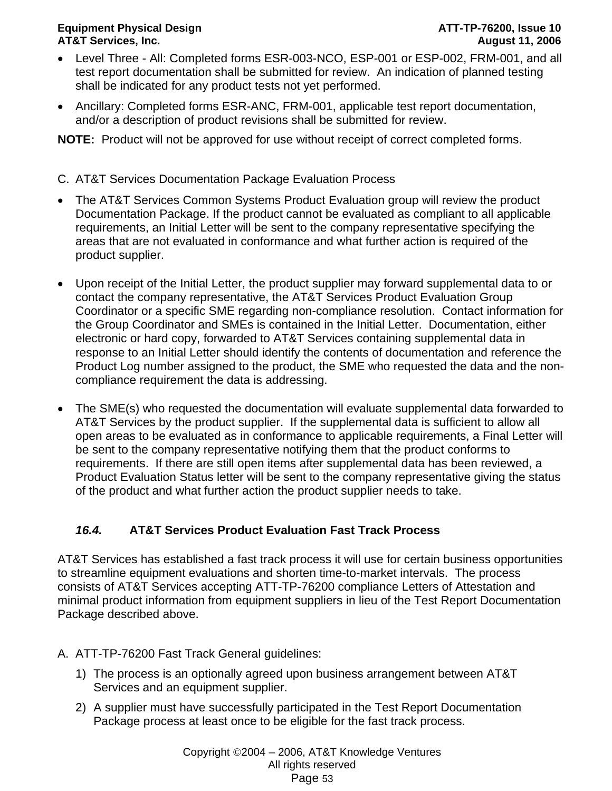### **Equipment Physical Design ATT-TP-76200, Issue 10 AT&T Services, Inc. August 11, 2006**

- Level Three All: Completed forms ESR-003-NCO, ESP-001 or ESP-002, FRM-001, and all test report documentation shall be submitted for review. An indication of planned testing shall be indicated for any product tests not yet performed.
- Ancillary: Completed forms ESR-ANC, FRM-001, applicable test report documentation, and/or a description of product revisions shall be submitted for review.

**NOTE:** Product will not be approved for use without receipt of correct completed forms.

- C. AT&T Services Documentation Package Evaluation Process
- The AT&T Services Common Systems Product Evaluation group will review the product Documentation Package. If the product cannot be evaluated as compliant to all applicable requirements, an Initial Letter will be sent to the company representative specifying the areas that are not evaluated in conformance and what further action is required of the product supplier.
- Upon receipt of the Initial Letter, the product supplier may forward supplemental data to or contact the company representative, the AT&T Services Product Evaluation Group Coordinator or a specific SME regarding non-compliance resolution. Contact information for the Group Coordinator and SMEs is contained in the Initial Letter. Documentation, either electronic or hard copy, forwarded to AT&T Services containing supplemental data in response to an Initial Letter should identify the contents of documentation and reference the Product Log number assigned to the product, the SME who requested the data and the noncompliance requirement the data is addressing.
- The SME(s) who requested the documentation will evaluate supplemental data forwarded to AT&T Services by the product supplier. If the supplemental data is sufficient to allow all open areas to be evaluated as in conformance to applicable requirements, a Final Letter will be sent to the company representative notifying them that the product conforms to requirements. If there are still open items after supplemental data has been reviewed, a Product Evaluation Status letter will be sent to the company representative giving the status of the product and what further action the product supplier needs to take.

# *16.4.* **AT&T Services Product Evaluation Fast Track Process**

AT&T Services has established a fast track process it will use for certain business opportunities to streamline equipment evaluations and shorten time-to-market intervals. The process consists of AT&T Services accepting ATT-TP-76200 compliance Letters of Attestation and minimal product information from equipment suppliers in lieu of the Test Report Documentation Package described above.

- A. ATT-TP-76200 Fast Track General guidelines:
	- 1) The process is an optionally agreed upon business arrangement between AT&T Services and an equipment supplier.
	- 2) A supplier must have successfully participated in the Test Report Documentation Package process at least once to be eligible for the fast track process.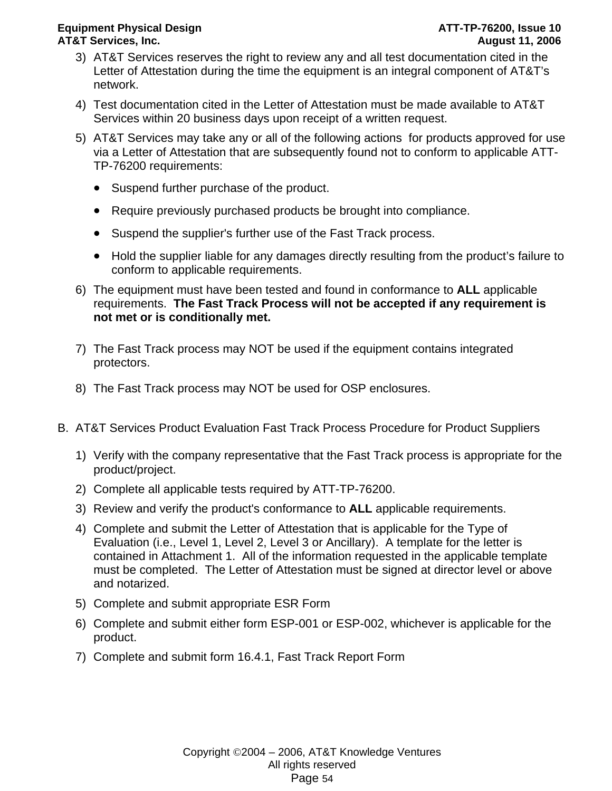### **Equipment Physical Design ATT-TP-76200, Issue 10 and ATT-TP-76200, Issue 10 AT&T Services, Inc. August 11, 2006**

- 3) AT&T Services reserves the right to review any and all test documentation cited in the Letter of Attestation during the time the equipment is an integral component of AT&T's network.
- 4) Test documentation cited in the Letter of Attestation must be made available to AT&T Services within 20 business days upon receipt of a written request.
- 5) AT&T Services may take any or all of the following actions for products approved for use via a Letter of Attestation that are subsequently found not to conform to applicable ATT-TP-76200 requirements:
	- Suspend further purchase of the product.
	- Require previously purchased products be brought into compliance.
	- Suspend the supplier's further use of the Fast Track process.
	- Hold the supplier liable for any damages directly resulting from the product's failure to conform to applicable requirements.
- 6) The equipment must have been tested and found in conformance to **ALL** applicable requirements. **The Fast Track Process will not be accepted if any requirement is not met or is conditionally met.**
- 7) The Fast Track process may NOT be used if the equipment contains integrated protectors.
- 8) The Fast Track process may NOT be used for OSP enclosures.
- B. AT&T Services Product Evaluation Fast Track Process Procedure for Product Suppliers
	- 1) Verify with the company representative that the Fast Track process is appropriate for the product/project.
	- 2) Complete all applicable tests required by ATT-TP-76200.
	- 3) Review and verify the product's conformance to **ALL** applicable requirements.
	- 4) Complete and submit the Letter of Attestation that is applicable for the Type of Evaluation (i.e., Level 1, Level 2, Level 3 or Ancillary). A template for the letter is contained in Attachment 1. All of the information requested in the applicable template must be completed. The Letter of Attestation must be signed at director level or above and notarized.
	- 5) Complete and submit appropriate ESR Form
	- 6) Complete and submit either form ESP-001 or ESP-002, whichever is applicable for the product.
	- 7) Complete and submit form 16.4.1, Fast Track Report Form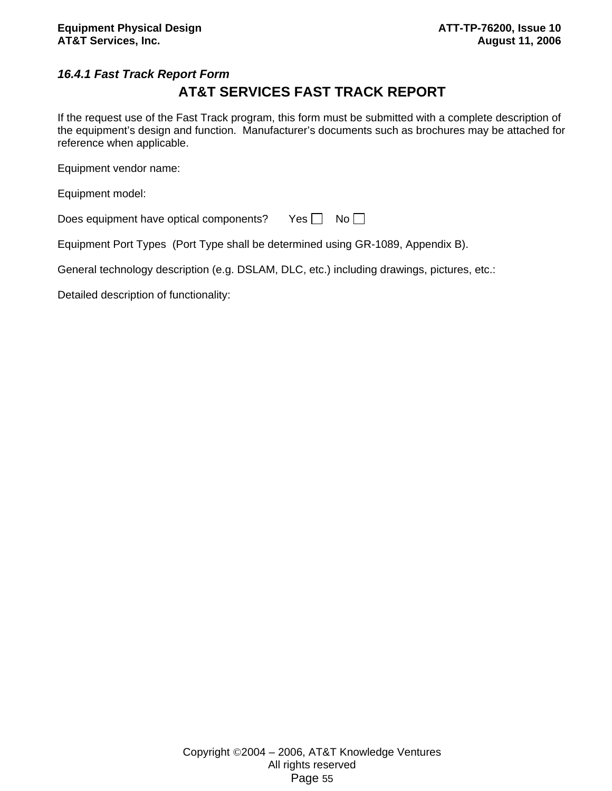# *16.4.1 Fast Track Report Form*

# **AT&T SERVICES FAST TRACK REPORT**

If the request use of the Fast Track program, this form must be submitted with a complete description of the equipment's design and function. Manufacturer's documents such as brochures may be attached for reference when applicable.

Equipment vendor name:

Equipment model:

| Does equipment have optical components? | Yes $\Box$ No $\Box$ |  |  |
|-----------------------------------------|----------------------|--|--|
|-----------------------------------------|----------------------|--|--|

Equipment Port Types (Port Type shall be determined using GR-1089, Appendix B).

General technology description (e.g. DSLAM, DLC, etc.) including drawings, pictures, etc.:

Detailed description of functionality: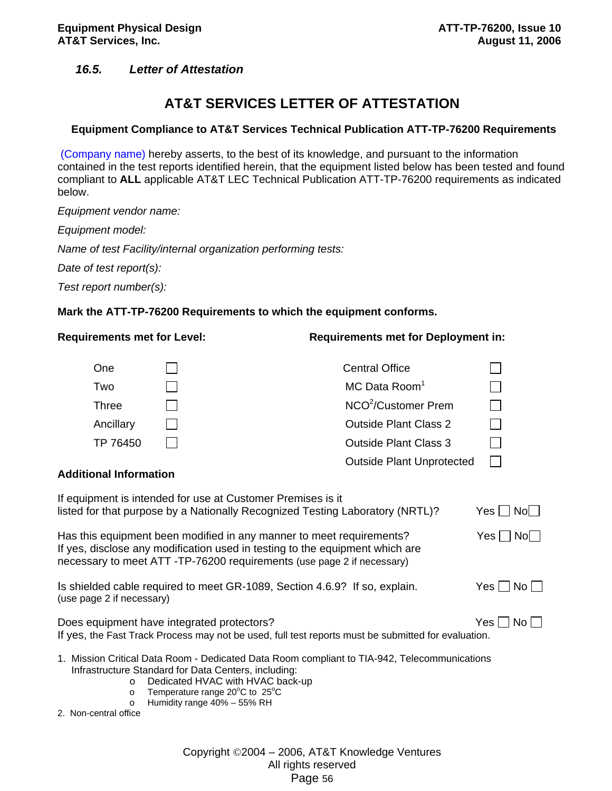# *16.5. Letter of Attestation*

# **AT&T SERVICES LETTER OF ATTESTATION**

#### **Equipment Compliance to AT&T Services Technical Publication ATT-TP-76200 Requirements**

 (Company name) hereby asserts, to the best of its knowledge, and pursuant to the information contained in the test reports identified herein, that the equipment listed below has been tested and found compliant to **ALL** applicable AT&T LEC Technical Publication ATT-TP-76200 requirements as indicated below.

*Equipment vendor name:* 

*Equipment model:* 

*Name of test Facility/internal organization performing tests:* 

*Date of test report(s):* 

*Test report number(s):*

#### **Mark the ATT-TP-76200 Requirements to which the equipment conforms.**

| <b>Requirements met for Level:</b>                     |                                                                                                                                                                                                                               | <b>Requirements met for Deployment in:</b>                                                          |                      |
|--------------------------------------------------------|-------------------------------------------------------------------------------------------------------------------------------------------------------------------------------------------------------------------------------|-----------------------------------------------------------------------------------------------------|----------------------|
| One                                                    |                                                                                                                                                                                                                               | <b>Central Office</b>                                                                               |                      |
| Two                                                    |                                                                                                                                                                                                                               | MC Data Room <sup>1</sup>                                                                           |                      |
| <b>Three</b>                                           |                                                                                                                                                                                                                               | NCO <sup>2</sup> /Customer Prem                                                                     | $\Box$               |
| Ancillary                                              |                                                                                                                                                                                                                               | <b>Outside Plant Class 2</b>                                                                        |                      |
| TP 76450                                               |                                                                                                                                                                                                                               | <b>Outside Plant Class 3</b>                                                                        | $\Box$               |
| <b>Additional Information</b>                          |                                                                                                                                                                                                                               | <b>Outside Plant Unprotected</b>                                                                    |                      |
|                                                        | If equipment is intended for use at Customer Premises is it<br>listed for that purpose by a Nationally Recognized Testing Laboratory (NRTL)?                                                                                  |                                                                                                     | Yes     No           |
|                                                        | Has this equipment been modified in any manner to meet requirements?<br>If yes, disclose any modification used in testing to the equipment which are<br>necessary to meet ATT-TP-76200 requirements (use page 2 if necessary) |                                                                                                     | $Yes \mid No \mid$   |
| (use page 2 if necessary)                              | Is shielded cable required to meet GR-1089, Section 4.6.9? If so, explain.                                                                                                                                                    |                                                                                                     | $Yes \Box No \Box$   |
|                                                        | Does equipment have integrated protectors?                                                                                                                                                                                    | If yes, the Fast Track Process may not be used, full test reports must be submitted for evaluation. | Yes $\Box$ No $\Box$ |
| $\circ$<br>$\circ$<br>$\circ$<br>2. Non-central office | Infrastructure Standard for Data Centers, including:<br>Dedicated HVAC with HVAC back-up<br>Temperature range $20^{\circ}$ C to $25^{\circ}$ C<br>Humidity range 40% - 55% RH                                                 | 1. Mission Critical Data Room - Dedicated Data Room compliant to TIA-942, Telecommunications        |                      |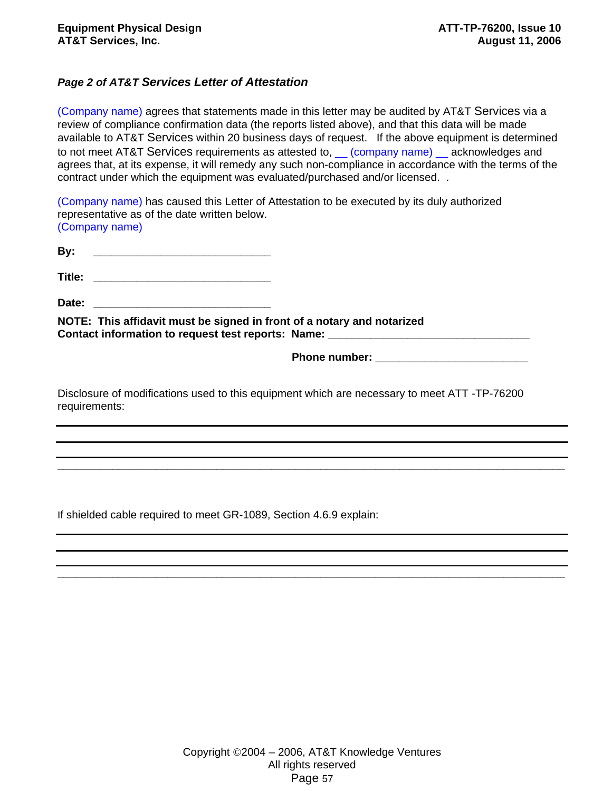### *Page 2 of AT&T Services Letter of Attestation*

(Company name) agrees that statements made in this letter may be audited by AT&T Services via a review of compliance confirmation data (the reports listed above), and that this data will be made available to AT&T Services within 20 business days of request. If the above equipment is determined to not meet AT&T Services requirements as attested to, \_\_ (company name) \_\_ acknowledges and agrees that, at its expense, it will remedy any such non-compliance in accordance with the terms of the contract under which the equipment was evaluated/purchased and/or licensed. .

(Company name) has caused this Letter of Attestation to be executed by its duly authorized representative as of the date written below. (Company name)

| By:                                                                    |                                                                                  |
|------------------------------------------------------------------------|----------------------------------------------------------------------------------|
| Title: _________________________________                               |                                                                                  |
|                                                                        |                                                                                  |
| NOTE: This affidavit must be signed in front of a notary and notarized | Contact information to request test reports: Name: _____________________________ |
|                                                                        |                                                                                  |

**Phone number:**  $\blacksquare$ 

Disclosure of modifications used to this equipment which are necessary to meet ATT -TP-76200 requirements:

**\_\_\_\_\_\_\_\_\_\_\_\_\_\_\_\_\_\_\_\_\_\_\_\_\_\_\_\_\_\_\_\_\_\_\_\_\_\_\_\_\_\_\_\_\_\_\_\_\_\_\_\_\_\_\_\_\_\_\_\_\_\_\_\_\_\_\_\_\_\_\_\_\_\_\_\_\_\_\_\_\_\_\_** 

**\_\_\_\_\_\_\_\_\_\_\_\_\_\_\_\_\_\_\_\_\_\_\_\_\_\_\_\_\_\_\_\_\_\_\_\_\_\_\_\_\_\_\_\_\_\_\_\_\_\_\_\_\_\_\_\_\_\_\_\_\_\_\_\_\_\_\_\_\_\_\_\_\_\_\_\_\_\_\_\_\_\_\_** 

If shielded cable required to meet GR-1089, Section 4.6.9 explain: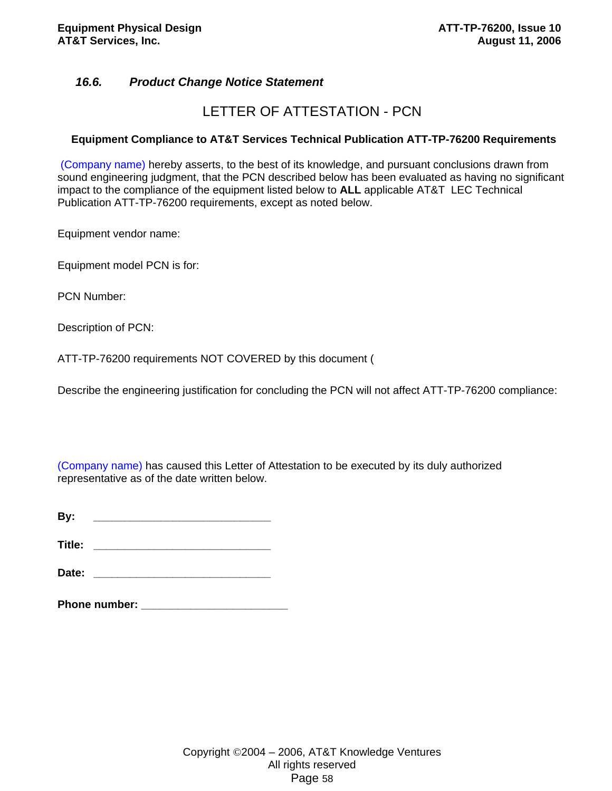# *16.6. Product Change Notice Statement*

# LETTER OF ATTESTATION - PCN

#### **Equipment Compliance to AT&T Services Technical Publication ATT-TP-76200 Requirements**

 (Company name) hereby asserts, to the best of its knowledge, and pursuant conclusions drawn from sound engineering judgment, that the PCN described below has been evaluated as having no significant impact to the compliance of the equipment listed below to **ALL** applicable AT&T LEC Technical Publication ATT-TP-76200 requirements, except as noted below.

Equipment vendor name:

Equipment model PCN is for:

PCN Number:

Description of PCN:

ATT-TP-76200 requirements NOT COVERED by this document (

Describe the engineering justification for concluding the PCN will not affect ATT-TP-76200 compliance:

(Company name) has caused this Letter of Attestation to be executed by its duly authorized representative as of the date written below.

**By: \_\_\_\_\_\_\_\_\_\_\_\_\_\_\_\_\_\_\_\_\_\_\_\_\_\_\_\_\_** 

**Title: Title:** *Title:* 

**Date: \_\_\_\_\_\_\_\_\_\_\_\_\_\_\_\_\_\_\_\_\_\_\_\_\_\_\_\_\_** 

| <b>Phone number:</b> |  |
|----------------------|--|
|                      |  |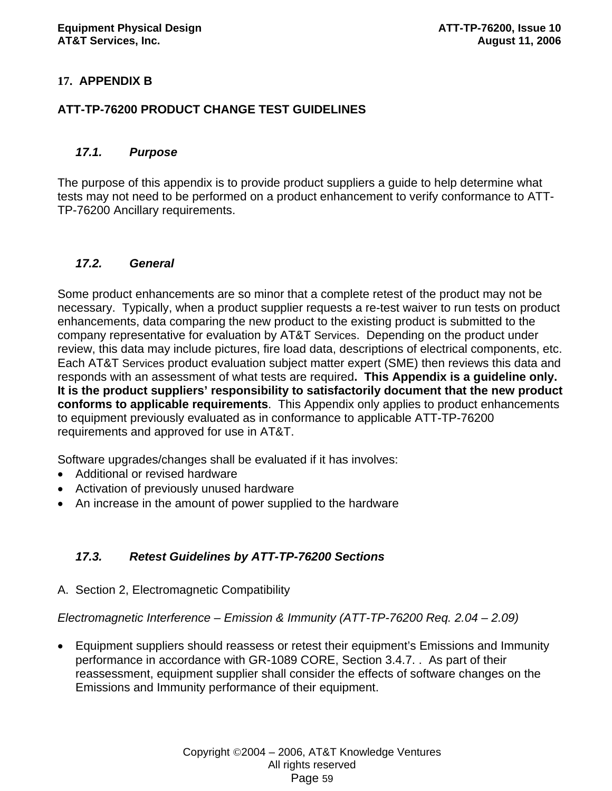# **17. APPENDIX B**

# **ATT-TP-76200 PRODUCT CHANGE TEST GUIDELINES**

### *17.1. Purpose*

The purpose of this appendix is to provide product suppliers a guide to help determine what tests may not need to be performed on a product enhancement to verify conformance to ATT-TP-76200 Ancillary requirements.

# *17.2. General*

Some product enhancements are so minor that a complete retest of the product may not be necessary. Typically, when a product supplier requests a re-test waiver to run tests on product enhancements, data comparing the new product to the existing product is submitted to the company representative for evaluation by AT&T Services. Depending on the product under review, this data may include pictures, fire load data, descriptions of electrical components, etc. Each AT&T Services product evaluation subject matter expert (SME) then reviews this data and responds with an assessment of what tests are required**. This Appendix is a guideline only. It is the product suppliers' responsibility to satisfactorily document that the new product conforms to applicable requirements**. This Appendix only applies to product enhancements to equipment previously evaluated as in conformance to applicable ATT-TP-76200 requirements and approved for use in AT&T.

Software upgrades/changes shall be evaluated if it has involves:

- Additional or revised hardware
- Activation of previously unused hardware
- An increase in the amount of power supplied to the hardware

# *17.3. Retest Guidelines by ATT-TP-76200 Sections*

A. Section 2, Electromagnetic Compatibility

*Electromagnetic Interference – Emission & Immunity (ATT-TP-76200 Req. 2.04 – 2.09)* 

• Equipment suppliers should reassess or retest their equipment's Emissions and Immunity performance in accordance with GR-1089 CORE, Section 3.4.7. . As part of their reassessment, equipment supplier shall consider the effects of software changes on the Emissions and Immunity performance of their equipment.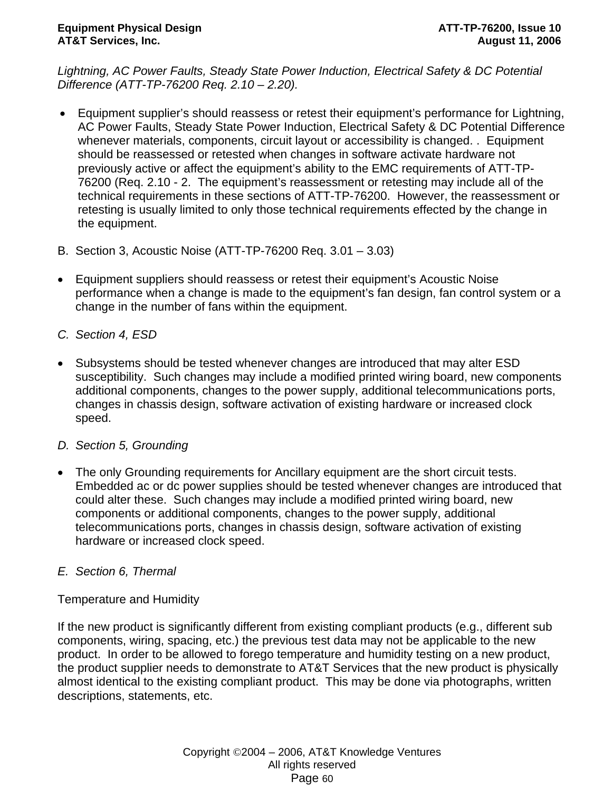*Lightning, AC Power Faults, Steady State Power Induction, Electrical Safety & DC Potential Difference (ATT-TP-76200 Req. 2.10 – 2.20).* 

- Equipment supplier's should reassess or retest their equipment's performance for Lightning, AC Power Faults, Steady State Power Induction, Electrical Safety & DC Potential Difference whenever materials, components, circuit layout or accessibility is changed. . Equipment should be reassessed or retested when changes in software activate hardware not previously active or affect the equipment's ability to the EMC requirements of ATT-TP-76200 (Req. 2.10 - 2. The equipment's reassessment or retesting may include all of the technical requirements in these sections of ATT-TP-76200. However, the reassessment or retesting is usually limited to only those technical requirements effected by the change in the equipment.
- B. Section 3, Acoustic Noise (ATT-TP-76200 Req. 3.01 3.03)
- Equipment suppliers should reassess or retest their equipment's Acoustic Noise performance when a change is made to the equipment's fan design, fan control system or a change in the number of fans within the equipment.
- *C. Section 4, ESD*
- Subsystems should be tested whenever changes are introduced that may alter ESD susceptibility. Such changes may include a modified printed wiring board, new components additional components, changes to the power supply, additional telecommunications ports, changes in chassis design, software activation of existing hardware or increased clock speed.
- *D. Section 5, Grounding*
- The only Grounding requirements for Ancillary equipment are the short circuit tests. Embedded ac or dc power supplies should be tested whenever changes are introduced that could alter these. Such changes may include a modified printed wiring board, new components or additional components, changes to the power supply, additional telecommunications ports, changes in chassis design, software activation of existing hardware or increased clock speed.

# *E. Section 6, Thermal*

Temperature and Humidity

If the new product is significantly different from existing compliant products (e.g., different sub components, wiring, spacing, etc.) the previous test data may not be applicable to the new product. In order to be allowed to forego temperature and humidity testing on a new product, the product supplier needs to demonstrate to AT&T Services that the new product is physically almost identical to the existing compliant product. This may be done via photographs, written descriptions, statements, etc.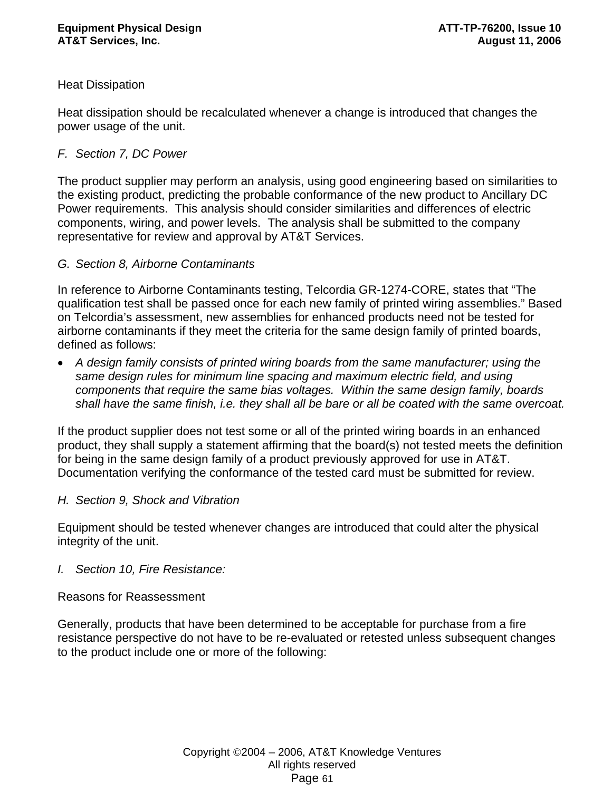# Heat Dissipation

Heat dissipation should be recalculated whenever a change is introduced that changes the power usage of the unit.

# *F. Section 7, DC Power*

The product supplier may perform an analysis, using good engineering based on similarities to the existing product, predicting the probable conformance of the new product to Ancillary DC Power requirements. This analysis should consider similarities and differences of electric components, wiring, and power levels. The analysis shall be submitted to the company representative for review and approval by AT&T Services.

# *G. Section 8, Airborne Contaminants*

In reference to Airborne Contaminants testing, Telcordia GR-1274-CORE, states that "The qualification test shall be passed once for each new family of printed wiring assemblies." Based on Telcordia's assessment, new assemblies for enhanced products need not be tested for airborne contaminants if they meet the criteria for the same design family of printed boards, defined as follows:

• *A design family consists of printed wiring boards from the same manufacturer; using the same design rules for minimum line spacing and maximum electric field, and using components that require the same bias voltages. Within the same design family, boards shall have the same finish, i.e. they shall all be bare or all be coated with the same overcoat.* 

If the product supplier does not test some or all of the printed wiring boards in an enhanced product, they shall supply a statement affirming that the board(s) not tested meets the definition for being in the same design family of a product previously approved for use in AT&T. Documentation verifying the conformance of the tested card must be submitted for review.

# *H. Section 9, Shock and Vibration*

Equipment should be tested whenever changes are introduced that could alter the physical integrity of the unit.

# *I. Section 10, Fire Resistance:*

Reasons for Reassessment

Generally, products that have been determined to be acceptable for purchase from a fire resistance perspective do not have to be re-evaluated or retested unless subsequent changes to the product include one or more of the following: